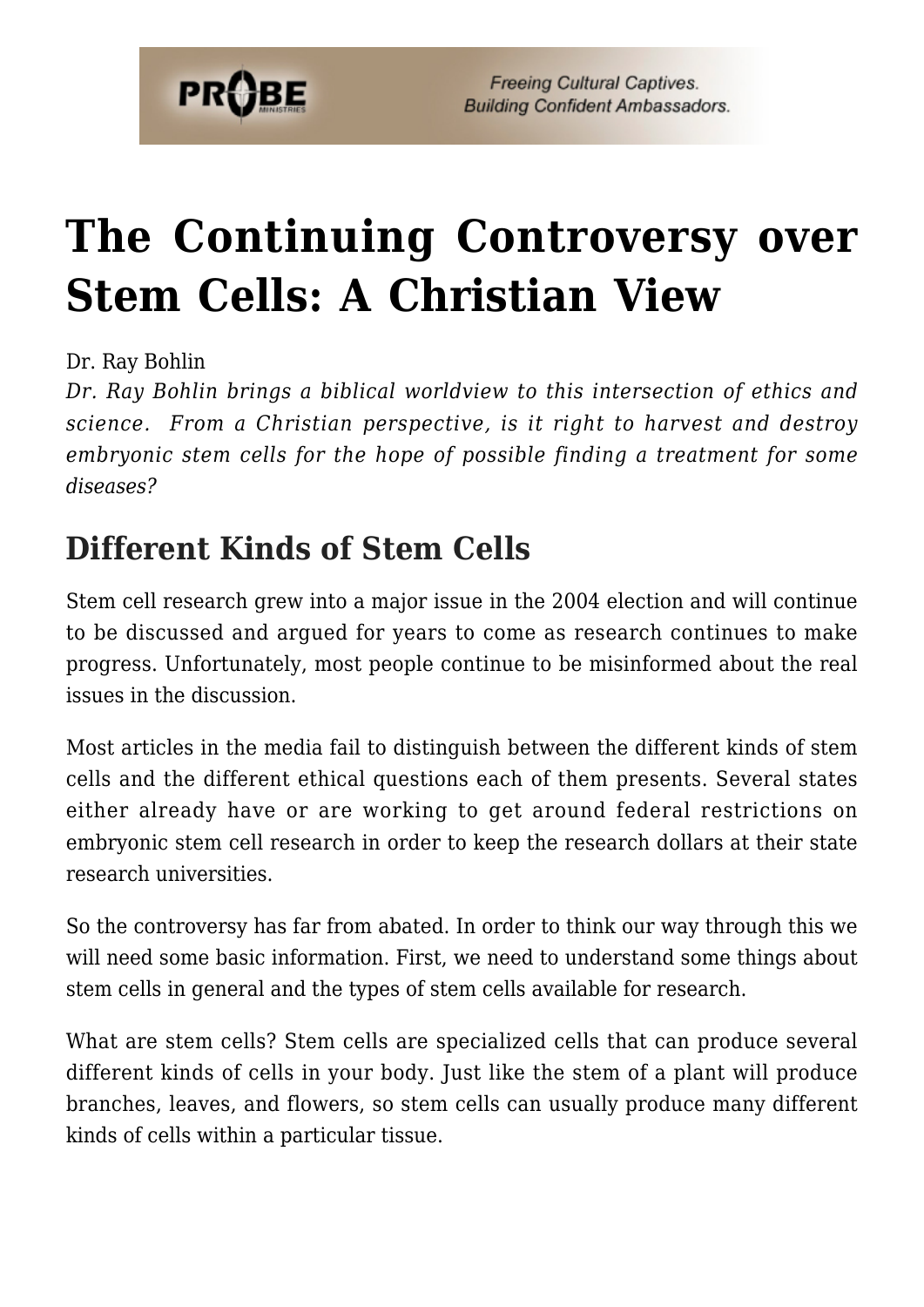

# **[The Continuing Controversy over](https://probe.org/the-continuing-controversy-over-stem-cells/) [Stem Cells: A Christian View](https://probe.org/the-continuing-controversy-over-stem-cells/)**

Dr. Ray Bohlin

*Dr. Ray Bohlin brings a biblical worldview to this intersection of ethics and science. From a Christian perspective, is it right to harvest and destroy embryonic stem cells for the hope of possible finding a treatment for some diseases?*

### **Different Kinds of Stem Cells**

Stem cell research grew into a major issue in the 2004 election and will continue to be discussed and argued for years to come as research continues to make progress. Unfortunately, most people continue to be misinformed about the real issues in the discussion.

Most articles in the media fail to distinguish between the different kinds of stem cells and the different ethical questions each of them presents. Several states either already have or are working to get around federal restrictions on embryonic stem cell research in order to keep the research dollars at their state research universities.

So the controversy has far from abated. In order to think our way through this we will need some basic information. First, we need to understand some things about stem cells in general and the types of stem cells available for research.

What are stem cells? Stem cells are specialized cells that can produce several different kinds of cells in your body. Just like the stem of a plant will produce branches, leaves, and flowers, so stem cells can usually produce many different kinds of cells within a particular tissue.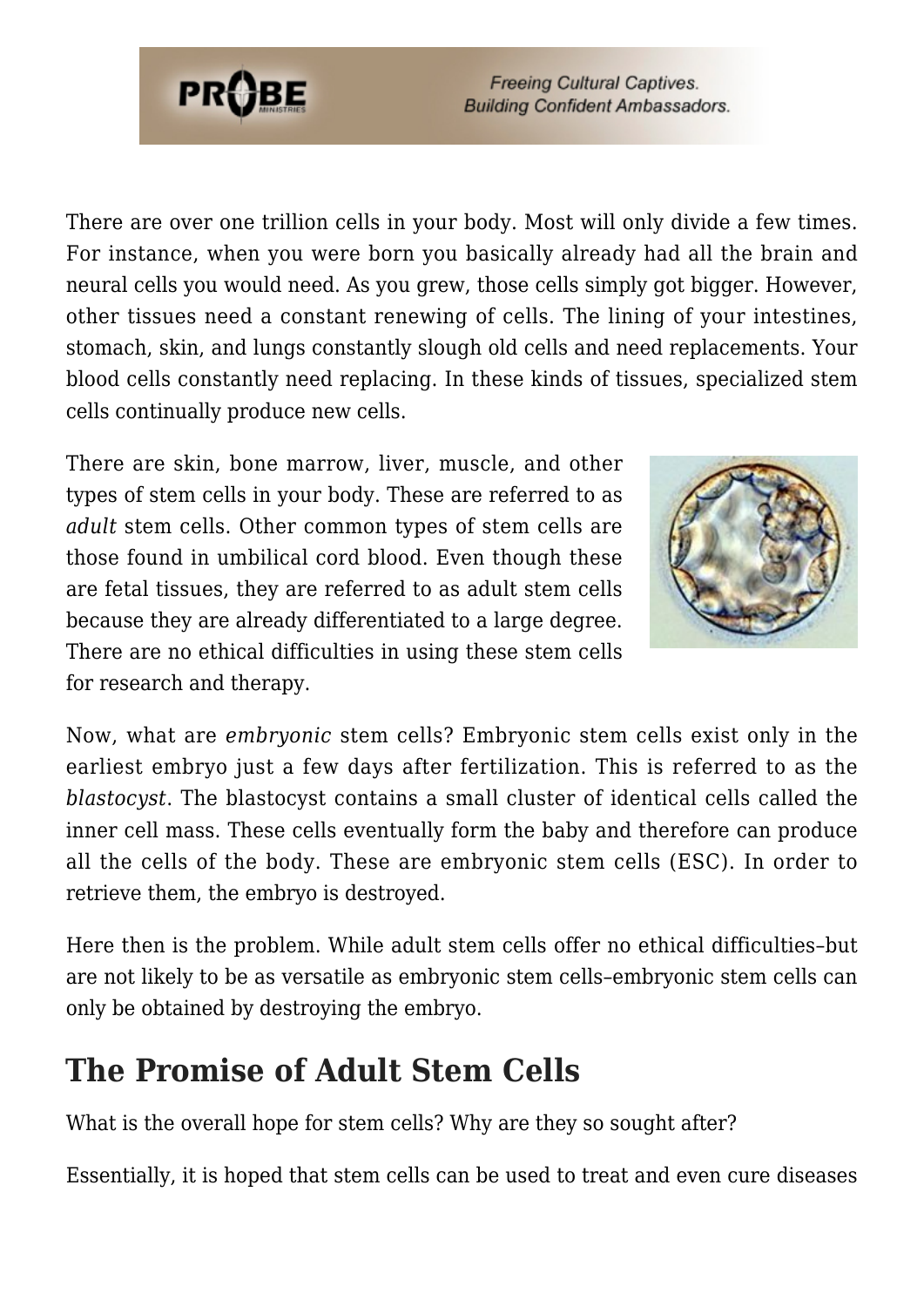

There are over one trillion cells in your body. Most will only divide a few times. For instance, when you were born you basically already had all the brain and neural cells you would need. As you grew, those cells simply got bigger. However, other tissues need a constant renewing of cells. The lining of your intestines, stomach, skin, and lungs constantly slough old cells and need replacements. Your blood cells constantly need replacing. In these kinds of tissues, specialized stem cells continually produce new cells.

There are skin, bone marrow, liver, muscle, and other types of stem cells in your body. These are referred to as *adult* stem cells. Other common types of stem cells are those found in umbilical cord blood. Even though these are fetal tissues, they are referred to as adult stem cells because they are already differentiated to a large degree. There are no ethical difficulties in using these stem cells for research and therapy.



Now, what are *embryonic* stem cells? Embryonic stem cells exist only in the earliest embryo just a few days after fertilization. This is referred to as the *blastocyst*. The blastocyst contains a small cluster of identical cells called the inner cell mass. These cells eventually form the baby and therefore can produce all the cells of the body. These are embryonic stem cells (ESC). In order to retrieve them, the embryo is destroyed.

Here then is the problem. While adult stem cells offer no ethical difficulties–but are not likely to be as versatile as embryonic stem cells–embryonic stem cells can only be obtained by destroying the embryo.

### **The Promise of Adult Stem Cells**

What is the overall hope for stem cells? Why are they so sought after?

Essentially, it is hoped that stem cells can be used to treat and even cure diseases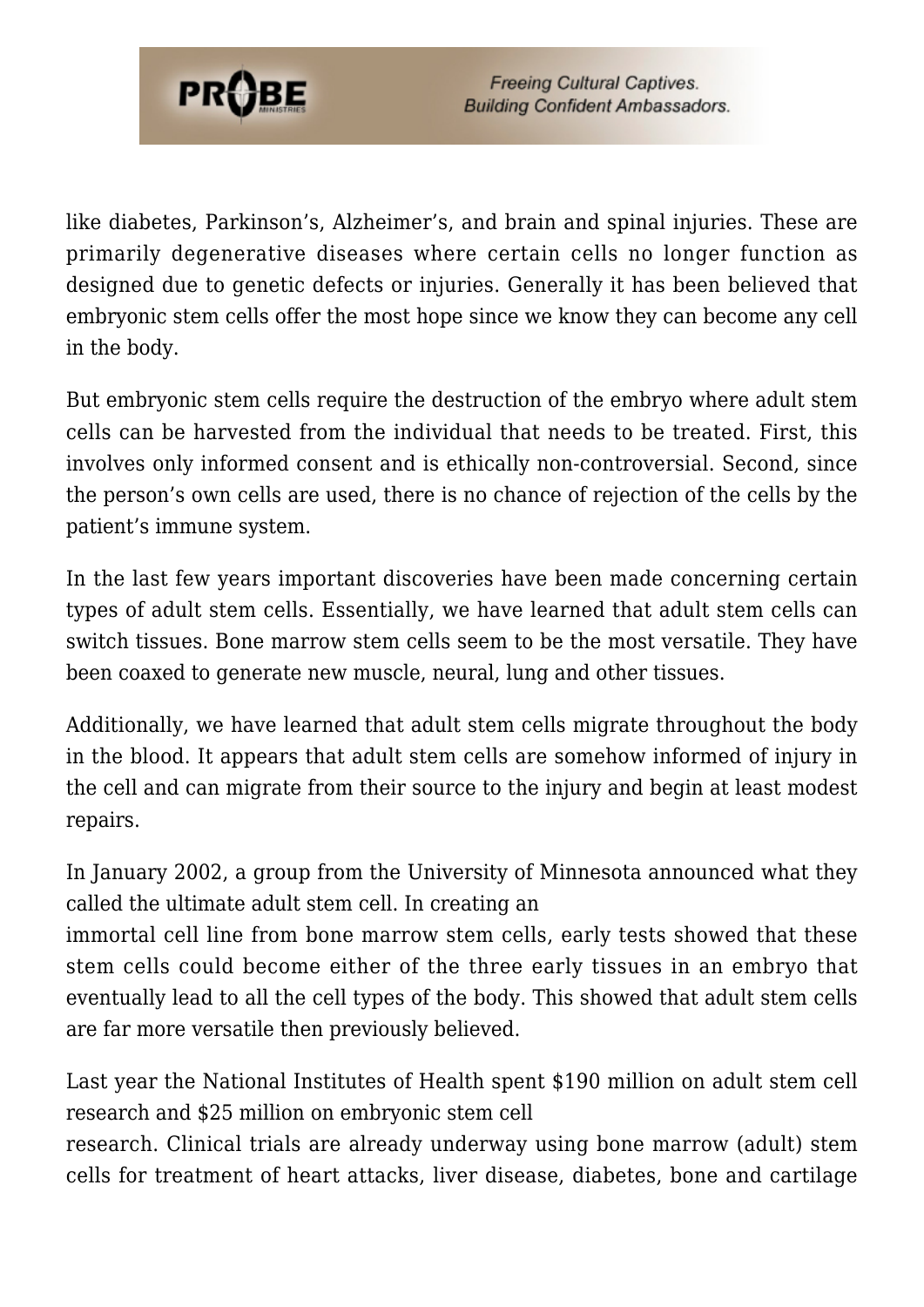

like diabetes, Parkinson's, Alzheimer's, and brain and spinal injuries. These are primarily degenerative diseases where certain cells no longer function as designed due to genetic defects or injuries. Generally it has been believed that embryonic stem cells offer the most hope since we know they can become any cell in the body.

But embryonic stem cells require the destruction of the embryo where adult stem cells can be harvested from the individual that needs to be treated. First, this involves only informed consent and is ethically non-controversial. Second, since the person's own cells are used, there is no chance of rejection of the cells by the patient's immune system.

In the last few years important discoveries have been made concerning certain types of adult stem cells. Essentially, we have learned that adult stem cells can switch tissues. Bone marrow stem cells seem to be the most versatile. They have been coaxed to generate new muscle, neural, lung and other tissues.

Additionally, we have learned that adult stem cells migrate throughout the body in the blood. It appears that adult stem cells are somehow informed of injury in the cell and can migrate from their source to the injury and begin at least modest repairs.

In January 2002, a group from the University of Minnesota announced what they called the ultimate adult stem cell. In creating an

immortal cell line from bone marrow stem cells, early tests showed that these stem cells could become either of the three early tissues in an embryo that eventually lead to all the cell types of the body. This showed that adult stem cells are far more versatile then previously believed.

Last year the National Institutes of Health spent \$190 million on adult stem cell research and \$25 million on embryonic stem cell

research. Clinical trials are already underway using bone marrow (adult) stem cells for treatment of heart attacks, liver disease, diabetes, bone and cartilage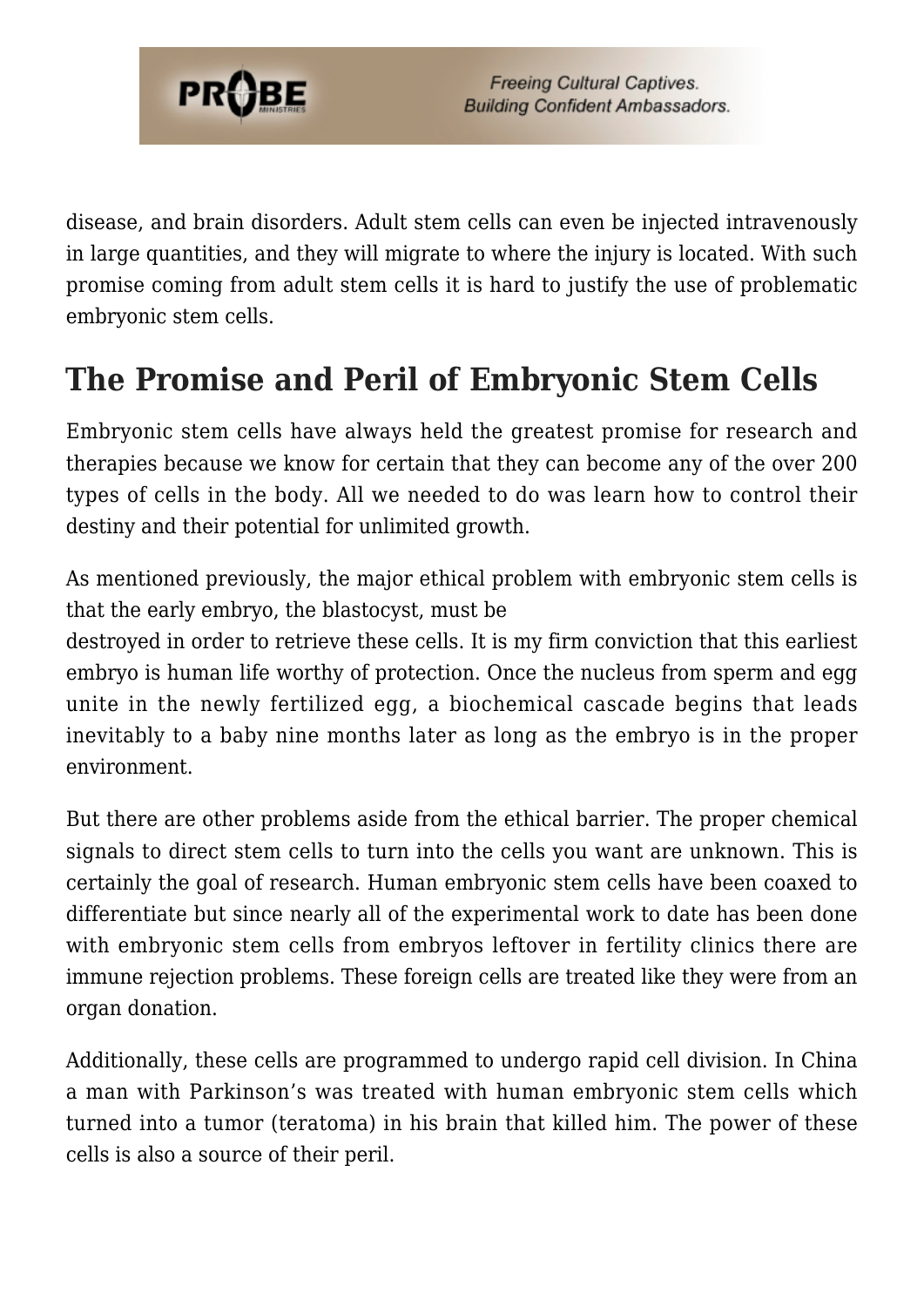

disease, and brain disorders. Adult stem cells can even be injected intravenously in large quantities, and they will migrate to where the injury is located. With such promise coming from adult stem cells it is hard to justify the use of problematic embryonic stem cells.

### **The Promise and Peril of Embryonic Stem Cells**

Embryonic stem cells have always held the greatest promise for research and therapies because we know for certain that they can become any of the over 200 types of cells in the body. All we needed to do was learn how to control their destiny and their potential for unlimited growth.

As mentioned previously, the major ethical problem with embryonic stem cells is that the early embryo, the blastocyst, must be

destroyed in order to retrieve these cells. It is my firm conviction that this earliest embryo is human life worthy of protection. Once the nucleus from sperm and egg unite in the newly fertilized egg, a biochemical cascade begins that leads inevitably to a baby nine months later as long as the embryo is in the proper environment.

But there are other problems aside from the ethical barrier. The proper chemical signals to direct stem cells to turn into the cells you want are unknown. This is certainly the goal of research. Human embryonic stem cells have been coaxed to differentiate but since nearly all of the experimental work to date has been done with embryonic stem cells from embryos leftover in fertility clinics there are immune rejection problems. These foreign cells are treated like they were from an organ donation.

Additionally, these cells are programmed to undergo rapid cell division. In China a man with Parkinson's was treated with human embryonic stem cells which turned into a tumor (teratoma) in his brain that killed him. The power of these cells is also a source of their peril.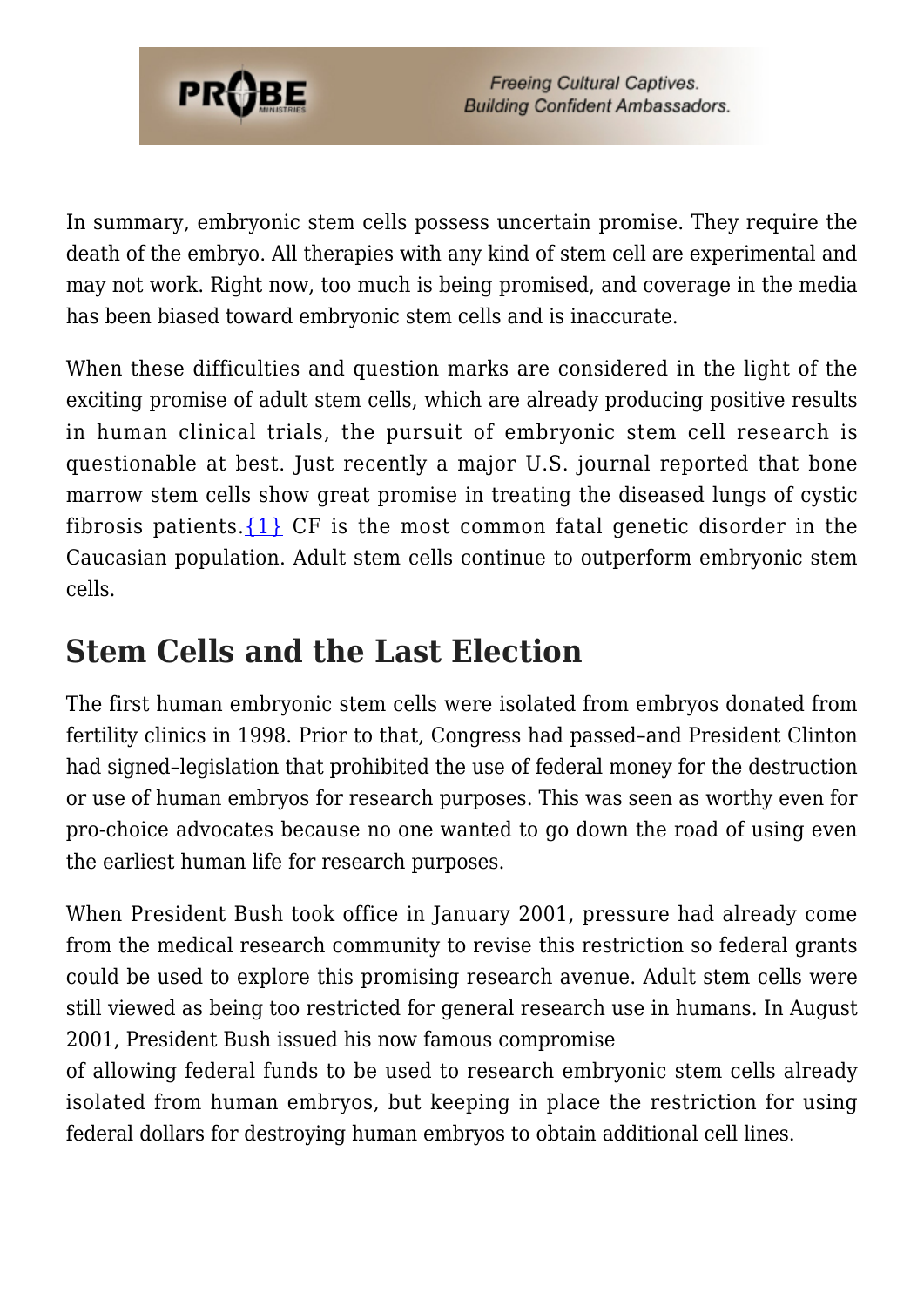

In summary, embryonic stem cells possess uncertain promise. They require the death of the embryo. All therapies with any kind of stem cell are experimental and may not work. Right now, too much is being promised, and coverage in the media has been biased toward embryonic stem cells and is inaccurate.

When these difficulties and question marks are considered in the light of the exciting promise of adult stem cells, which are already producing positive results in human clinical trials, the pursuit of embryonic stem cell research is questionable at best. Just recently a major U.S. journal reported that bone marrow stem cells show great promise in treating the diseased lungs of cystic fibrosis patients.  $\{1\}$  CF is the most common fatal genetic disorder in the Caucasian population. Adult stem cells continue to outperform embryonic stem cells.

### **Stem Cells and the Last Election**

The first human embryonic stem cells were isolated from embryos donated from fertility clinics in 1998. Prior to that, Congress had passed–and President Clinton had signed–legislation that prohibited the use of federal money for the destruction or use of human embryos for research purposes. This was seen as worthy even for pro-choice advocates because no one wanted to go down the road of using even the earliest human life for research purposes.

When President Bush took office in January 2001, pressure had already come from the medical research community to revise this restriction so federal grants could be used to explore this promising research avenue. Adult stem cells were still viewed as being too restricted for general research use in humans. In August 2001, President Bush issued his now famous compromise

of allowing federal funds to be used to research embryonic stem cells already isolated from human embryos, but keeping in place the restriction for using federal dollars for destroying human embryos to obtain additional cell lines.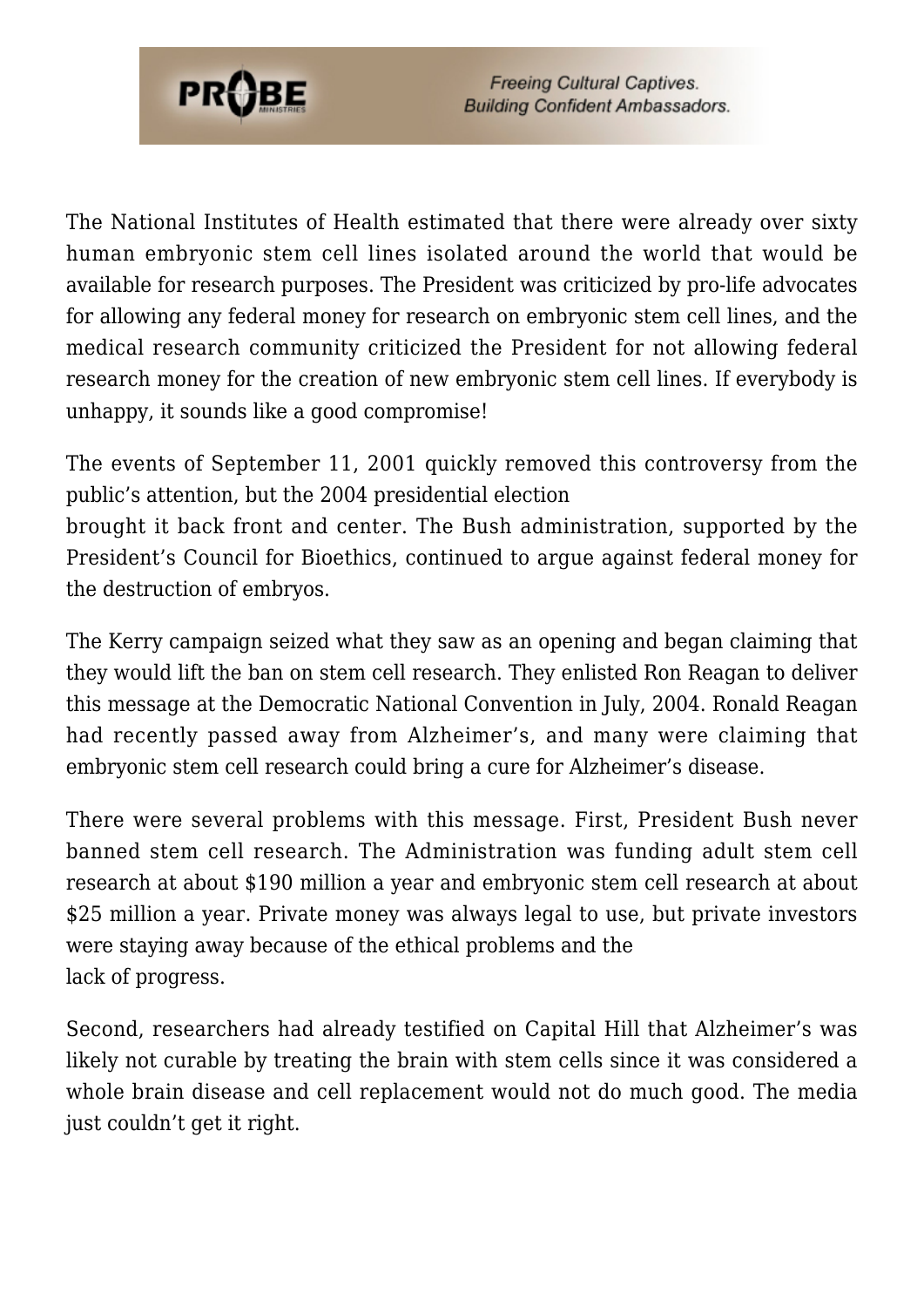

The National Institutes of Health estimated that there were already over sixty human embryonic stem cell lines isolated around the world that would be available for research purposes. The President was criticized by pro-life advocates for allowing any federal money for research on embryonic stem cell lines, and the medical research community criticized the President for not allowing federal research money for the creation of new embryonic stem cell lines. If everybody is unhappy, it sounds like a good compromise!

The events of September 11, 2001 quickly removed this controversy from the public's attention, but the 2004 presidential election brought it back front and center. The Bush administration, supported by the President's Council for Bioethics, continued to argue against federal money for the destruction of embryos.

The Kerry campaign seized what they saw as an opening and began claiming that they would lift the ban on stem cell research. They enlisted Ron Reagan to deliver this message at the Democratic National Convention in July, 2004. Ronald Reagan had recently passed away from Alzheimer's, and many were claiming that embryonic stem cell research could bring a cure for Alzheimer's disease.

There were several problems with this message. First, President Bush never banned stem cell research. The Administration was funding adult stem cell research at about \$190 million a year and embryonic stem cell research at about \$25 million a year. Private money was always legal to use, but private investors were staying away because of the ethical problems and the lack of progress.

Second, researchers had already testified on Capital Hill that Alzheimer's was likely not curable by treating the brain with stem cells since it was considered a whole brain disease and cell replacement would not do much good. The media just couldn't get it right.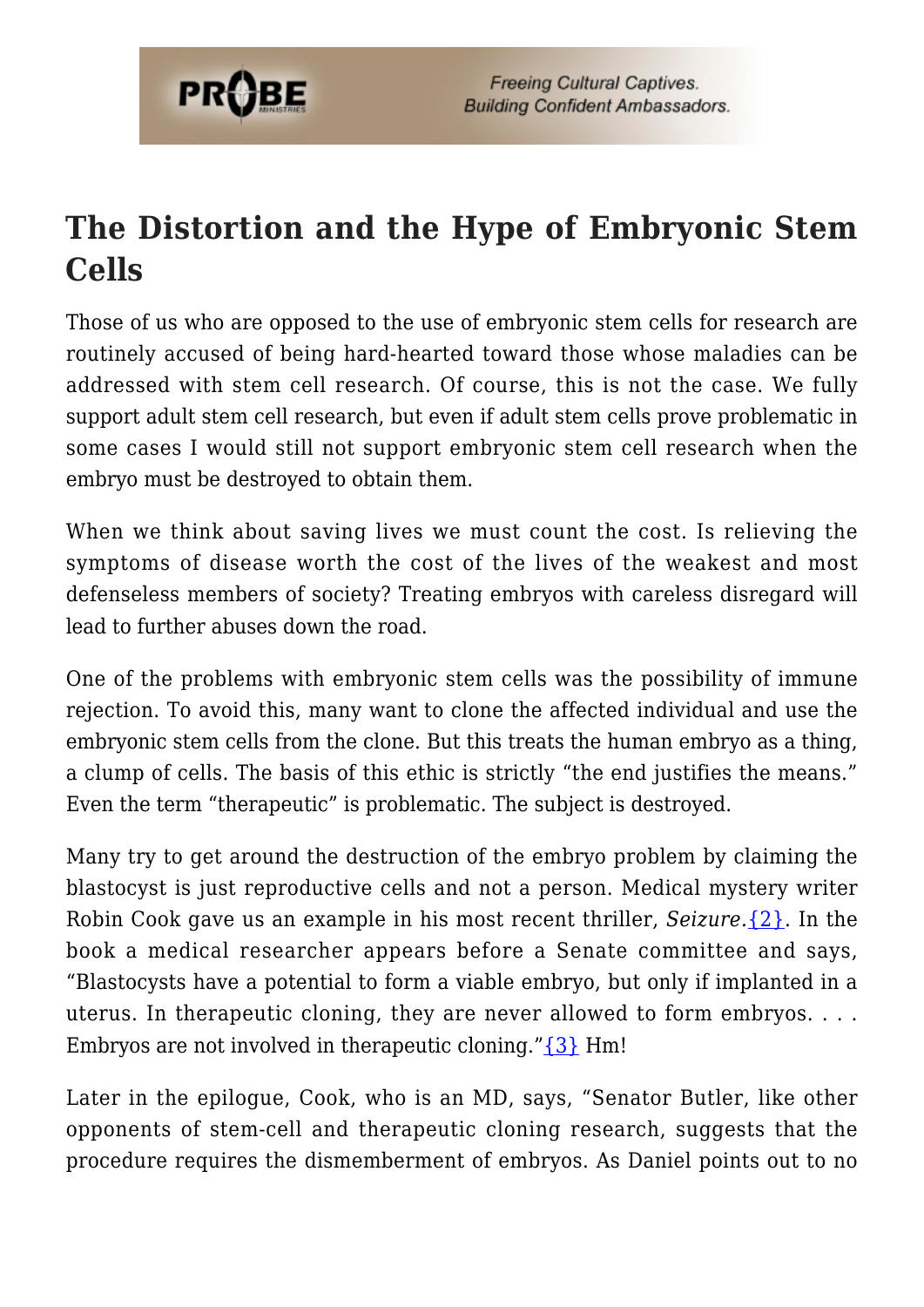

## **The Distortion and the Hype of Embryonic Stem Cells**

Those of us who are opposed to the use of embryonic stem cells for research are routinely accused of being hard-hearted toward those whose maladies can be addressed with stem cell research. Of course, this is not the case. We fully support adult stem cell research, but even if adult stem cells prove problematic in some cases I would still not support embryonic stem cell research when the embryo must be destroyed to obtain them.

When we think about saving lives we must count the cost. Is relieving the symptoms of disease worth the cost of the lives of the weakest and most defenseless members of society? Treating embryos with careless disregard will lead to further abuses down the road.

One of the problems with embryonic stem cells was the possibility of immune rejection. To avoid this, many want to clone the affected individual and use the embryonic stem cells from the clone. But this treats the human embryo as a thing, a clump of cells. The basis of this ethic is strictly "the end justifies the means." Even the term "therapeutic" is problematic. The subject is destroyed.

Many try to get around the destruction of the embryo problem by claiming the blastocyst is just reproductive cells and not a person. Medical mystery writer Robin Cook gave us an example in his most recent thriller, *Seizure.*[{2}.](#page-64-1) In the book a medical researcher appears before a Senate committee and says, "Blastocysts have a potential to form a viable embryo, but only if implanted in a uterus. In therapeutic cloning, they are never allowed to form embryos. . . . Embryos are not involved in therapeutic cloning.["{3}](#page-64-2) Hm!

Later in the epilogue, Cook, who is an MD, says, "Senator Butler, like other opponents of stem-cell and therapeutic cloning research, suggests that the procedure requires the dismemberment of embryos. As Daniel points out to no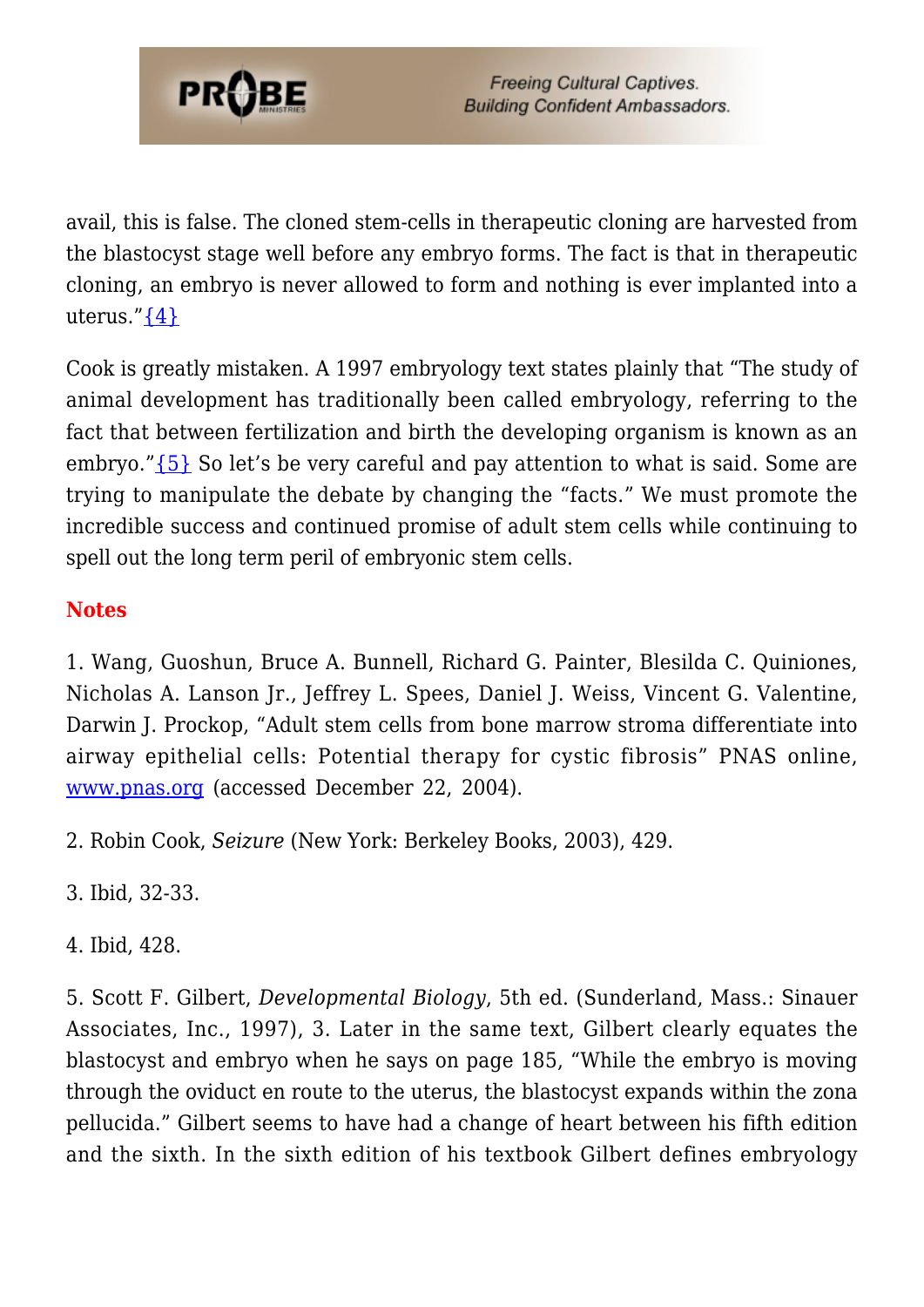

avail, this is false. The cloned stem-cells in therapeutic cloning are harvested from the blastocyst stage well before any embryo forms. The fact is that in therapeutic cloning, an embryo is never allowed to form and nothing is ever implanted into a uterus." $\{4\}$ 

Cook is greatly mistaken. A 1997 embryology text states plainly that "The study of animal development has traditionally been called embryology, referring to the fact that between fertilization and birth the developing organism is known as an embryo."[{5}](#page-55-0) So let's be very careful and pay attention to what is said. Some are trying to manipulate the debate by changing the "facts." We must promote the incredible success and continued promise of adult stem cells while continuing to spell out the long term peril of embryonic stem cells.

#### **Notes**

1. Wang, Guoshun, Bruce A. Bunnell, Richard G. Painter, Blesilda C. Quiniones, Nicholas A. Lanson Jr., Jeffrey L. Spees, Daniel J. Weiss, Vincent G. Valentine, Darwin J. Prockop, "Adult stem cells from bone marrow stroma differentiate into airway epithelial cells: Potential therapy for cystic fibrosis" PNAS online, [www.pnas.org](http://www.pnas.org) (accessed December 22, 2004).

2. Robin Cook, *Seizure* (New York: Berkeley Books, 2003), 429.

3. Ibid, 32-33.

4. Ibid, 428.

5. Scott F. Gilbert, *Developmental Biology*, 5th ed. (Sunderland, Mass.: Sinauer Associates, Inc., 1997), 3. Later in the same text, Gilbert clearly equates the blastocyst and embryo when he says on page 185, "While the embryo is moving through the oviduct en route to the uterus, the blastocyst expands within the zona pellucida." Gilbert seems to have had a change of heart between his fifth edition and the sixth. In the sixth edition of his textbook Gilbert defines embryology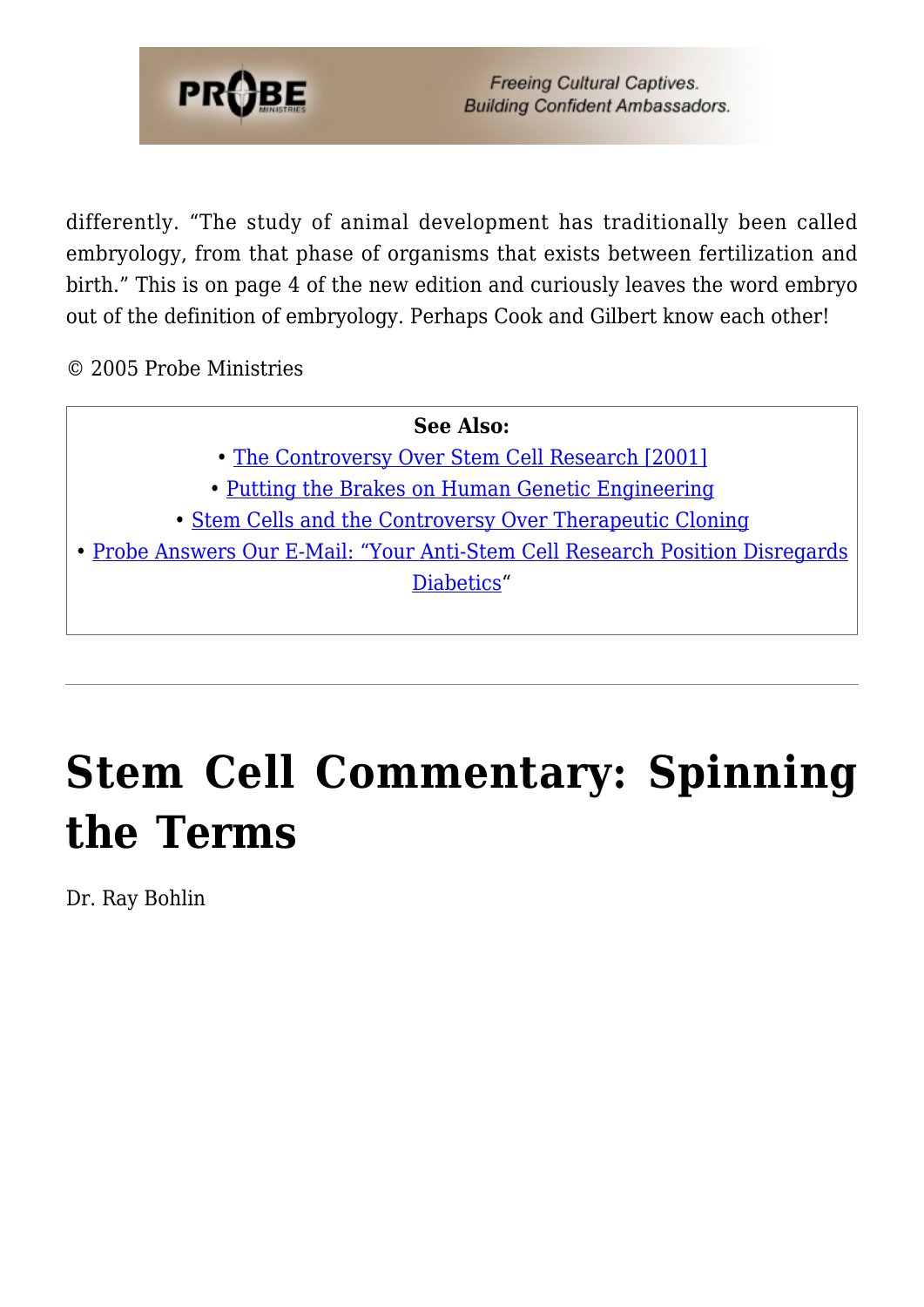

differently. "The study of animal development has traditionally been called embryology, from that phase of organisms that exists between fertilization and birth." This is on page 4 of the new edition and curiously leaves the word embryo out of the definition of embryology. Perhaps Cook and Gilbert know each other!

© 2005 Probe Ministries

#### **See Also:**

- • [The Controversy Over Stem Cell Research \[2001\]](https://www.probe.org/the-controversy-over-stem-cell-research/)
- [Putting the Brakes on Human Genetic Engineering](https://www.probe.org/putting-the-brakes-on-human-genetic-engineering/)
- • [Stem Cells and the Controversy Over Therapeutic Cloning](https://www.probe.org/stem-cells-and-the-controversy-over-therapeutic-cloning/)

• [Probe Answers Our E-Mail: "Your Anti-Stem Cell Research Position Disregards](https://www.probe.org/your-position-against-stem-cell-research-disregards-diabetics/) [Diabetics](https://www.probe.org/your-position-against-stem-cell-research-disregards-diabetics/)"

# **[Stem Cell Commentary: Spinning](https://probe.org/stem-cell-commentary-spinning-the-terms/) [the Terms](https://probe.org/stem-cell-commentary-spinning-the-terms/)**

Dr. Ray Bohlin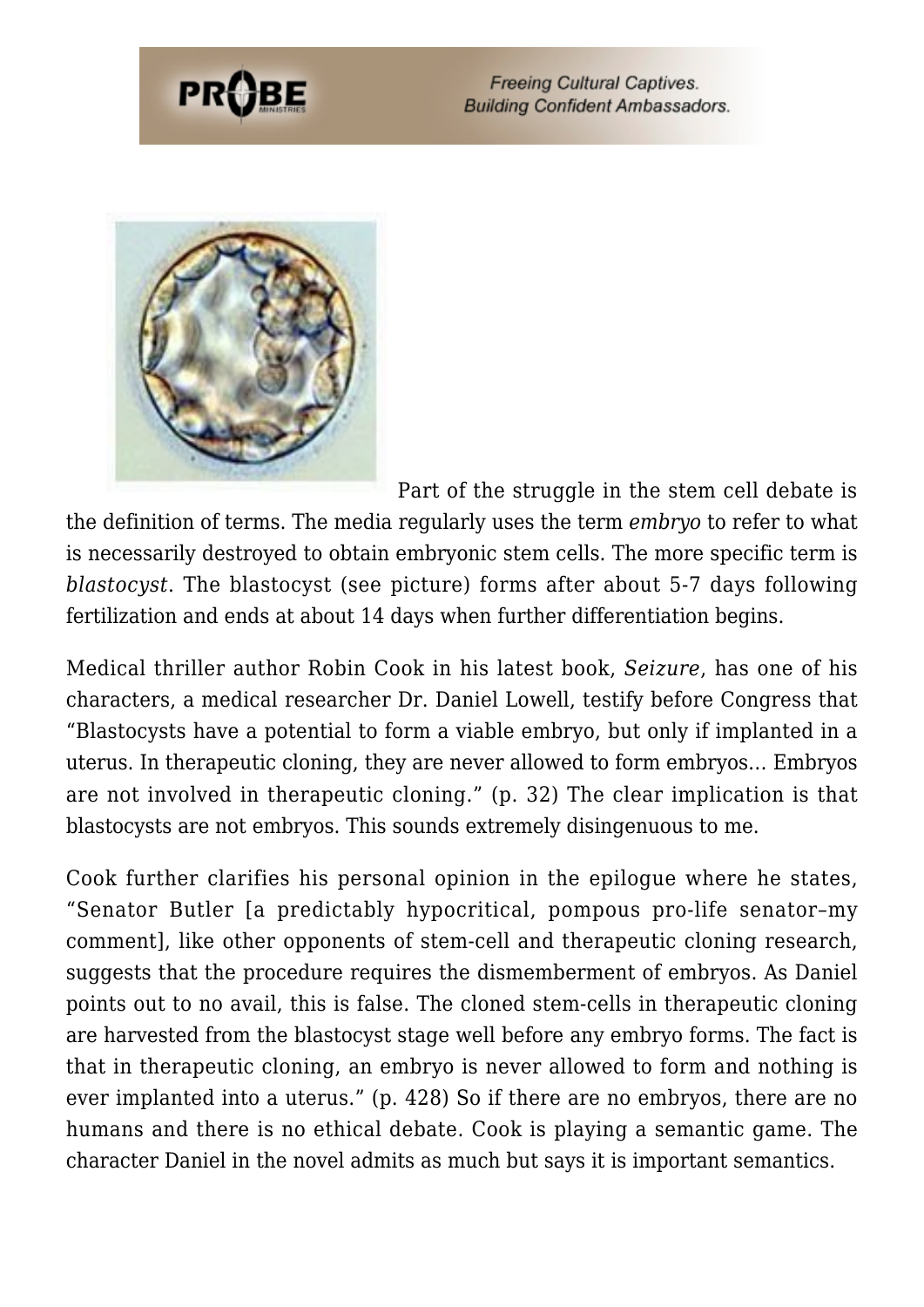

Part of the struggle in the stem cell debate is

the definition of terms. The media regularly uses the term *embryo* to refer to what is necessarily destroyed to obtain embryonic stem cells. The more specific term is *blastocyst*. The blastocyst (see picture) forms after about 5-7 days following fertilization and ends at about 14 days when further differentiation begins.

Medical thriller author Robin Cook in his latest book, *Seizure*, has one of his characters, a medical researcher Dr. Daniel Lowell, testify before Congress that "Blastocysts have a potential to form a viable embryo, but only if implanted in a uterus. In therapeutic cloning, they are never allowed to form embryos… Embryos are not involved in therapeutic cloning." (p. 32) The clear implication is that blastocysts are not embryos. This sounds extremely disingenuous to me.

Cook further clarifies his personal opinion in the epilogue where he states, "Senator Butler [a predictably hypocritical, pompous pro-life senator–my comment], like other opponents of stem-cell and therapeutic cloning research, suggests that the procedure requires the dismemberment of embryos. As Daniel points out to no avail, this is false. The cloned stem-cells in therapeutic cloning are harvested from the blastocyst stage well before any embryo forms. The fact is that in therapeutic cloning, an embryo is never allowed to form and nothing is ever implanted into a uterus." (p. 428) So if there are no embryos, there are no humans and there is no ethical debate. Cook is playing a semantic game. The character Daniel in the novel admits as much but says it is important semantics.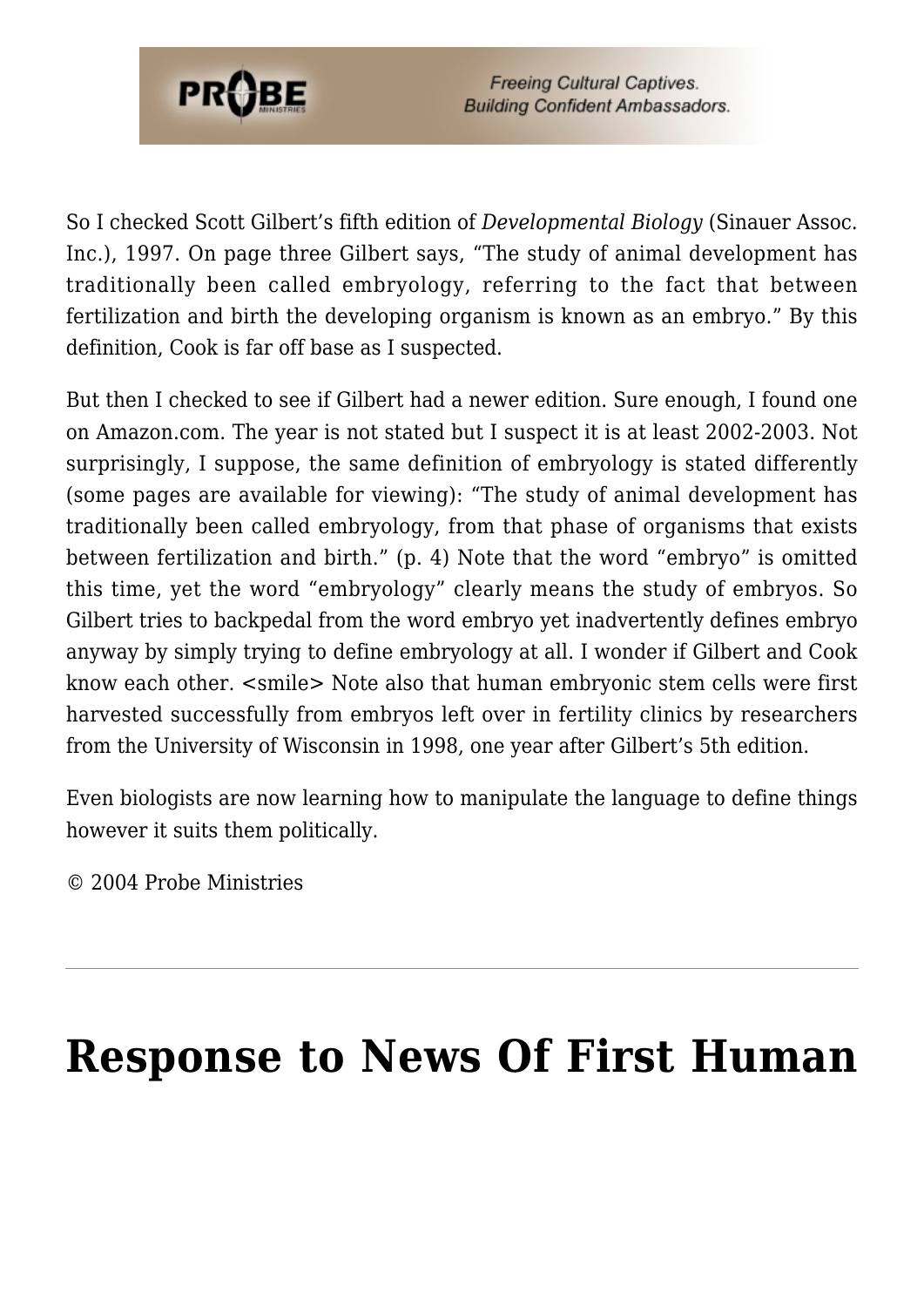

So I checked Scott Gilbert's fifth edition of *Developmental Biology* (Sinauer Assoc. Inc.), 1997. On page three Gilbert says, "The study of animal development has traditionally been called embryology, referring to the fact that between fertilization and birth the developing organism is known as an embryo." By this definition, Cook is far off base as I suspected.

But then I checked to see if Gilbert had a newer edition. Sure enough, I found one on Amazon.com. The year is not stated but I suspect it is at least 2002-2003. Not surprisingly, I suppose, the same definition of embryology is stated differently (some pages are available for viewing): "The study of animal development has traditionally been called embryology, from that phase of organisms that exists between fertilization and birth." (p. 4) Note that the word "embryo" is omitted this time, yet the word "embryology" clearly means the study of embryos. So Gilbert tries to backpedal from the word embryo yet inadvertently defines embryo anyway by simply trying to define embryology at all. I wonder if Gilbert and Cook know each other. <smile> Note also that human embryonic stem cells were first harvested successfully from embryos left over in fertility clinics by researchers from the University of Wisconsin in 1998, one year after Gilbert's 5th edition.

Even biologists are now learning how to manipulate the language to define things however it suits them politically.

© 2004 Probe Ministries

# **[Response to News Of First Human](https://probe.org/response-to-news-of-first-human-clone/)**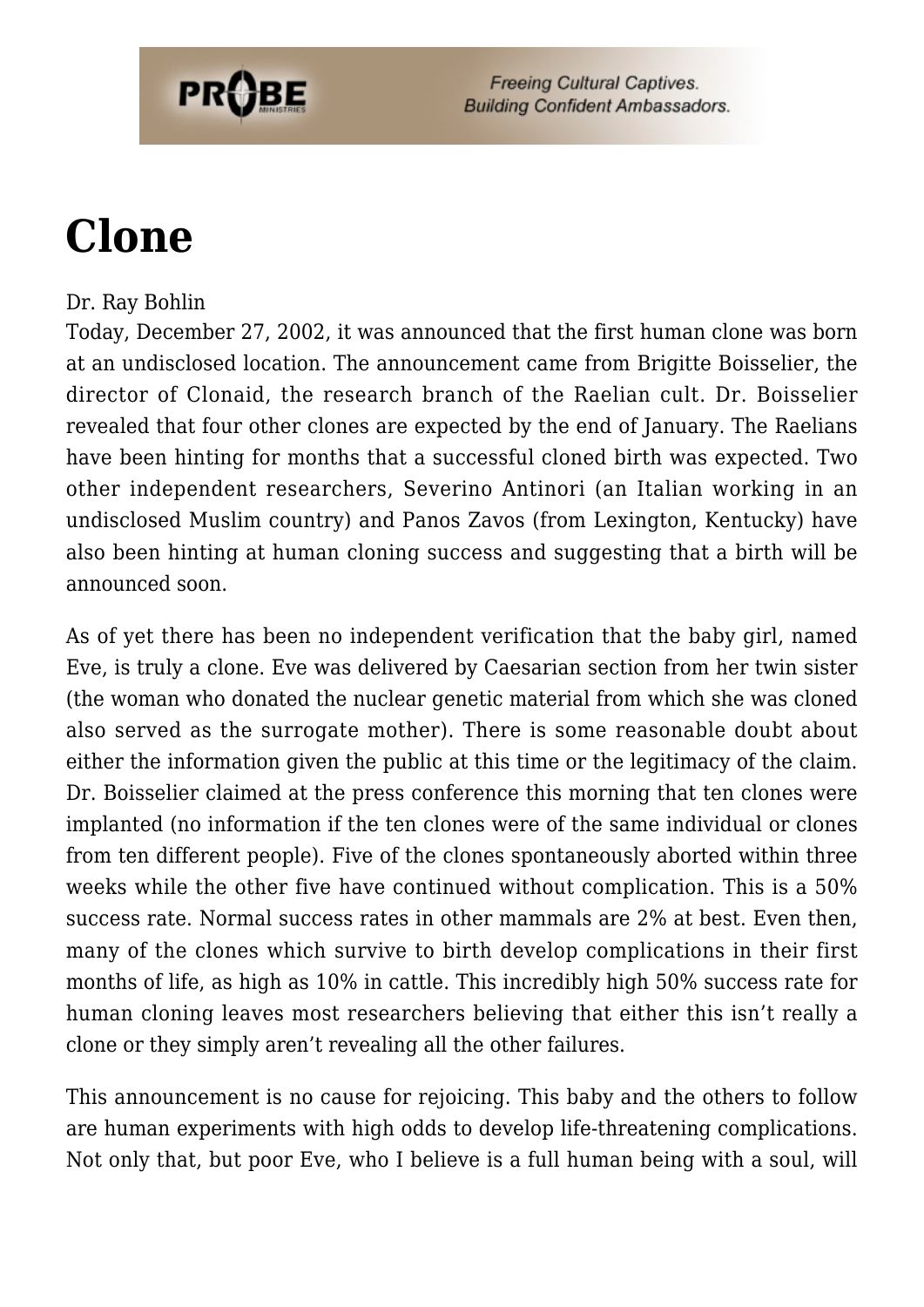

# **[Clone](https://probe.org/response-to-news-of-first-human-clone/)**

#### Dr. Ray Bohlin

Today, December 27, 2002, it was announced that the first human clone was born at an undisclosed location. The announcement came from Brigitte Boisselier, the director of Clonaid, the research branch of the Raelian cult. Dr. Boisselier revealed that four other clones are expected by the end of January. The Raelians have been hinting for months that a successful cloned birth was expected. Two other independent researchers, Severino Antinori (an Italian working in an undisclosed Muslim country) and Panos Zavos (from Lexington, Kentucky) have also been hinting at human cloning success and suggesting that a birth will be announced soon.

As of yet there has been no independent verification that the baby girl, named Eve, is truly a clone. Eve was delivered by Caesarian section from her twin sister (the woman who donated the nuclear genetic material from which she was cloned also served as the surrogate mother). There is some reasonable doubt about either the information given the public at this time or the legitimacy of the claim. Dr. Boisselier claimed at the press conference this morning that ten clones were implanted (no information if the ten clones were of the same individual or clones from ten different people). Five of the clones spontaneously aborted within three weeks while the other five have continued without complication. This is a 50% success rate. Normal success rates in other mammals are 2% at best. Even then, many of the clones which survive to birth develop complications in their first months of life, as high as 10% in cattle. This incredibly high 50% success rate for human cloning leaves most researchers believing that either this isn't really a clone or they simply aren't revealing all the other failures.

This announcement is no cause for rejoicing. This baby and the others to follow are human experiments with high odds to develop life-threatening complications. Not only that, but poor Eve, who I believe is a full human being with a soul, will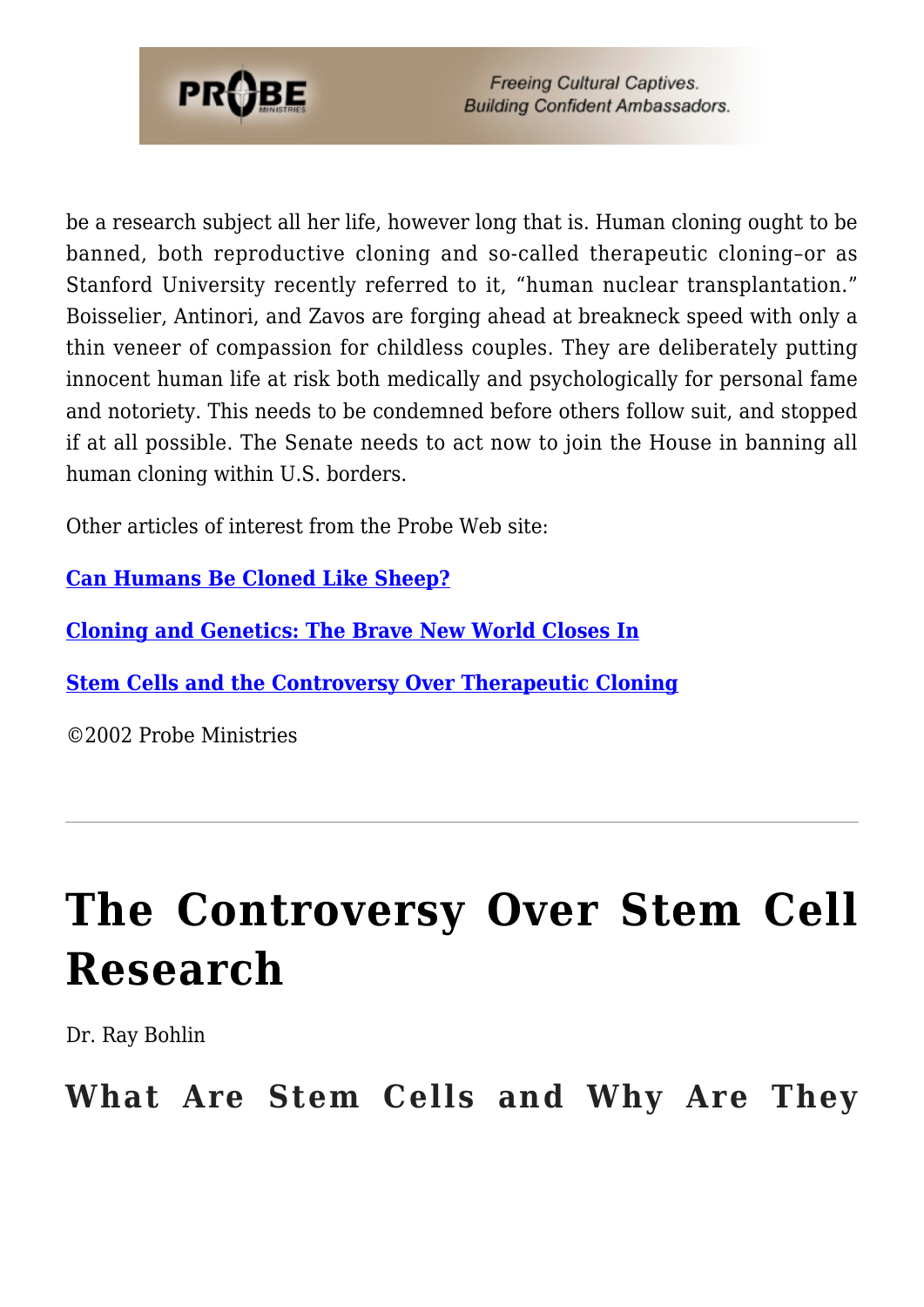

be a research subject all her life, however long that is. Human cloning ought to be banned, both reproductive cloning and so-called therapeutic cloning–or as Stanford University recently referred to it, "human nuclear transplantation." Boisselier, Antinori, and Zavos are forging ahead at breakneck speed with only a thin veneer of compassion for childless couples. They are deliberately putting innocent human life at risk both medically and psychologically for personal fame and notoriety. This needs to be condemned before others follow suit, and stopped if at all possible. The Senate needs to act now to join the House in banning all human cloning within U.S. borders.

Other articles of interest from the Probe Web site:

**[Can Humans Be Cloned Like Sheep?](https://www.probe.org/can-humans-be-cloned-like-sheep/)**

**[Cloning and Genetics: The Brave New World Closes In](https://www.probe.org/cloning-and-genetics-the-brave-new-world-closes-in/)**

**[Stem Cells and the Controversy Over Therapeutic Cloning](https://www.probe.org/stem-cells-and-the-controversy-over-therapeutic-cloning/)**

©2002 Probe Ministries

# **[The Controversy Over Stem Cell](https://probe.org/the-controversy-over-stem-cell-research/) [Research](https://probe.org/the-controversy-over-stem-cell-research/)**

Dr. Ray Bohlin

**What Are Stem Cells and Why Are They**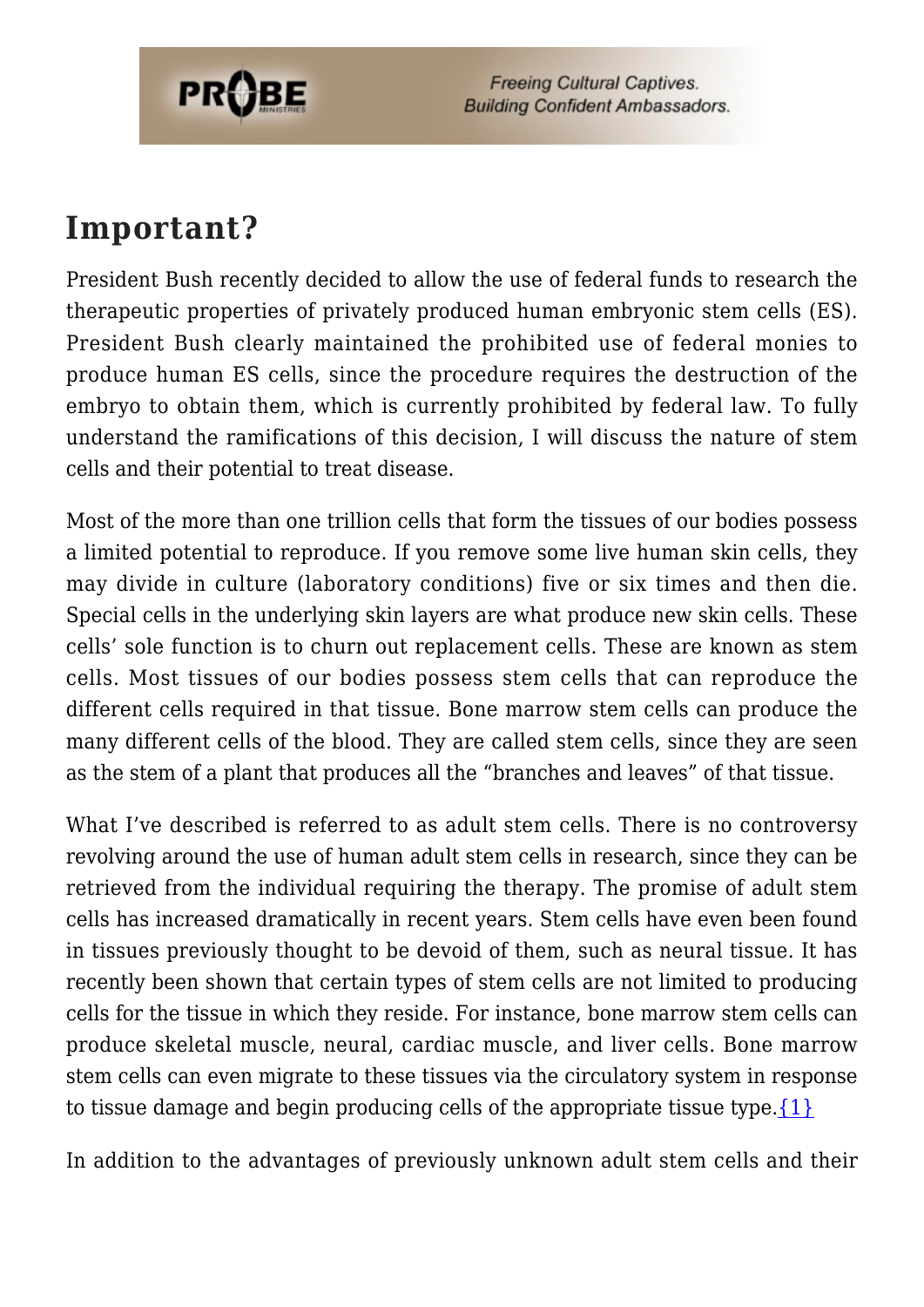

### **Important?**

President Bush recently decided to allow the use of federal funds to research the therapeutic properties of privately produced human embryonic stem cells (ES). President Bush clearly maintained the prohibited use of federal monies to produce human ES cells, since the procedure requires the destruction of the embryo to obtain them, which is currently prohibited by federal law. To fully understand the ramifications of this decision, I will discuss the nature of stem cells and their potential to treat disease.

Most of the more than one trillion cells that form the tissues of our bodies possess a limited potential to reproduce. If you remove some live human skin cells, they may divide in culture (laboratory conditions) five or six times and then die. Special cells in the underlying skin layers are what produce new skin cells. These cells' sole function is to churn out replacement cells. These are known as stem cells. Most tissues of our bodies possess stem cells that can reproduce the different cells required in that tissue. Bone marrow stem cells can produce the many different cells of the blood. They are called stem cells, since they are seen as the stem of a plant that produces all the "branches and leaves" of that tissue.

What I've described is referred to as adult stem cells. There is no controversy revolving around the use of human adult stem cells in research, since they can be retrieved from the individual requiring the therapy. The promise of adult stem cells has increased dramatically in recent years. Stem cells have even been found in tissues previously thought to be devoid of them, such as neural tissue. It has recently been shown that certain types of stem cells are not limited to producing cells for the tissue in which they reside. For instance, bone marrow stem cells can produce skeletal muscle, neural, cardiac muscle, and liver cells. Bone marrow stem cells can even migrate to these tissues via the circulatory system in response to tissue damage and begin producing cells of the appropriate tissue type. $\{1\}$ 

In addition to the advantages of previously unknown adult stem cells and their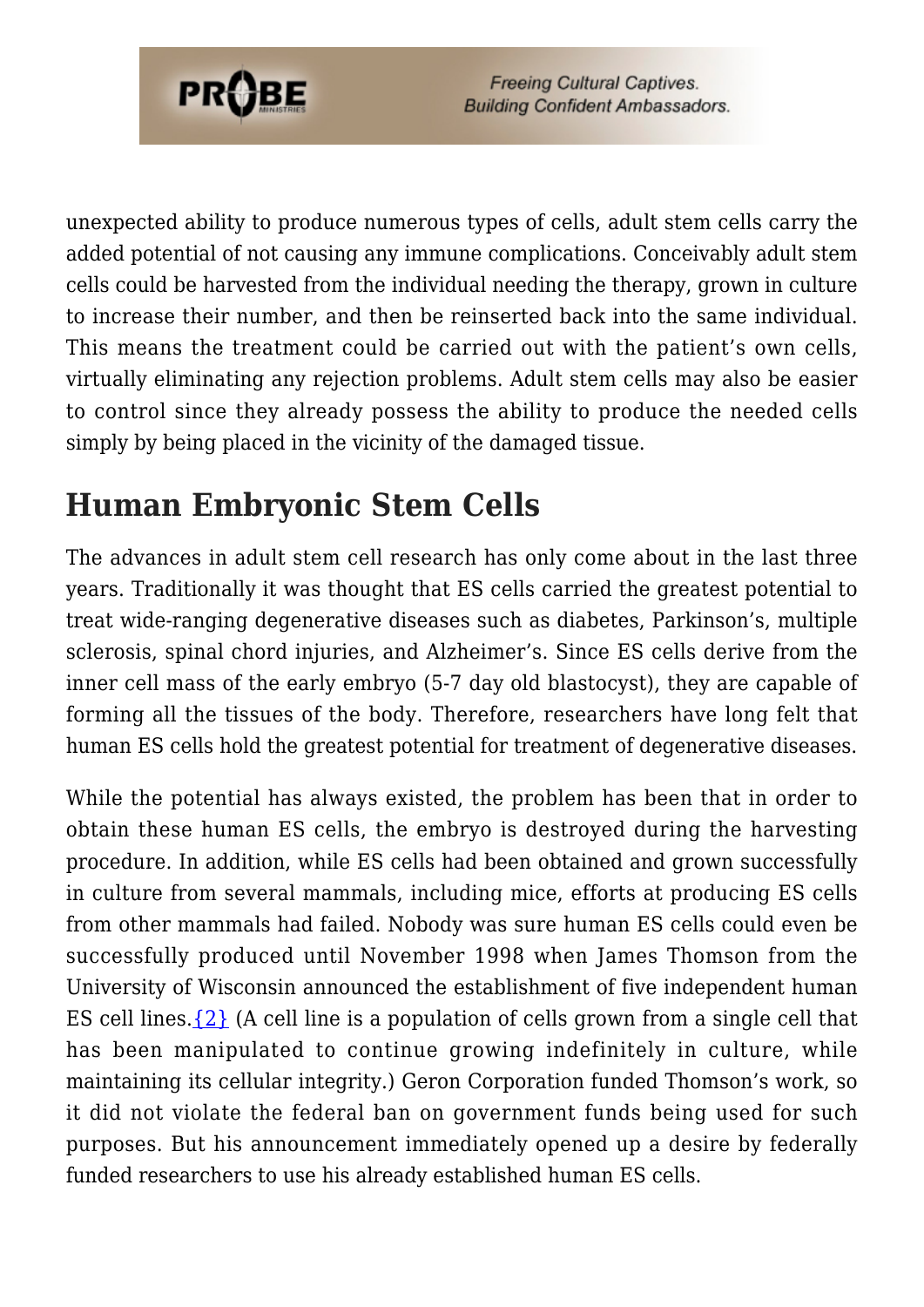

unexpected ability to produce numerous types of cells, adult stem cells carry the added potential of not causing any immune complications. Conceivably adult stem cells could be harvested from the individual needing the therapy, grown in culture to increase their number, and then be reinserted back into the same individual. This means the treatment could be carried out with the patient's own cells, virtually eliminating any rejection problems. Adult stem cells may also be easier to control since they already possess the ability to produce the needed cells simply by being placed in the vicinity of the damaged tissue.

## **Human Embryonic Stem Cells**

The advances in adult stem cell research has only come about in the last three years. Traditionally it was thought that ES cells carried the greatest potential to treat wide-ranging degenerative diseases such as diabetes, Parkinson's, multiple sclerosis, spinal chord injuries, and Alzheimer's. Since ES cells derive from the inner cell mass of the early embryo (5-7 day old blastocyst), they are capable of forming all the tissues of the body. Therefore, researchers have long felt that human ES cells hold the greatest potential for treatment of degenerative diseases.

While the potential has always existed, the problem has been that in order to obtain these human ES cells, the embryo is destroyed during the harvesting procedure. In addition, while ES cells had been obtained and grown successfully in culture from several mammals, including mice, efforts at producing ES cells from other mammals had failed. Nobody was sure human ES cells could even be successfully produced until November 1998 when James Thomson from the University of Wisconsin announced the establishment of five independent human ES cell lines. $\{2\}$  (A cell line is a population of cells grown from a single cell that has been manipulated to continue growing indefinitely in culture, while maintaining its cellular integrity.) Geron Corporation funded Thomson's work, so it did not violate the federal ban on government funds being used for such purposes. But his announcement immediately opened up a desire by federally funded researchers to use his already established human ES cells.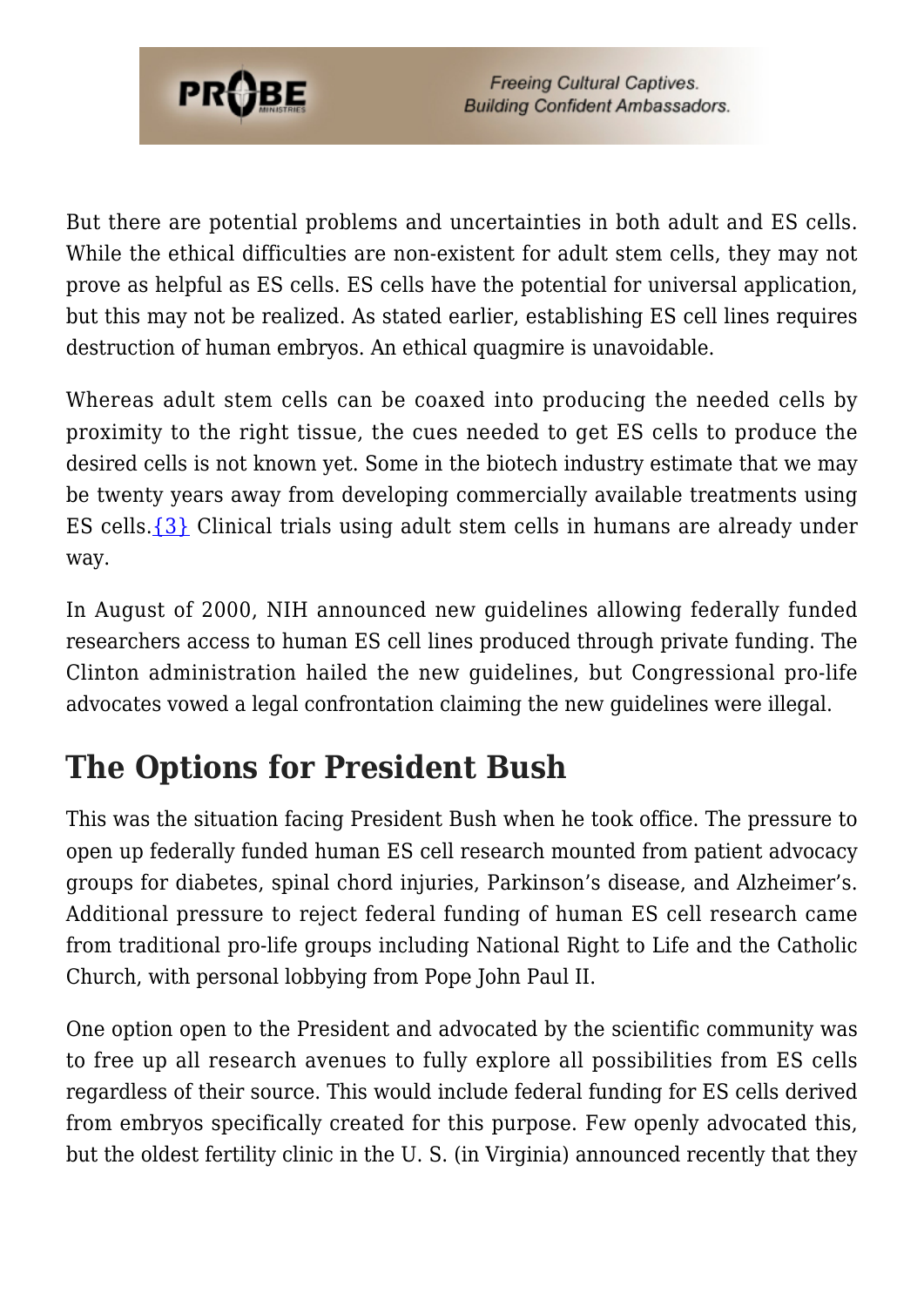

But there are potential problems and uncertainties in both adult and ES cells. While the ethical difficulties are non-existent for adult stem cells, they may not prove as helpful as ES cells. ES cells have the potential for universal application, but this may not be realized. As stated earlier, establishing ES cell lines requires destruction of human embryos. An ethical quagmire is unavoidable.

Whereas adult stem cells can be coaxed into producing the needed cells by proximity to the right tissue, the cues needed to get ES cells to produce the desired cells is not known yet. Some in the biotech industry estimate that we may be twenty years away from developing commercially available treatments using ES cells[.{3}](#page-64-2) Clinical trials using adult stem cells in humans are already under way.

In August of 2000, NIH announced new guidelines allowing federally funded researchers access to human ES cell lines produced through private funding. The Clinton administration hailed the new guidelines, but Congressional pro-life advocates vowed a legal confrontation claiming the new guidelines were illegal.

### **The Options for President Bush**

This was the situation facing President Bush when he took office. The pressure to open up federally funded human ES cell research mounted from patient advocacy groups for diabetes, spinal chord injuries, Parkinson's disease, and Alzheimer's. Additional pressure to reject federal funding of human ES cell research came from traditional pro-life groups including National Right to Life and the Catholic Church, with personal lobbying from Pope John Paul II.

One option open to the President and advocated by the scientific community was to free up all research avenues to fully explore all possibilities from ES cells regardless of their source. This would include federal funding for ES cells derived from embryos specifically created for this purpose. Few openly advocated this, but the oldest fertility clinic in the U. S. (in Virginia) announced recently that they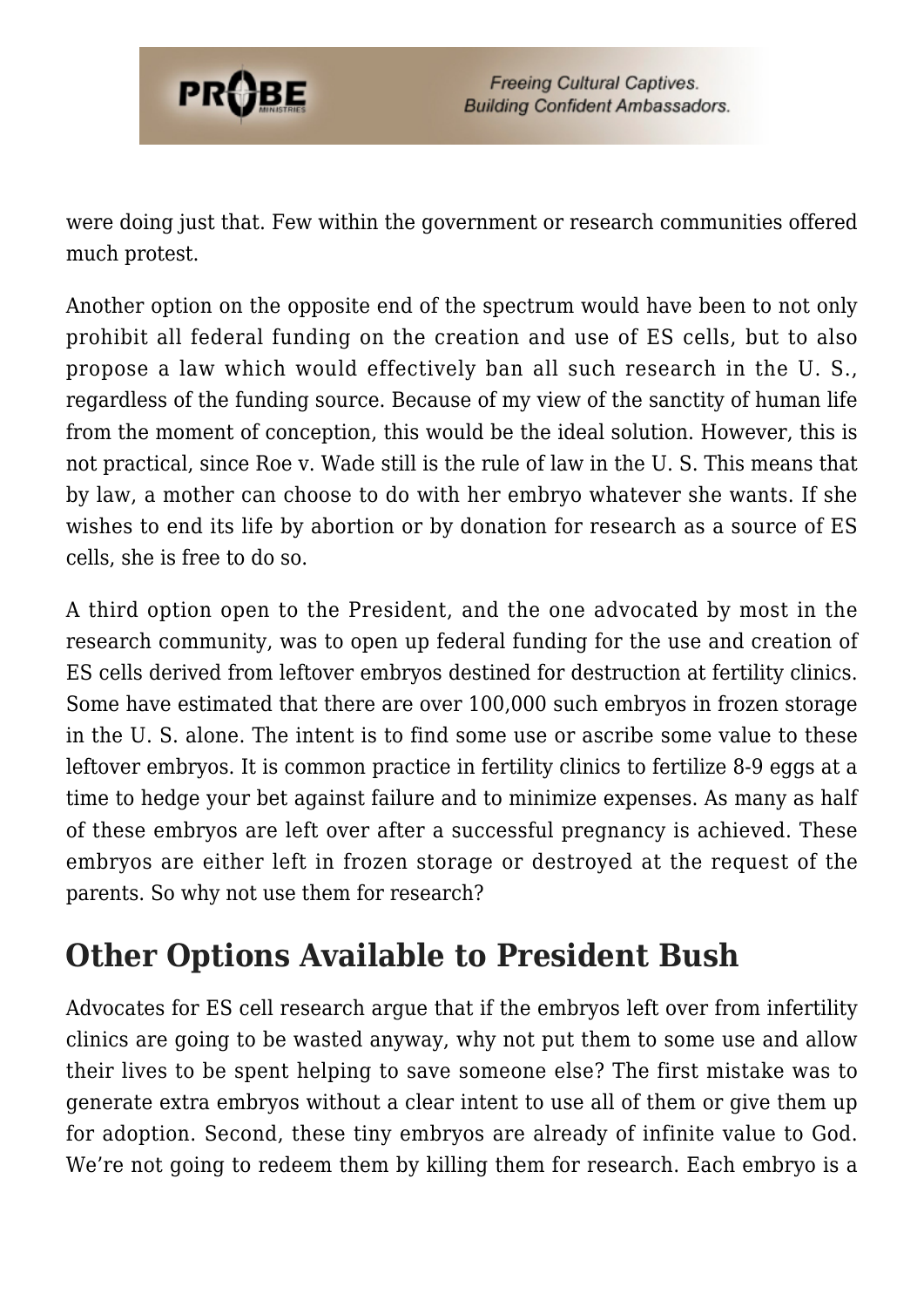

were doing just that. Few within the government or research communities offered much protest.

Another option on the opposite end of the spectrum would have been to not only prohibit all federal funding on the creation and use of ES cells, but to also propose a law which would effectively ban all such research in the U. S., regardless of the funding source. Because of my view of the sanctity of human life from the moment of conception, this would be the ideal solution. However, this is not practical, since Roe v. Wade still is the rule of law in the U. S. This means that by law, a mother can choose to do with her embryo whatever she wants. If she wishes to end its life by abortion or by donation for research as a source of ES cells, she is free to do so.

A third option open to the President, and the one advocated by most in the research community, was to open up federal funding for the use and creation of ES cells derived from leftover embryos destined for destruction at fertility clinics. Some have estimated that there are over 100,000 such embryos in frozen storage in the U. S. alone. The intent is to find some use or ascribe some value to these leftover embryos. It is common practice in fertility clinics to fertilize 8-9 eggs at a time to hedge your bet against failure and to minimize expenses. As many as half of these embryos are left over after a successful pregnancy is achieved. These embryos are either left in frozen storage or destroyed at the request of the parents. So why not use them for research?

### **Other Options Available to President Bush**

Advocates for ES cell research argue that if the embryos left over from infertility clinics are going to be wasted anyway, why not put them to some use and allow their lives to be spent helping to save someone else? The first mistake was to generate extra embryos without a clear intent to use all of them or give them up for adoption. Second, these tiny embryos are already of infinite value to God. We're not going to redeem them by killing them for research. Each embryo is a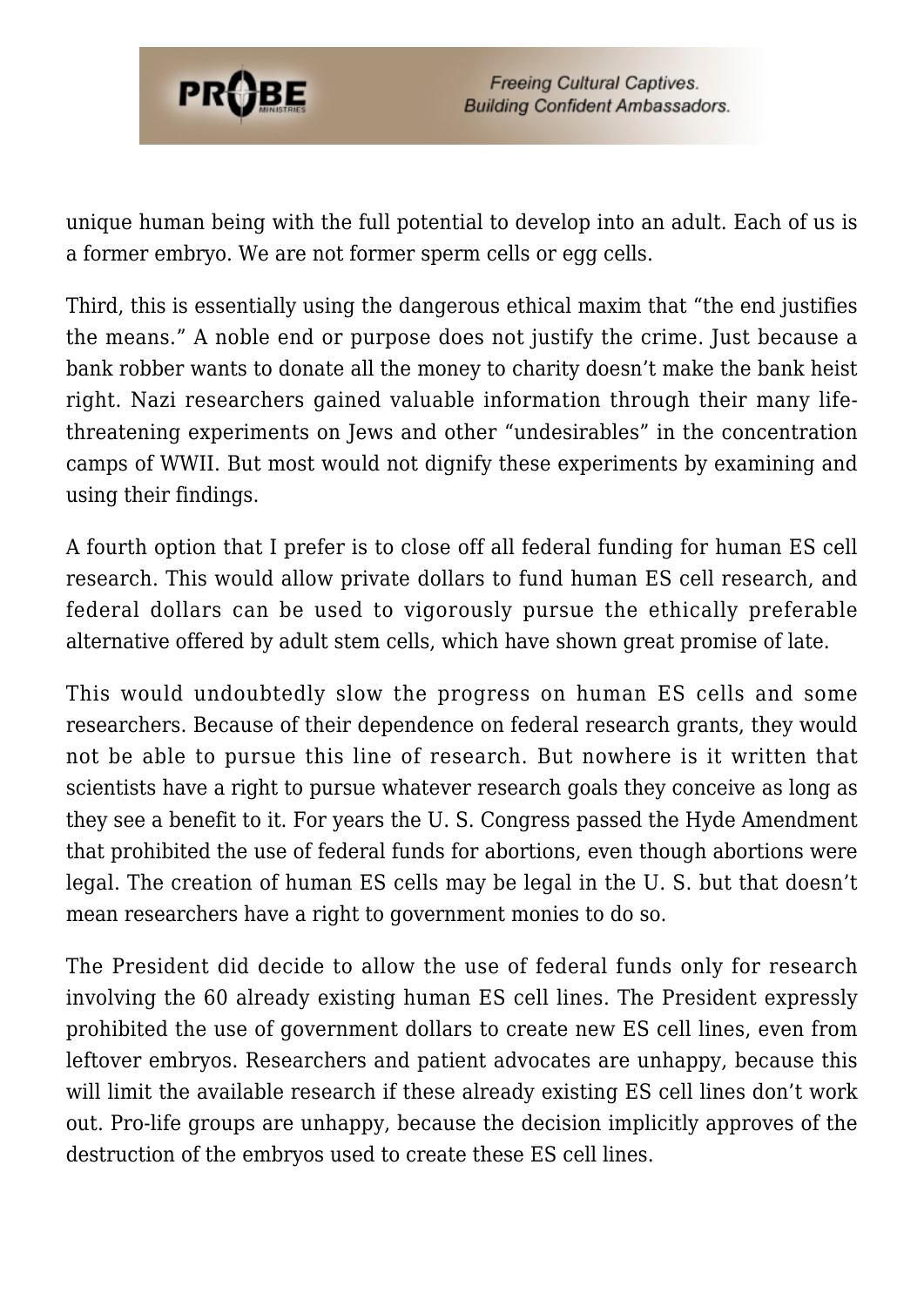

unique human being with the full potential to develop into an adult. Each of us is a former embryo. We are not former sperm cells or egg cells.

Third, this is essentially using the dangerous ethical maxim that "the end justifies the means." A noble end or purpose does not justify the crime. Just because a bank robber wants to donate all the money to charity doesn't make the bank heist right. Nazi researchers gained valuable information through their many lifethreatening experiments on Jews and other "undesirables" in the concentration camps of WWII. But most would not dignify these experiments by examining and using their findings.

A fourth option that I prefer is to close off all federal funding for human ES cell research. This would allow private dollars to fund human ES cell research, and federal dollars can be used to vigorously pursue the ethically preferable alternative offered by adult stem cells, which have shown great promise of late.

This would undoubtedly slow the progress on human ES cells and some researchers. Because of their dependence on federal research grants, they would not be able to pursue this line of research. But nowhere is it written that scientists have a right to pursue whatever research goals they conceive as long as they see a benefit to it. For years the U. S. Congress passed the Hyde Amendment that prohibited the use of federal funds for abortions, even though abortions were legal. The creation of human ES cells may be legal in the U. S. but that doesn't mean researchers have a right to government monies to do so.

The President did decide to allow the use of federal funds only for research involving the 60 already existing human ES cell lines. The President expressly prohibited the use of government dollars to create new ES cell lines, even from leftover embryos. Researchers and patient advocates are unhappy, because this will limit the available research if these already existing ES cell lines don't work out. Pro-life groups are unhappy, because the decision implicitly approves of the destruction of the embryos used to create these ES cell lines.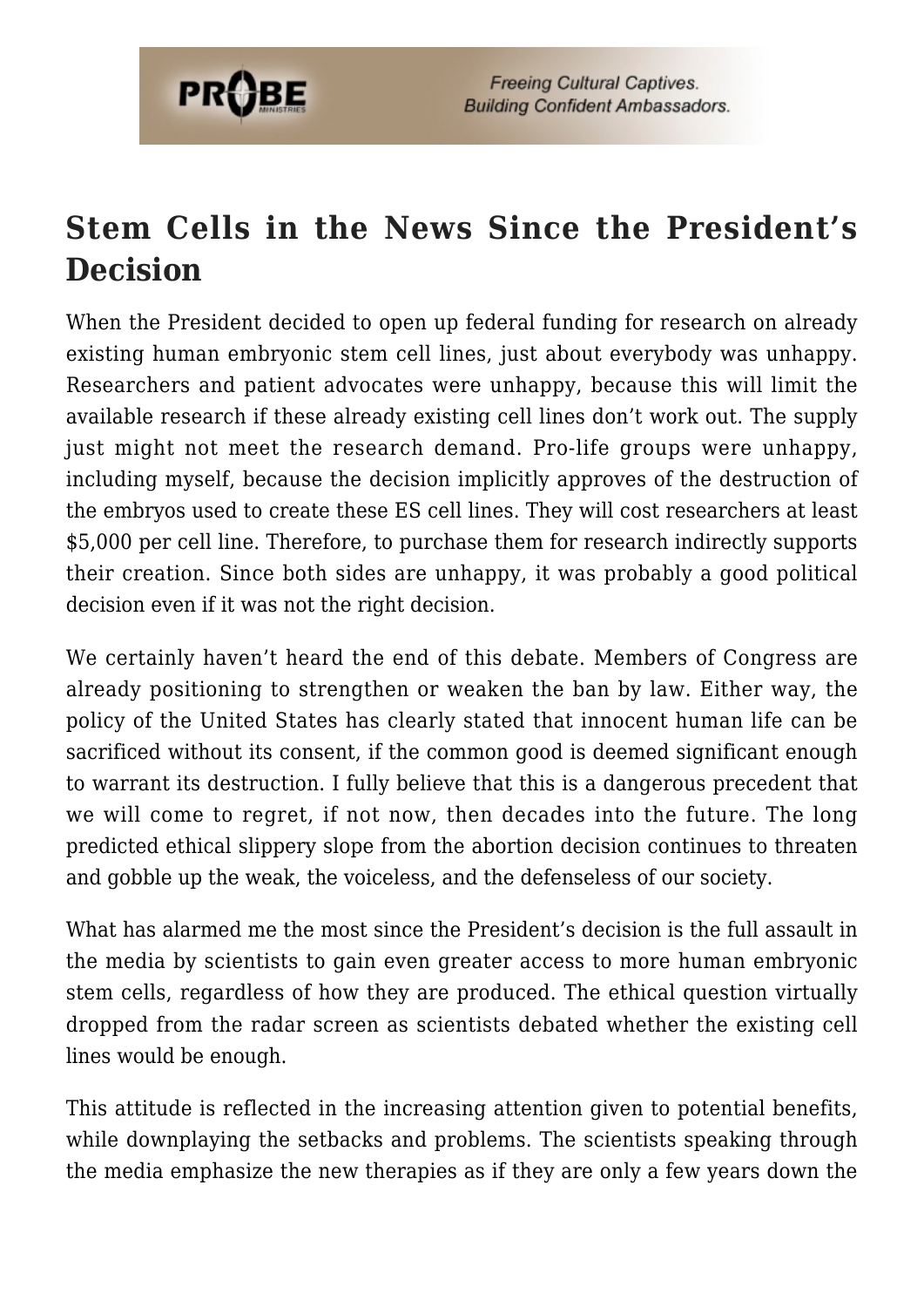

## **Stem Cells in the News Since the President's Decision**

When the President decided to open up federal funding for research on already existing human embryonic stem cell lines, just about everybody was unhappy. Researchers and patient advocates were unhappy, because this will limit the available research if these already existing cell lines don't work out. The supply just might not meet the research demand. Pro-life groups were unhappy, including myself, because the decision implicitly approves of the destruction of the embryos used to create these ES cell lines. They will cost researchers at least \$5,000 per cell line. Therefore, to purchase them for research indirectly supports their creation. Since both sides are unhappy, it was probably a good political decision even if it was not the right decision.

We certainly haven't heard the end of this debate. Members of Congress are already positioning to strengthen or weaken the ban by law. Either way, the policy of the United States has clearly stated that innocent human life can be sacrificed without its consent, if the common good is deemed significant enough to warrant its destruction. I fully believe that this is a dangerous precedent that we will come to regret, if not now, then decades into the future. The long predicted ethical slippery slope from the abortion decision continues to threaten and gobble up the weak, the voiceless, and the defenseless of our society.

What has alarmed me the most since the President's decision is the full assault in the media by scientists to gain even greater access to more human embryonic stem cells, regardless of how they are produced. The ethical question virtually dropped from the radar screen as scientists debated whether the existing cell lines would be enough.

This attitude is reflected in the increasing attention given to potential benefits, while downplaying the setbacks and problems. The scientists speaking through the media emphasize the new therapies as if they are only a few years down the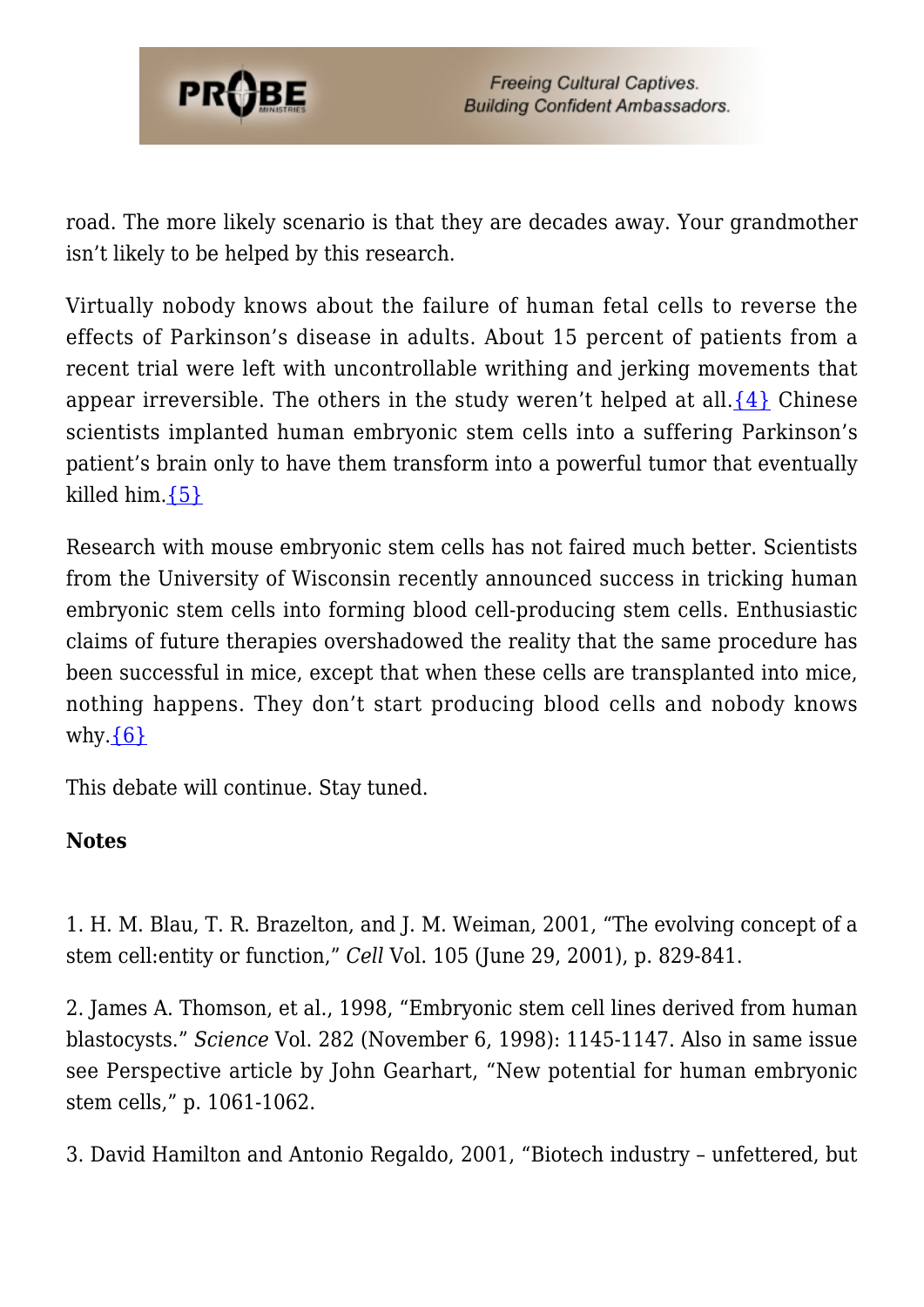

road. The more likely scenario is that they are decades away. Your grandmother isn't likely to be helped by this research.

Virtually nobody knows about the failure of human fetal cells to reverse the effects of Parkinson's disease in adults. About 15 percent of patients from a recent trial were left with uncontrollable writhing and jerking movements that appear irreversible. The others in the study weren't helped at all.  $\{4\}$  Chinese scientists implanted human embryonic stem cells into a suffering Parkinson's patient's brain only to have them transform into a powerful tumor that eventually killed him[.{5}](#page-55-0)

Research with mouse embryonic stem cells has not faired much better. Scientists from the University of Wisconsin recently announced success in tricking human embryonic stem cells into forming blood cell-producing stem cells. Enthusiastic claims of future therapies overshadowed the reality that the same procedure has been successful in mice, except that when these cells are transplanted into mice, nothing happens. They don't start producing blood cells and nobody knows why. $\{6\}$ 

This debate will continue. Stay tuned.

#### **Notes**

1. H. M. Blau, T. R. Brazelton, and J. M. Weiman, 2001, "The evolving concept of a stem cell:entity or function," *Cell* Vol. 105 (June 29, 2001), p. 829-841.

2. James A. Thomson, et al., 1998, "Embryonic stem cell lines derived from human blastocysts." *Science* Vol. 282 (November 6, 1998): 1145-1147. Also in same issue see Perspective article by John Gearhart, "New potential for human embryonic stem cells," p. 1061-1062.

3. David Hamilton and Antonio Regaldo, 2001, "Biotech industry – unfettered, but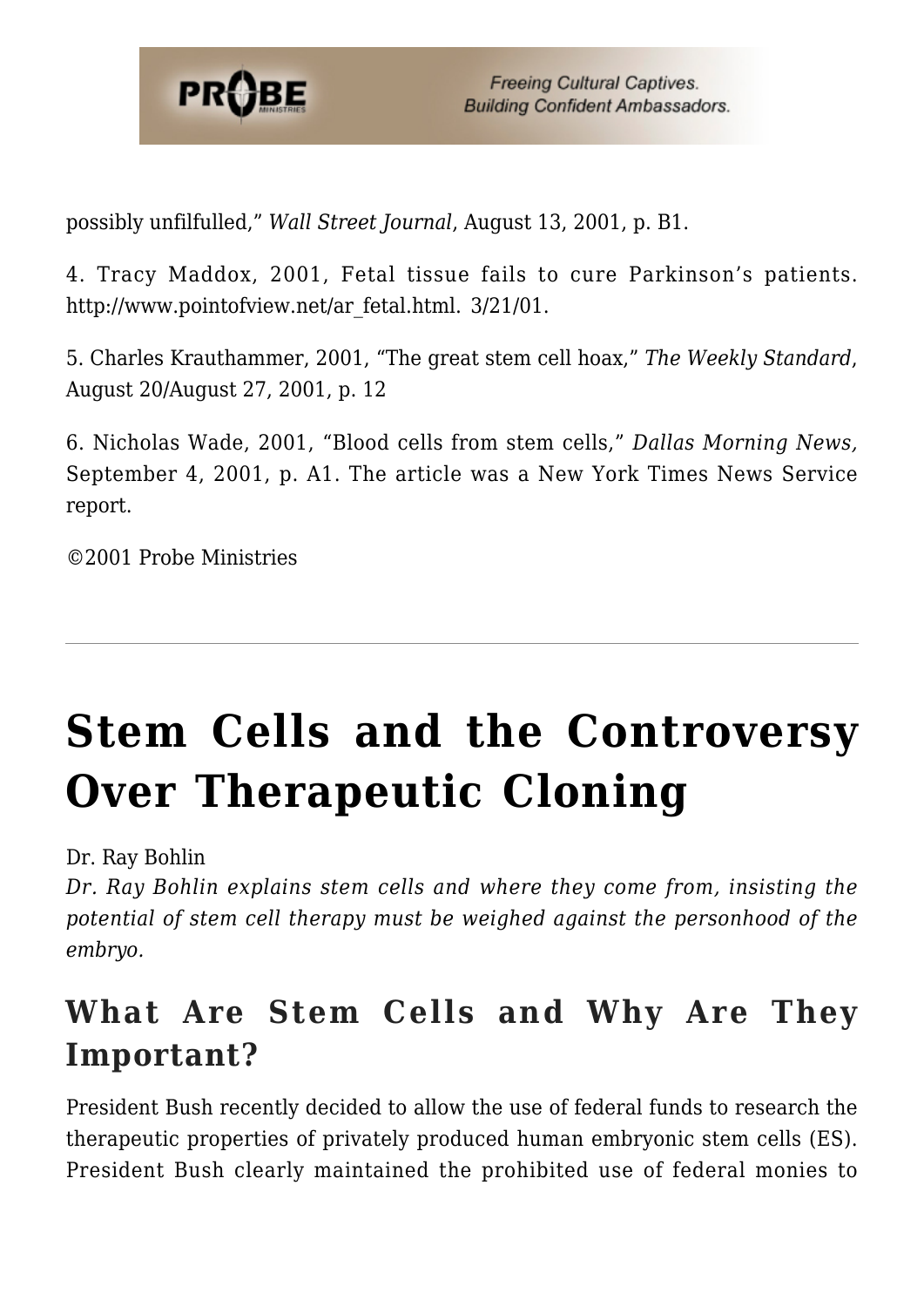

possibly unfilfulled," *Wall Street Journal*, August 13, 2001, p. B1.

4. Tracy Maddox, 2001, Fetal tissue fails to cure Parkinson's patients. http://www.pointofview.net/ar\_fetal.html. 3/21/01.

5. Charles Krauthammer, 2001, "The great stem cell hoax," *The Weekly Standard*, August 20/August 27, 2001, p. 12

6. Nicholas Wade, 2001, "Blood cells from stem cells," *Dallas Morning News,* September 4, 2001, p. A1. The article was a New York Times News Service report.

©2001 Probe Ministries

# **[Stem Cells and the Controversy](https://probe.org/stem-cells-and-the-controversy-over-therapeutic-cloning/) [Over Therapeutic Cloning](https://probe.org/stem-cells-and-the-controversy-over-therapeutic-cloning/)**

Dr. Ray Bohlin

*Dr. Ray Bohlin explains stem cells and where they come from, insisting the potential of stem cell therapy must be weighed against the personhood of the embryo.*

### **What Are Stem Cells and Why Are They Important?**

President Bush recently decided to allow the use of federal funds to research the therapeutic properties of privately produced human embryonic stem cells (ES). President Bush clearly maintained the prohibited use of federal monies to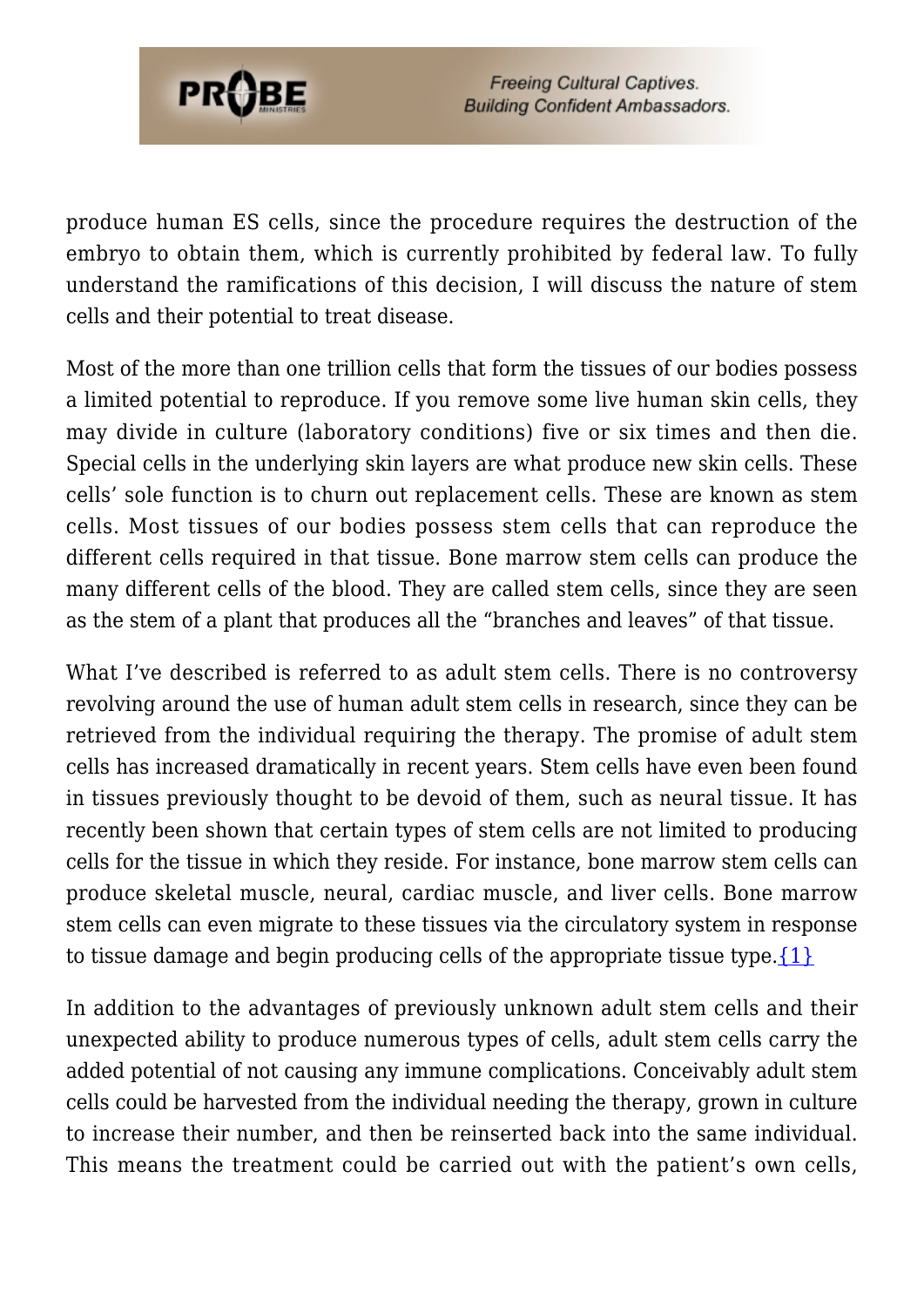

produce human ES cells, since the procedure requires the destruction of the embryo to obtain them, which is currently prohibited by federal law. To fully understand the ramifications of this decision, I will discuss the nature of stem cells and their potential to treat disease.

Most of the more than one trillion cells that form the tissues of our bodies possess a limited potential to reproduce. If you remove some live human skin cells, they may divide in culture (laboratory conditions) five or six times and then die. Special cells in the underlying skin layers are what produce new skin cells. These cells' sole function is to churn out replacement cells. These are known as stem cells. Most tissues of our bodies possess stem cells that can reproduce the different cells required in that tissue. Bone marrow stem cells can produce the many different cells of the blood. They are called stem cells, since they are seen as the stem of a plant that produces all the "branches and leaves" of that tissue.

What I've described is referred to as adult stem cells. There is no controversy revolving around the use of human adult stem cells in research, since they can be retrieved from the individual requiring the therapy. The promise of adult stem cells has increased dramatically in recent years. Stem cells have even been found in tissues previously thought to be devoid of them, such as neural tissue. It has recently been shown that certain types of stem cells are not limited to producing cells for the tissue in which they reside. For instance, bone marrow stem cells can produce skeletal muscle, neural, cardiac muscle, and liver cells. Bone marrow stem cells can even migrate to these tissues via the circulatory system in response to tissue damage and begin producing cells of the appropriate tissue type.  $\{1\}$ 

In addition to the advantages of previously unknown adult stem cells and their unexpected ability to produce numerous types of cells, adult stem cells carry the added potential of not causing any immune complications. Conceivably adult stem cells could be harvested from the individual needing the therapy, grown in culture to increase their number, and then be reinserted back into the same individual. This means the treatment could be carried out with the patient's own cells,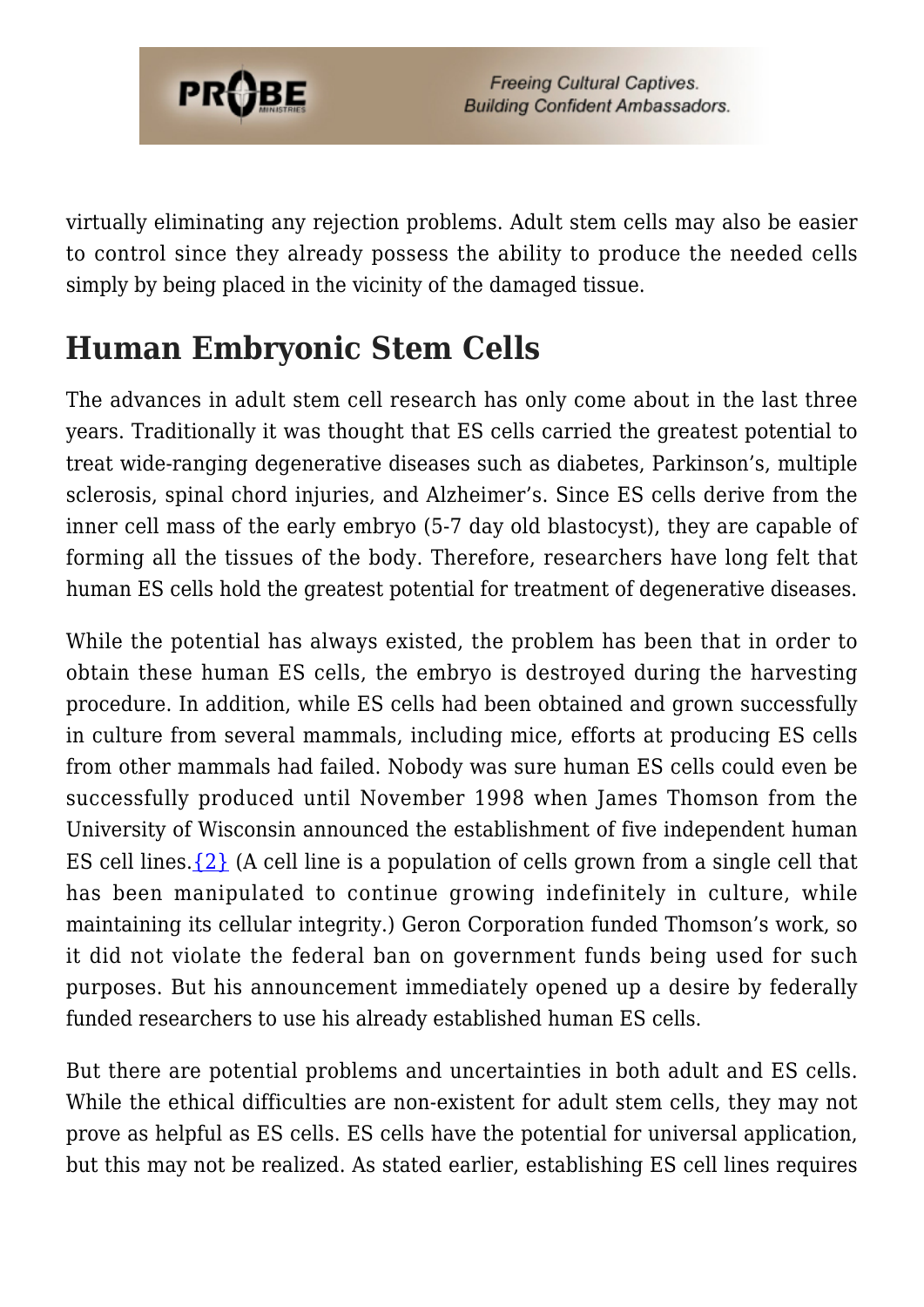

virtually eliminating any rejection problems. Adult stem cells may also be easier to control since they already possess the ability to produce the needed cells simply by being placed in the vicinity of the damaged tissue.

## **Human Embryonic Stem Cells**

The advances in adult stem cell research has only come about in the last three years. Traditionally it was thought that ES cells carried the greatest potential to treat wide-ranging degenerative diseases such as diabetes, Parkinson's, multiple sclerosis, spinal chord injuries, and Alzheimer's. Since ES cells derive from the inner cell mass of the early embryo (5-7 day old blastocyst), they are capable of forming all the tissues of the body. Therefore, researchers have long felt that human ES cells hold the greatest potential for treatment of degenerative diseases.

While the potential has always existed, the problem has been that in order to obtain these human ES cells, the embryo is destroyed during the harvesting procedure. In addition, while ES cells had been obtained and grown successfully in culture from several mammals, including mice, efforts at producing ES cells from other mammals had failed. Nobody was sure human ES cells could even be successfully produced until November 1998 when James Thomson from the University of Wisconsin announced the establishment of five independent human ES cell lines[.{2}](#page-64-1) (A cell line is a population of cells grown from a single cell that has been manipulated to continue growing indefinitely in culture, while maintaining its cellular integrity.) Geron Corporation funded Thomson's work, so it did not violate the federal ban on government funds being used for such purposes. But his announcement immediately opened up a desire by federally funded researchers to use his already established human ES cells.

But there are potential problems and uncertainties in both adult and ES cells. While the ethical difficulties are non-existent for adult stem cells, they may not prove as helpful as ES cells. ES cells have the potential for universal application, but this may not be realized. As stated earlier, establishing ES cell lines requires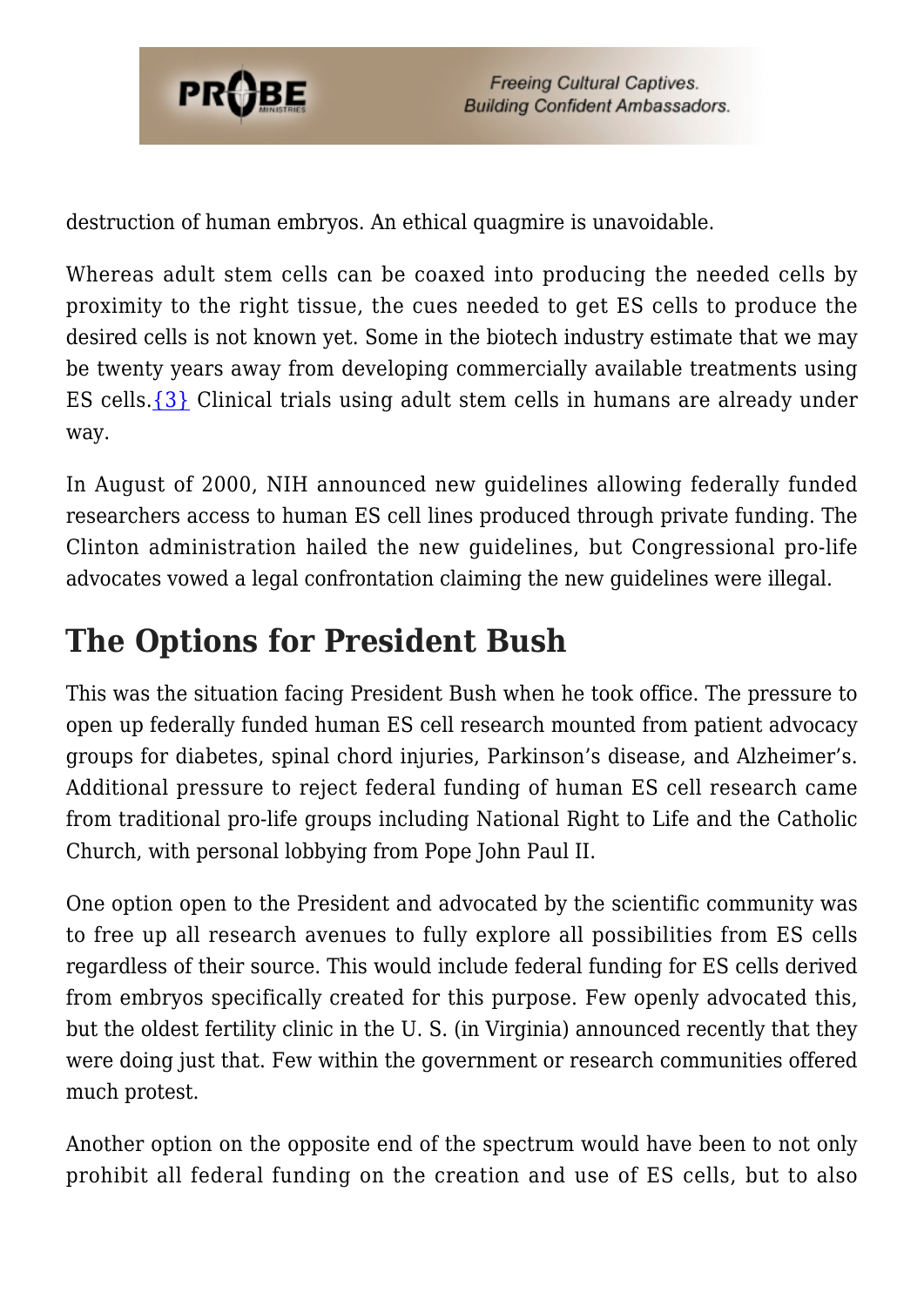

destruction of human embryos. An ethical quagmire is unavoidable.

Whereas adult stem cells can be coaxed into producing the needed cells by proximity to the right tissue, the cues needed to get ES cells to produce the desired cells is not known yet. Some in the biotech industry estimate that we may be twenty years away from developing commercially available treatments using ES cells[.{3}](#page-64-2) Clinical trials using adult stem cells in humans are already under way.

In August of 2000, NIH announced new guidelines allowing federally funded researchers access to human ES cell lines produced through private funding. The Clinton administration hailed the new guidelines, but Congressional pro-life advocates vowed a legal confrontation claiming the new guidelines were illegal.

## **The Options for President Bush**

This was the situation facing President Bush when he took office. The pressure to open up federally funded human ES cell research mounted from patient advocacy groups for diabetes, spinal chord injuries, Parkinson's disease, and Alzheimer's. Additional pressure to reject federal funding of human ES cell research came from traditional pro-life groups including National Right to Life and the Catholic Church, with personal lobbying from Pope John Paul II.

One option open to the President and advocated by the scientific community was to free up all research avenues to fully explore all possibilities from ES cells regardless of their source. This would include federal funding for ES cells derived from embryos specifically created for this purpose. Few openly advocated this, but the oldest fertility clinic in the U. S. (in Virginia) announced recently that they were doing just that. Few within the government or research communities offered much protest.

Another option on the opposite end of the spectrum would have been to not only prohibit all federal funding on the creation and use of ES cells, but to also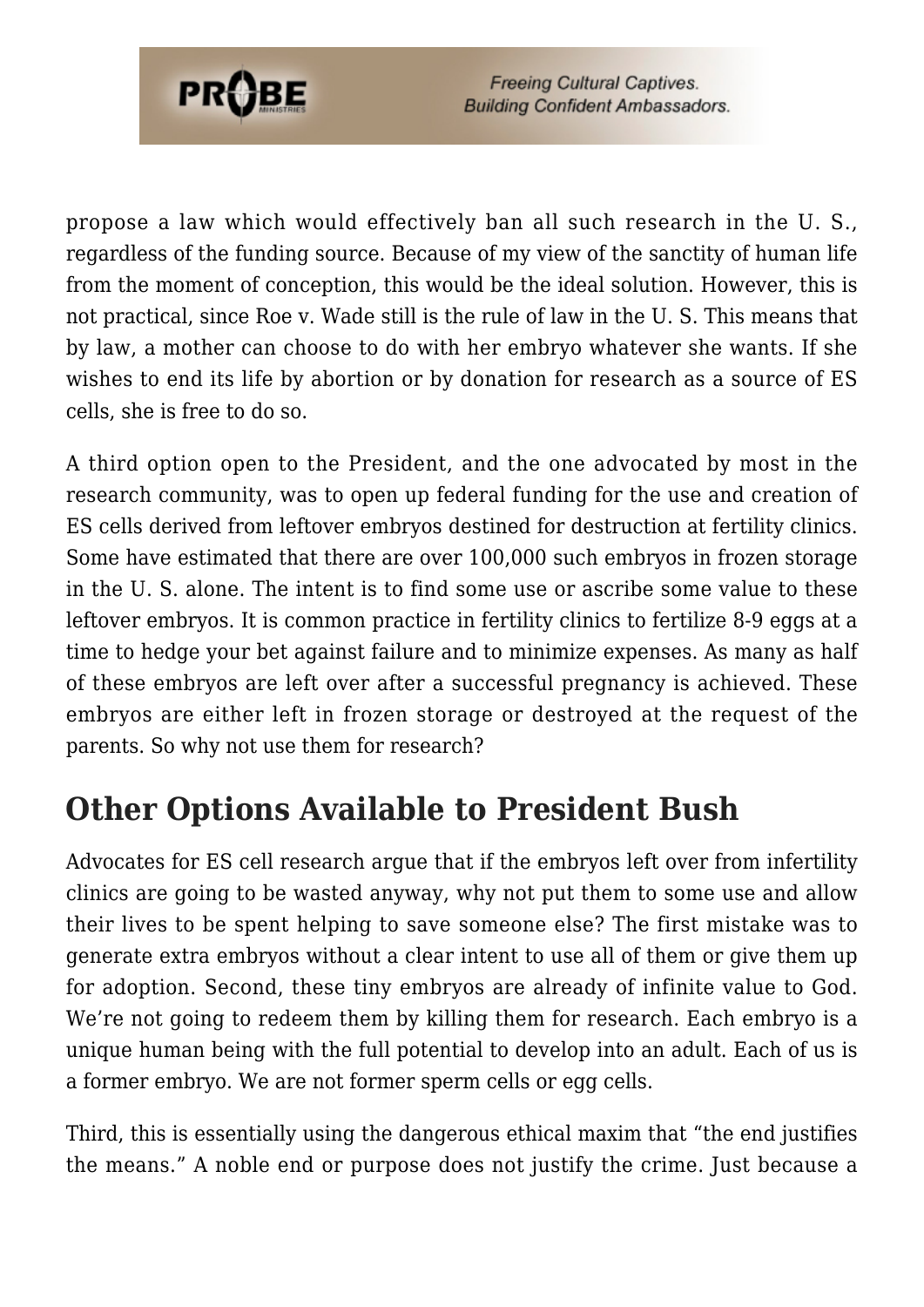

propose a law which would effectively ban all such research in the U. S., regardless of the funding source. Because of my view of the sanctity of human life from the moment of conception, this would be the ideal solution. However, this is not practical, since Roe v. Wade still is the rule of law in the U. S. This means that by law, a mother can choose to do with her embryo whatever she wants. If she wishes to end its life by abortion or by donation for research as a source of ES cells, she is free to do so.

A third option open to the President, and the one advocated by most in the research community, was to open up federal funding for the use and creation of ES cells derived from leftover embryos destined for destruction at fertility clinics. Some have estimated that there are over 100,000 such embryos in frozen storage in the U. S. alone. The intent is to find some use or ascribe some value to these leftover embryos. It is common practice in fertility clinics to fertilize 8-9 eggs at a time to hedge your bet against failure and to minimize expenses. As many as half of these embryos are left over after a successful pregnancy is achieved. These embryos are either left in frozen storage or destroyed at the request of the parents. So why not use them for research?

### **Other Options Available to President Bush**

Advocates for ES cell research argue that if the embryos left over from infertility clinics are going to be wasted anyway, why not put them to some use and allow their lives to be spent helping to save someone else? The first mistake was to generate extra embryos without a clear intent to use all of them or give them up for adoption. Second, these tiny embryos are already of infinite value to God. We're not going to redeem them by killing them for research. Each embryo is a unique human being with the full potential to develop into an adult. Each of us is a former embryo. We are not former sperm cells or egg cells.

Third, this is essentially using the dangerous ethical maxim that "the end justifies the means." A noble end or purpose does not justify the crime. Just because a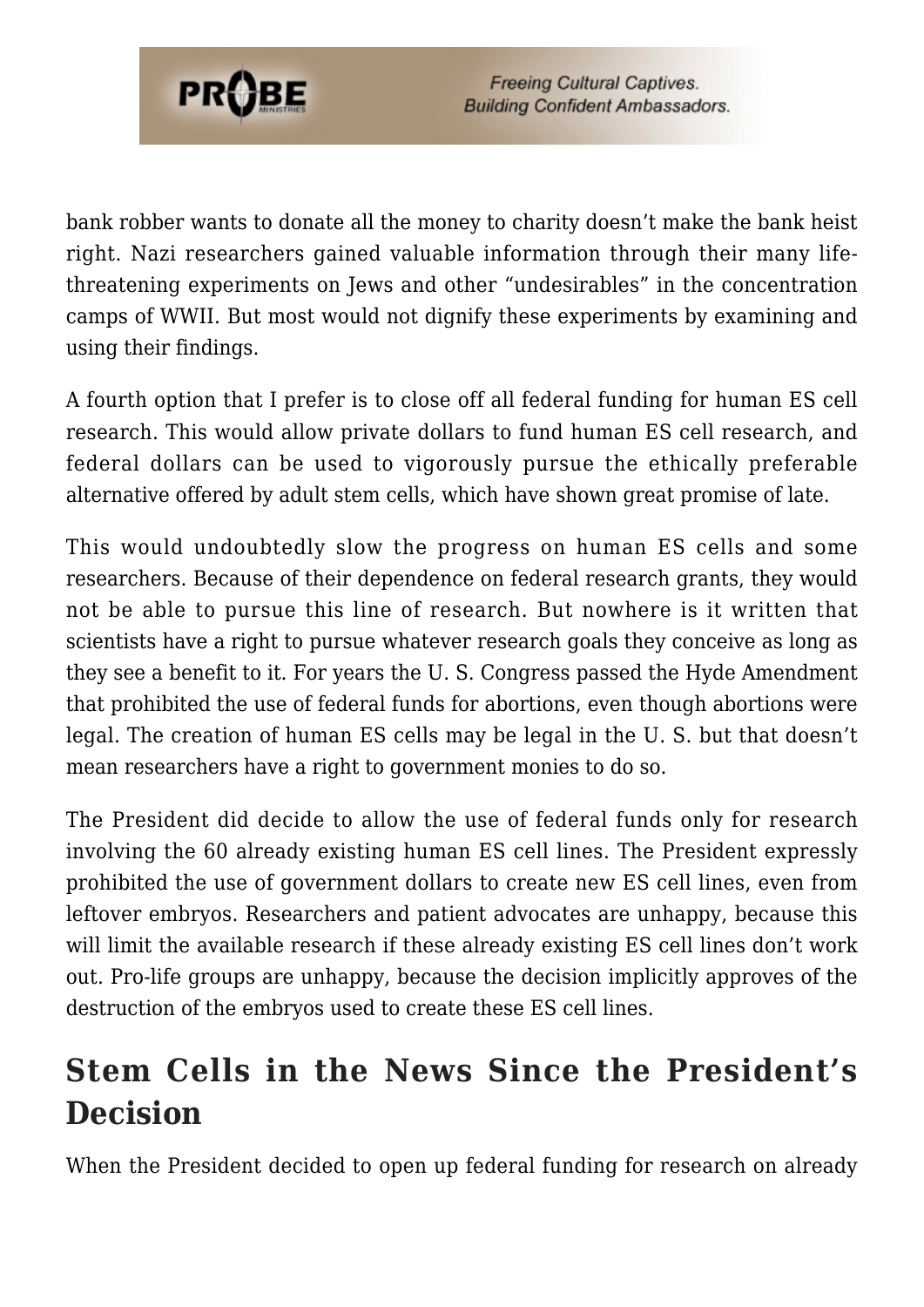

bank robber wants to donate all the money to charity doesn't make the bank heist right. Nazi researchers gained valuable information through their many lifethreatening experiments on Jews and other "undesirables" in the concentration camps of WWII. But most would not dignify these experiments by examining and using their findings.

A fourth option that I prefer is to close off all federal funding for human ES cell research. This would allow private dollars to fund human ES cell research, and federal dollars can be used to vigorously pursue the ethically preferable alternative offered by adult stem cells, which have shown great promise of late.

This would undoubtedly slow the progress on human ES cells and some researchers. Because of their dependence on federal research grants, they would not be able to pursue this line of research. But nowhere is it written that scientists have a right to pursue whatever research goals they conceive as long as they see a benefit to it. For years the U. S. Congress passed the Hyde Amendment that prohibited the use of federal funds for abortions, even though abortions were legal. The creation of human ES cells may be legal in the U. S. but that doesn't mean researchers have a right to government monies to do so.

The President did decide to allow the use of federal funds only for research involving the 60 already existing human ES cell lines. The President expressly prohibited the use of government dollars to create new ES cell lines, even from leftover embryos. Researchers and patient advocates are unhappy, because this will limit the available research if these already existing ES cell lines don't work out. Pro-life groups are unhappy, because the decision implicitly approves of the destruction of the embryos used to create these ES cell lines.

## **Stem Cells in the News Since the President's Decision**

When the President decided to open up federal funding for research on already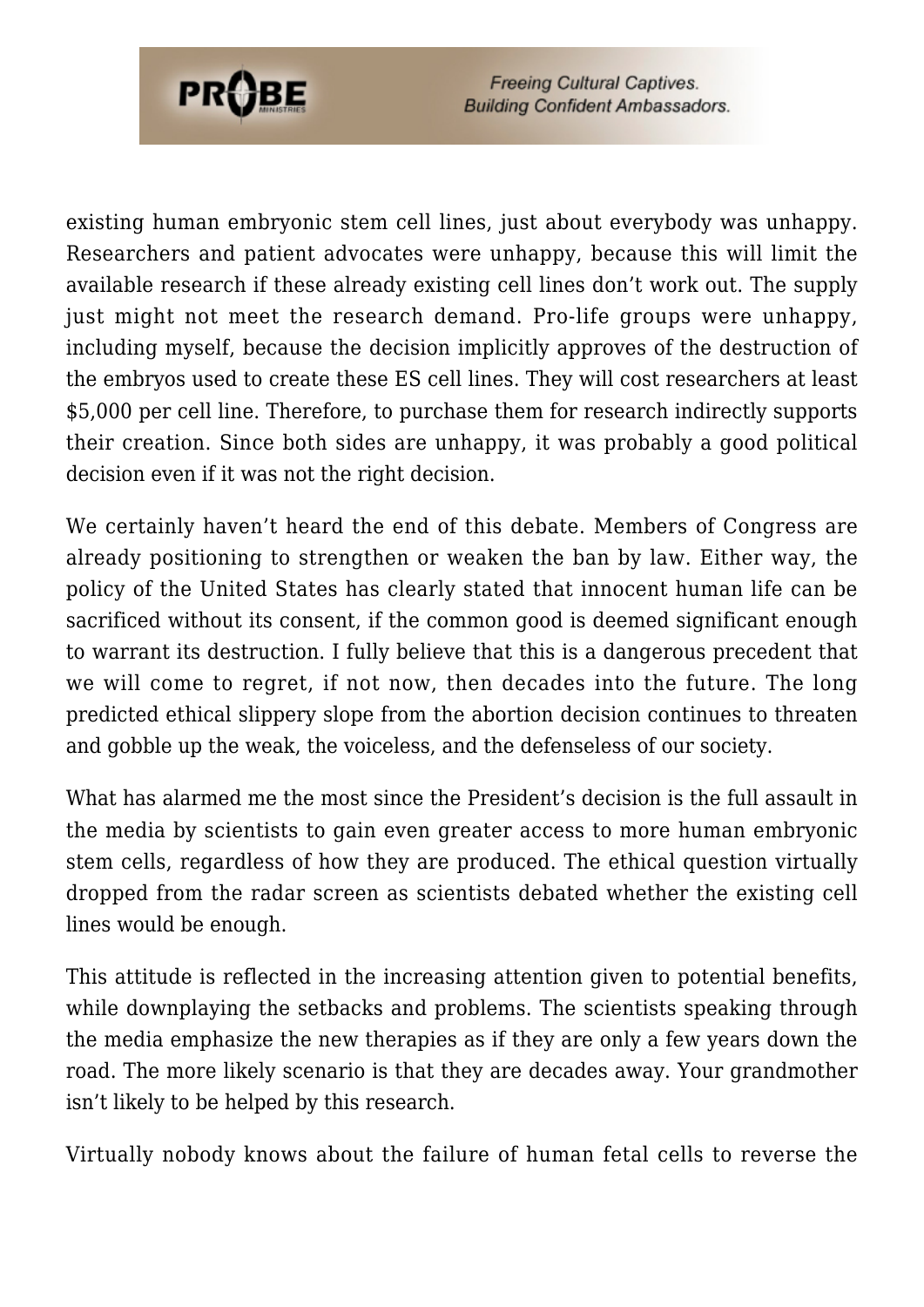

existing human embryonic stem cell lines, just about everybody was unhappy. Researchers and patient advocates were unhappy, because this will limit the available research if these already existing cell lines don't work out. The supply just might not meet the research demand. Pro-life groups were unhappy, including myself, because the decision implicitly approves of the destruction of the embryos used to create these ES cell lines. They will cost researchers at least \$5,000 per cell line. Therefore, to purchase them for research indirectly supports their creation. Since both sides are unhappy, it was probably a good political decision even if it was not the right decision.

We certainly haven't heard the end of this debate. Members of Congress are already positioning to strengthen or weaken the ban by law. Either way, the policy of the United States has clearly stated that innocent human life can be sacrificed without its consent, if the common good is deemed significant enough to warrant its destruction. I fully believe that this is a dangerous precedent that we will come to regret, if not now, then decades into the future. The long predicted ethical slippery slope from the abortion decision continues to threaten and gobble up the weak, the voiceless, and the defenseless of our society.

What has alarmed me the most since the President's decision is the full assault in the media by scientists to gain even greater access to more human embryonic stem cells, regardless of how they are produced. The ethical question virtually dropped from the radar screen as scientists debated whether the existing cell lines would be enough.

This attitude is reflected in the increasing attention given to potential benefits, while downplaying the setbacks and problems. The scientists speaking through the media emphasize the new therapies as if they are only a few years down the road. The more likely scenario is that they are decades away. Your grandmother isn't likely to be helped by this research.

Virtually nobody knows about the failure of human fetal cells to reverse the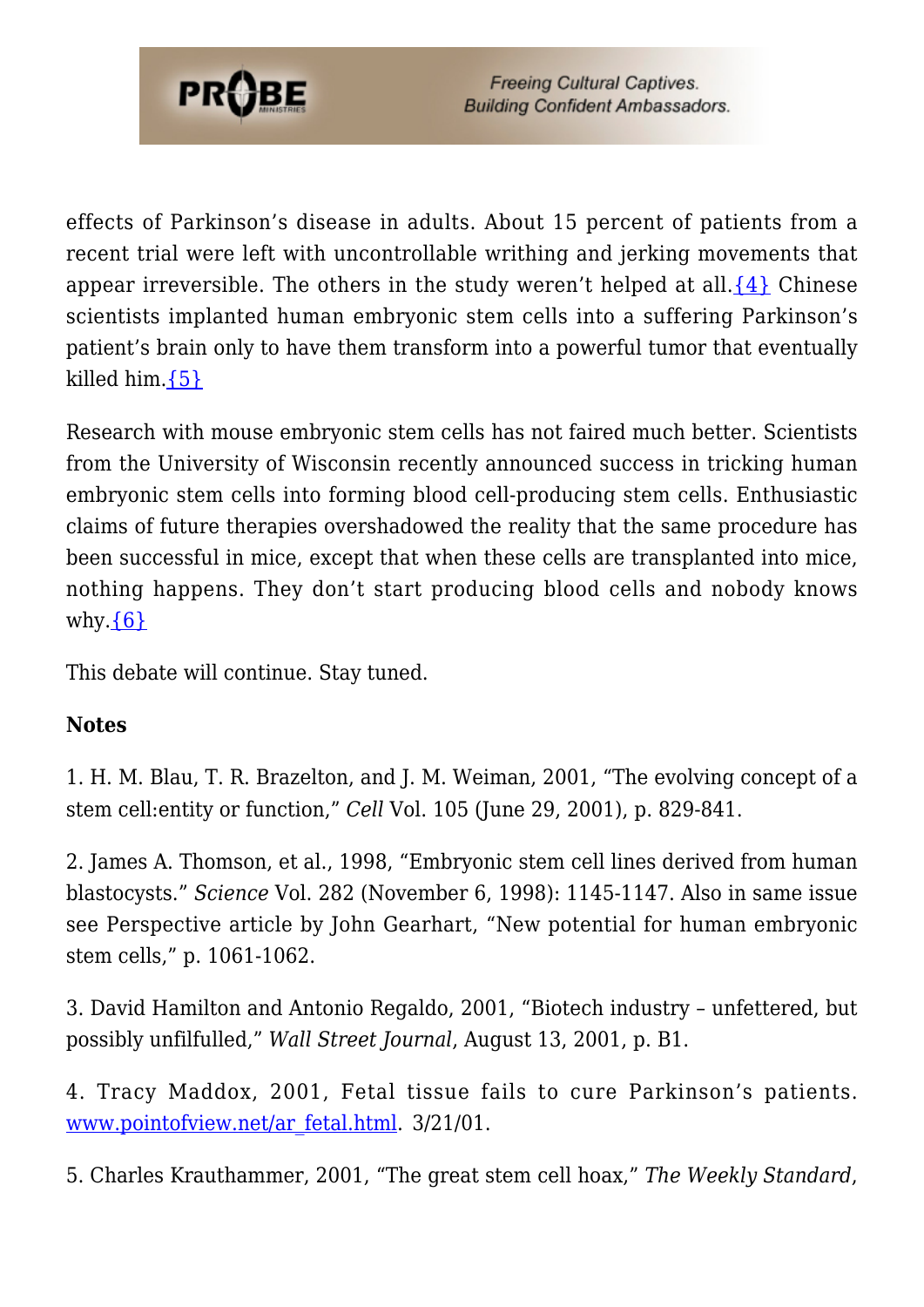

effects of Parkinson's disease in adults. About 15 percent of patients from a recent trial were left with uncontrollable writhing and jerking movements that appear irreversible. The others in the study weren't helped at all. $\{4\}$  Chinese scientists implanted human embryonic stem cells into a suffering Parkinson's patient's brain only to have them transform into a powerful tumor that eventually killed him. ${5}$ 

Research with mouse embryonic stem cells has not faired much better. Scientists from the University of Wisconsin recently announced success in tricking human embryonic stem cells into forming blood cell-producing stem cells. Enthusiastic claims of future therapies overshadowed the reality that the same procedure has been successful in mice, except that when these cells are transplanted into mice, nothing happens. They don't start producing blood cells and nobody knows why. $\{6\}$ 

This debate will continue. Stay tuned.

#### **Notes**

1. H. M. Blau, T. R. Brazelton, and J. M. Weiman, 2001, "The evolving concept of a stem cell:entity or function," *Cell* Vol. 105 (June 29, 2001), p. 829-841.

2. James A. Thomson, et al., 1998, "Embryonic stem cell lines derived from human blastocysts." *Science* Vol. 282 (November 6, 1998): 1145-1147. Also in same issue see Perspective article by John Gearhart, "New potential for human embryonic stem cells," p. 1061-1062.

3. David Hamilton and Antonio Regaldo, 2001, "Biotech industry – unfettered, but possibly unfilfulled," *Wall Street Journal*, August 13, 2001, p. B1.

4. Tracy Maddox, 2001, Fetal tissue fails to cure Parkinson's patients. [www.pointofview.net/ar\\_fetal.html.](http://www.pointofview.net/ar_fetal.html) 3/21/01.

5. Charles Krauthammer, 2001, "The great stem cell hoax," *The Weekly Standard*,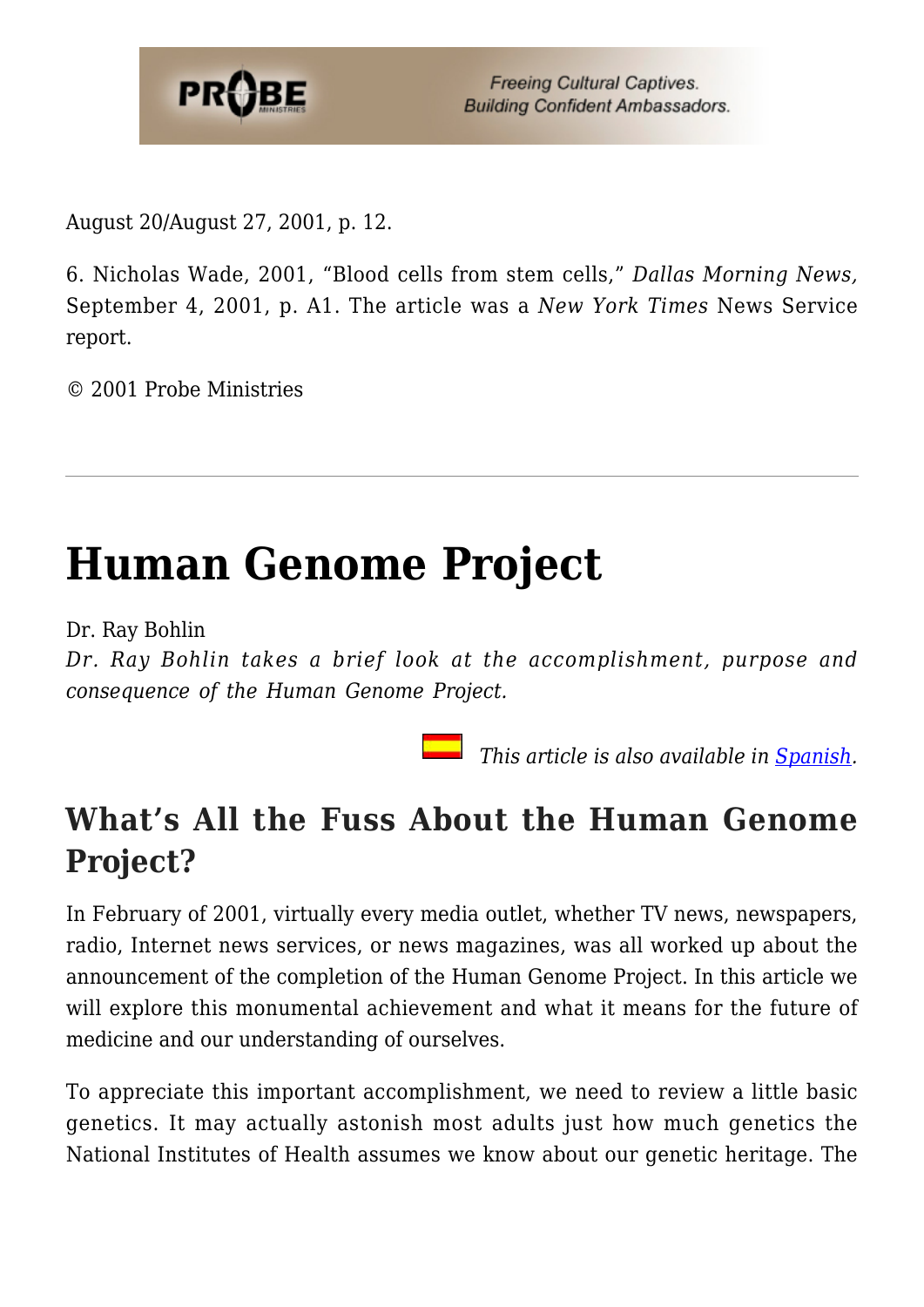

August 20/August 27, 2001, p. 12.

6. Nicholas Wade, 2001, "Blood cells from stem cells," *Dallas Morning News,* September 4, 2001, p. A1. The article was a *New York Times* News Service report.

© 2001 Probe Ministries

# **[Human Genome Project](https://probe.org/human-genome-project/)**

Dr. Ray Bohlin

*Dr. Ray Bohlin takes a brief look at the accomplishment, purpose and consequence of the Human Genome Project.*

 *This article is also available in [Spanish.](https://ministeriosprobe.org/docs/genoma.html)*

### **What's All the Fuss About the Human Genome Project?**

In February of 2001, virtually every media outlet, whether TV news, newspapers, radio, Internet news services, or news magazines, was all worked up about the announcement of the completion of the Human Genome Project. In this article we will explore this monumental achievement and what it means for the future of medicine and our understanding of ourselves.

To appreciate this important accomplishment, we need to review a little basic genetics. It may actually astonish most adults just how much genetics the National Institutes of Health assumes we know about our genetic heritage. The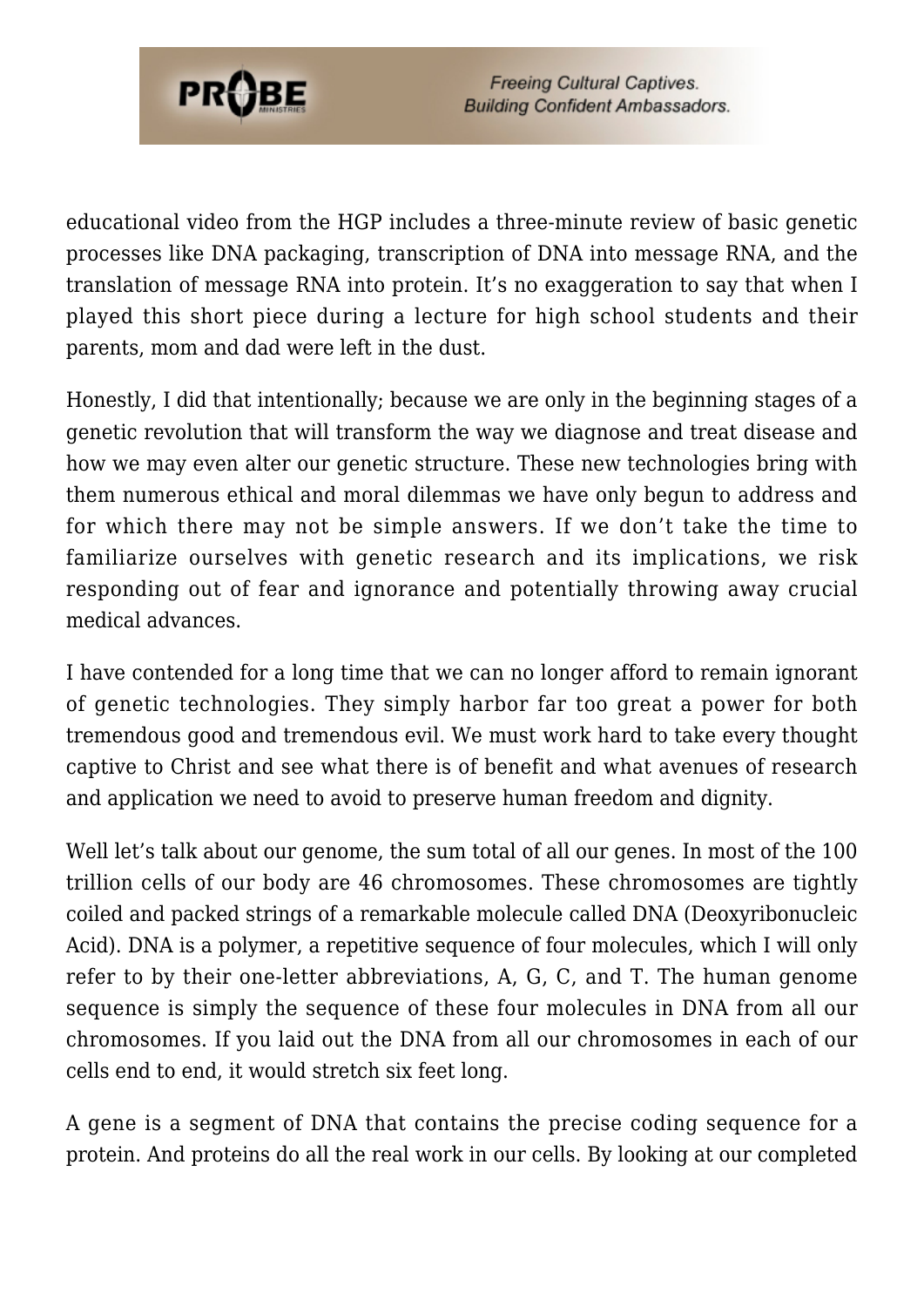

educational video from the HGP includes a three-minute review of basic genetic processes like DNA packaging, transcription of DNA into message RNA, and the translation of message RNA into protein. It's no exaggeration to say that when I played this short piece during a lecture for high school students and their parents, mom and dad were left in the dust.

Honestly, I did that intentionally; because we are only in the beginning stages of a genetic revolution that will transform the way we diagnose and treat disease and how we may even alter our genetic structure. These new technologies bring with them numerous ethical and moral dilemmas we have only begun to address and for which there may not be simple answers. If we don't take the time to familiarize ourselves with genetic research and its implications, we risk responding out of fear and ignorance and potentially throwing away crucial medical advances.

I have contended for a long time that we can no longer afford to remain ignorant of genetic technologies. They simply harbor far too great a power for both tremendous good and tremendous evil. We must work hard to take every thought captive to Christ and see what there is of benefit and what avenues of research and application we need to avoid to preserve human freedom and dignity.

Well let's talk about our genome, the sum total of all our genes. In most of the 100 trillion cells of our body are 46 chromosomes. These chromosomes are tightly coiled and packed strings of a remarkable molecule called DNA (Deoxyribonucleic Acid). DNA is a polymer, a repetitive sequence of four molecules, which I will only refer to by their one-letter abbreviations, A, G, C, and T. The human genome sequence is simply the sequence of these four molecules in DNA from all our chromosomes. If you laid out the DNA from all our chromosomes in each of our cells end to end, it would stretch six feet long.

A gene is a segment of DNA that contains the precise coding sequence for a protein. And proteins do all the real work in our cells. By looking at our completed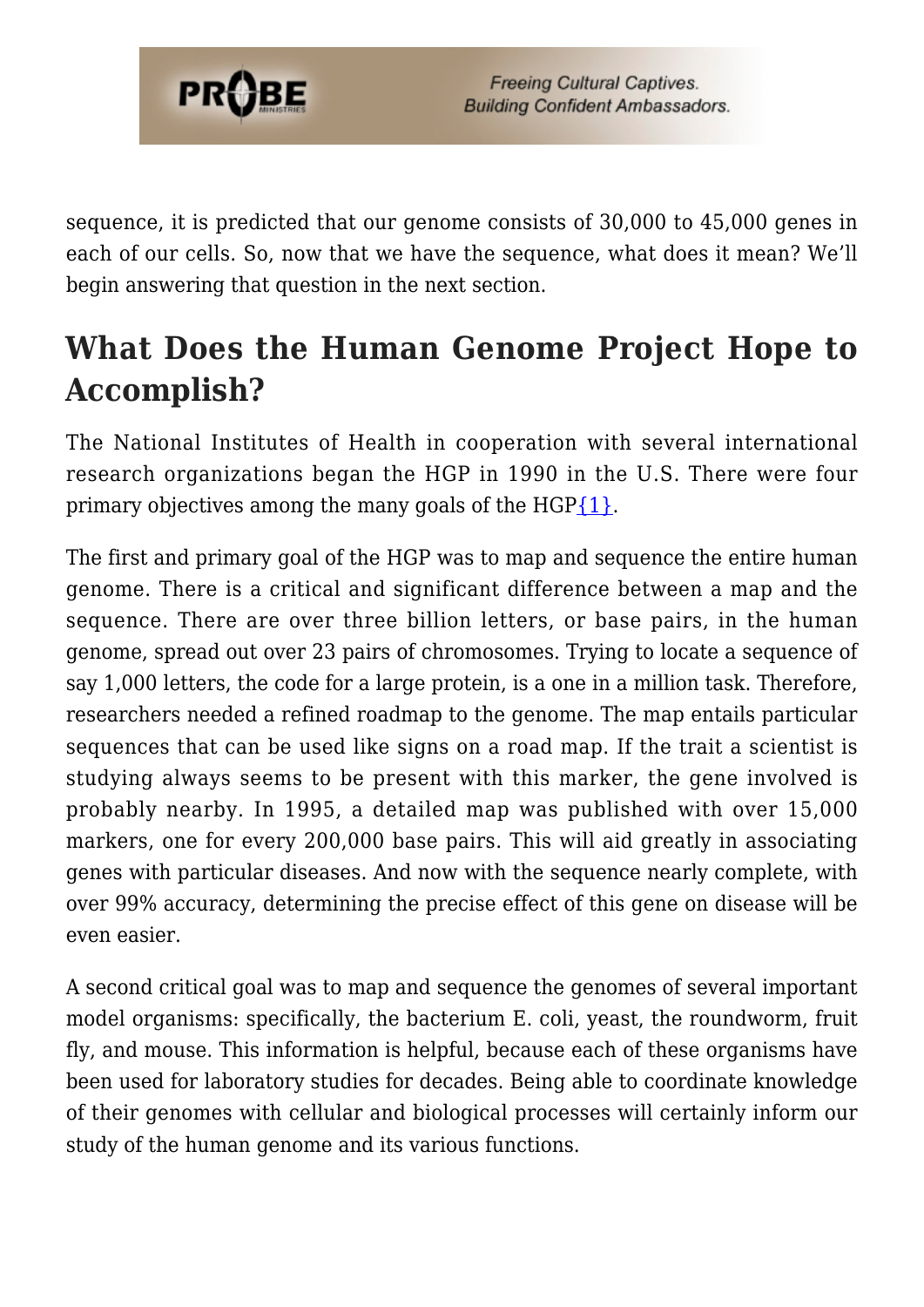

sequence, it is predicted that our genome consists of 30,000 to 45,000 genes in each of our cells. So, now that we have the sequence, what does it mean? We'll begin answering that question in the next section.

### **What Does the Human Genome Project Hope to Accomplish?**

The National Institutes of Health in cooperation with several international research organizations began the HGP in 1990 in the U.S. There were four primary objectives among the many goals of the  $HGP{1}$ .

The first and primary goal of the HGP was to map and sequence the entire human genome. There is a critical and significant difference between a map and the sequence. There are over three billion letters, or base pairs, in the human genome, spread out over 23 pairs of chromosomes. Trying to locate a sequence of say 1,000 letters, the code for a large protein, is a one in a million task. Therefore, researchers needed a refined roadmap to the genome. The map entails particular sequences that can be used like signs on a road map. If the trait a scientist is studying always seems to be present with this marker, the gene involved is probably nearby. In 1995, a detailed map was published with over 15,000 markers, one for every 200,000 base pairs. This will aid greatly in associating genes with particular diseases. And now with the sequence nearly complete, with over 99% accuracy, determining the precise effect of this gene on disease will be even easier.

A second critical goal was to map and sequence the genomes of several important model organisms: specifically, the bacterium E. coli, yeast, the roundworm, fruit fly, and mouse. This information is helpful, because each of these organisms have been used for laboratory studies for decades. Being able to coordinate knowledge of their genomes with cellular and biological processes will certainly inform our study of the human genome and its various functions.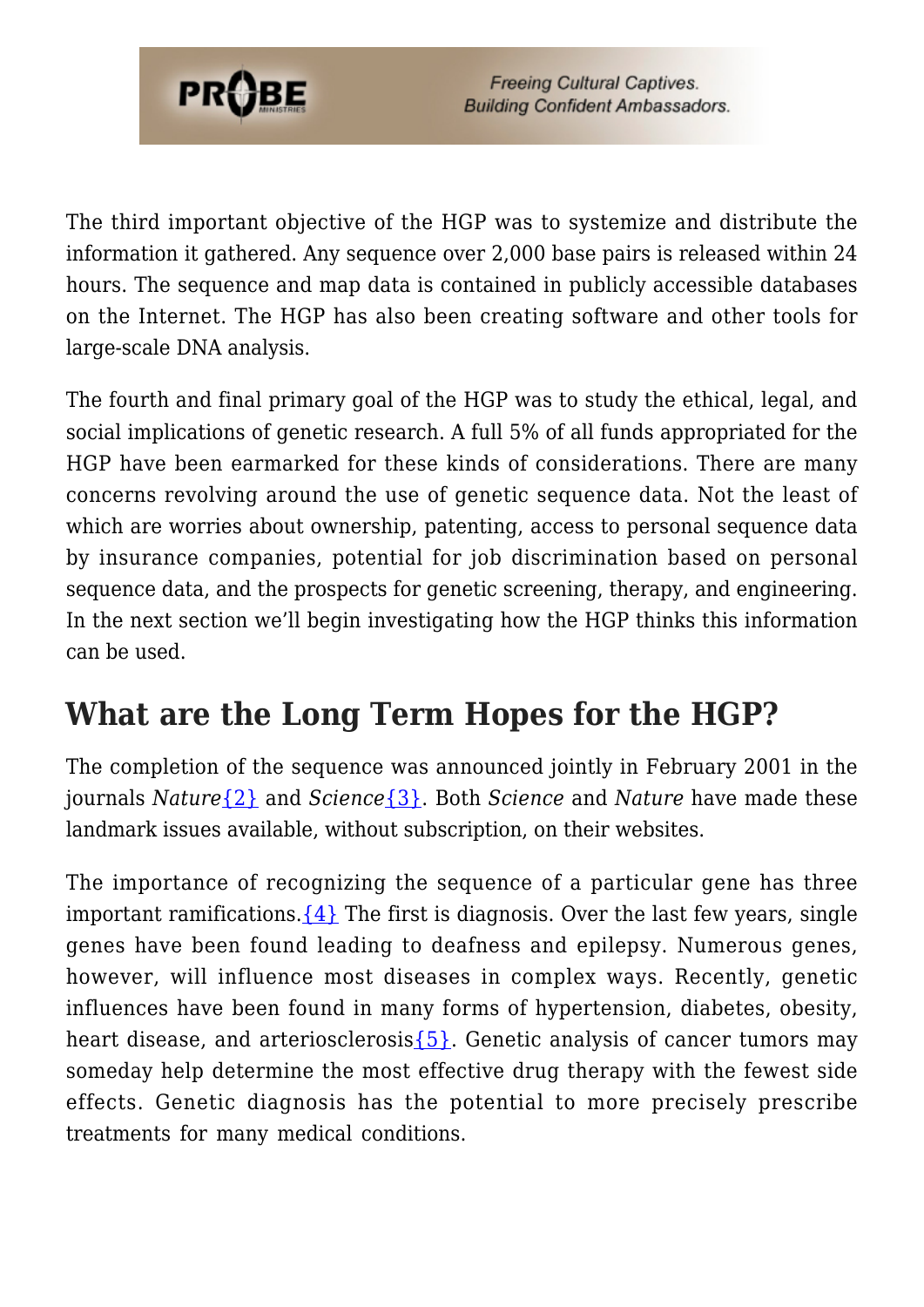

The third important objective of the HGP was to systemize and distribute the information it gathered. Any sequence over 2,000 base pairs is released within 24 hours. The sequence and map data is contained in publicly accessible databases on the Internet. The HGP has also been creating software and other tools for large-scale DNA analysis.

The fourth and final primary goal of the HGP was to study the ethical, legal, and social implications of genetic research. A full 5% of all funds appropriated for the HGP have been earmarked for these kinds of considerations. There are many concerns revolving around the use of genetic sequence data. Not the least of which are worries about ownership, patenting, access to personal sequence data by insurance companies, potential for job discrimination based on personal sequence data, and the prospects for genetic screening, therapy, and engineering. In the next section we'll begin investigating how the HGP thinks this information can be used.

### **What are the Long Term Hopes for the HGP?**

The completion of the sequence was announced jointly in February 2001 in the journals *Nature*[{2}](#page-64-1) and *Science*[{3}.](#page-64-2) Both *Science* and *Nature* have made these landmark issues available, without subscription, on their websites.

The importance of recognizing the sequence of a particular gene has three important ramifications.  $\{4\}$  The first is diagnosis. Over the last few years, single genes have been found leading to deafness and epilepsy. Numerous genes, however, will influence most diseases in complex ways. Recently, genetic influences have been found in many forms of hypertension, diabetes, obesity, heart disease, and arteriosclerosis $\{5\}$ . Genetic analysis of cancer tumors may someday help determine the most effective drug therapy with the fewest side effects. Genetic diagnosis has the potential to more precisely prescribe treatments for many medical conditions.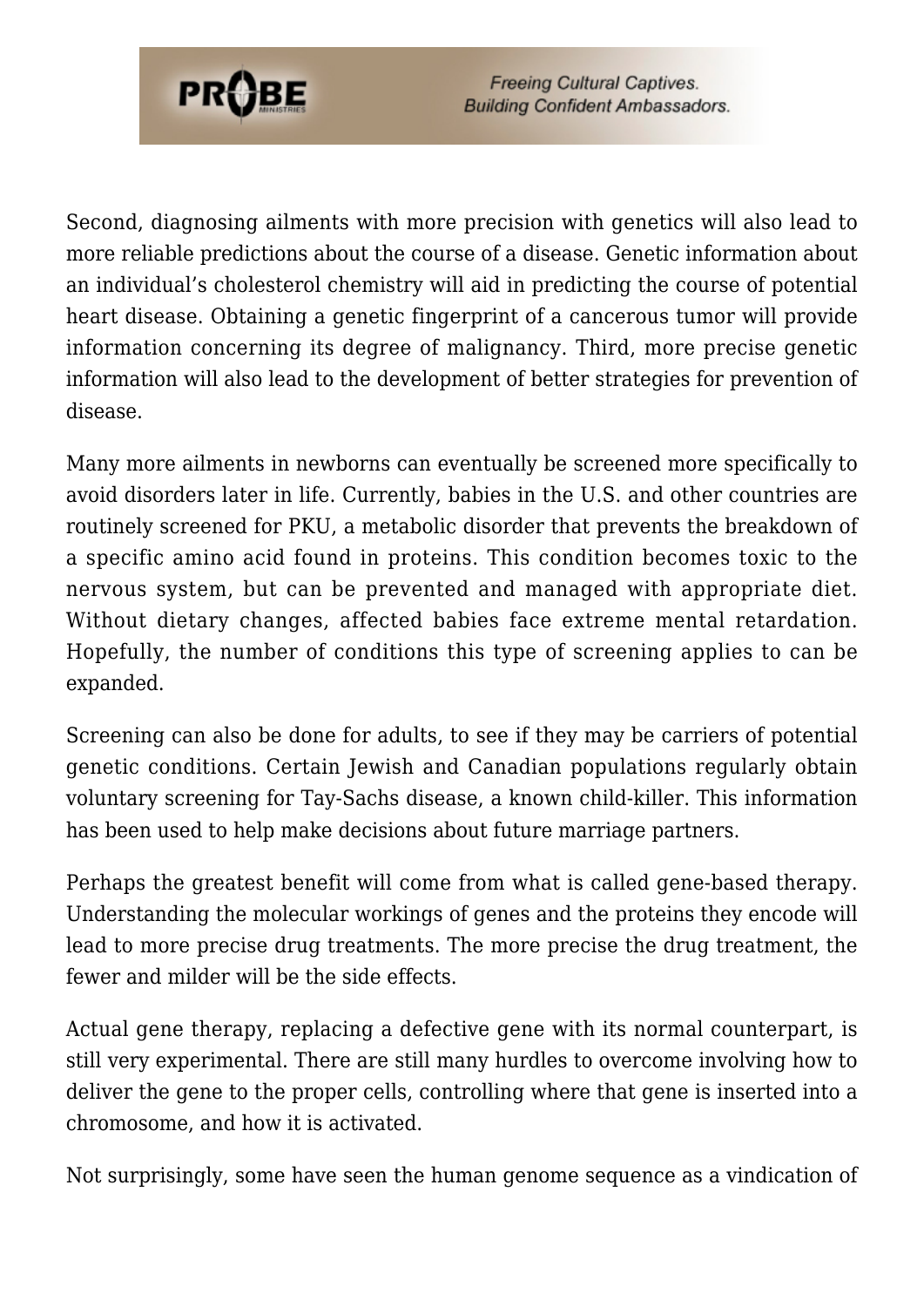

Second, diagnosing ailments with more precision with genetics will also lead to more reliable predictions about the course of a disease. Genetic information about an individual's cholesterol chemistry will aid in predicting the course of potential heart disease. Obtaining a genetic fingerprint of a cancerous tumor will provide information concerning its degree of malignancy. Third, more precise genetic information will also lead to the development of better strategies for prevention of disease.

Many more ailments in newborns can eventually be screened more specifically to avoid disorders later in life. Currently, babies in the U.S. and other countries are routinely screened for PKU, a metabolic disorder that prevents the breakdown of a specific amino acid found in proteins. This condition becomes toxic to the nervous system, but can be prevented and managed with appropriate diet. Without dietary changes, affected babies face extreme mental retardation. Hopefully, the number of conditions this type of screening applies to can be expanded.

Screening can also be done for adults, to see if they may be carriers of potential genetic conditions. Certain Jewish and Canadian populations regularly obtain voluntary screening for Tay-Sachs disease, a known child-killer. This information has been used to help make decisions about future marriage partners.

Perhaps the greatest benefit will come from what is called gene-based therapy. Understanding the molecular workings of genes and the proteins they encode will lead to more precise drug treatments. The more precise the drug treatment, the fewer and milder will be the side effects.

Actual gene therapy, replacing a defective gene with its normal counterpart, is still very experimental. There are still many hurdles to overcome involving how to deliver the gene to the proper cells, controlling where that gene is inserted into a chromosome, and how it is activated.

Not surprisingly, some have seen the human genome sequence as a vindication of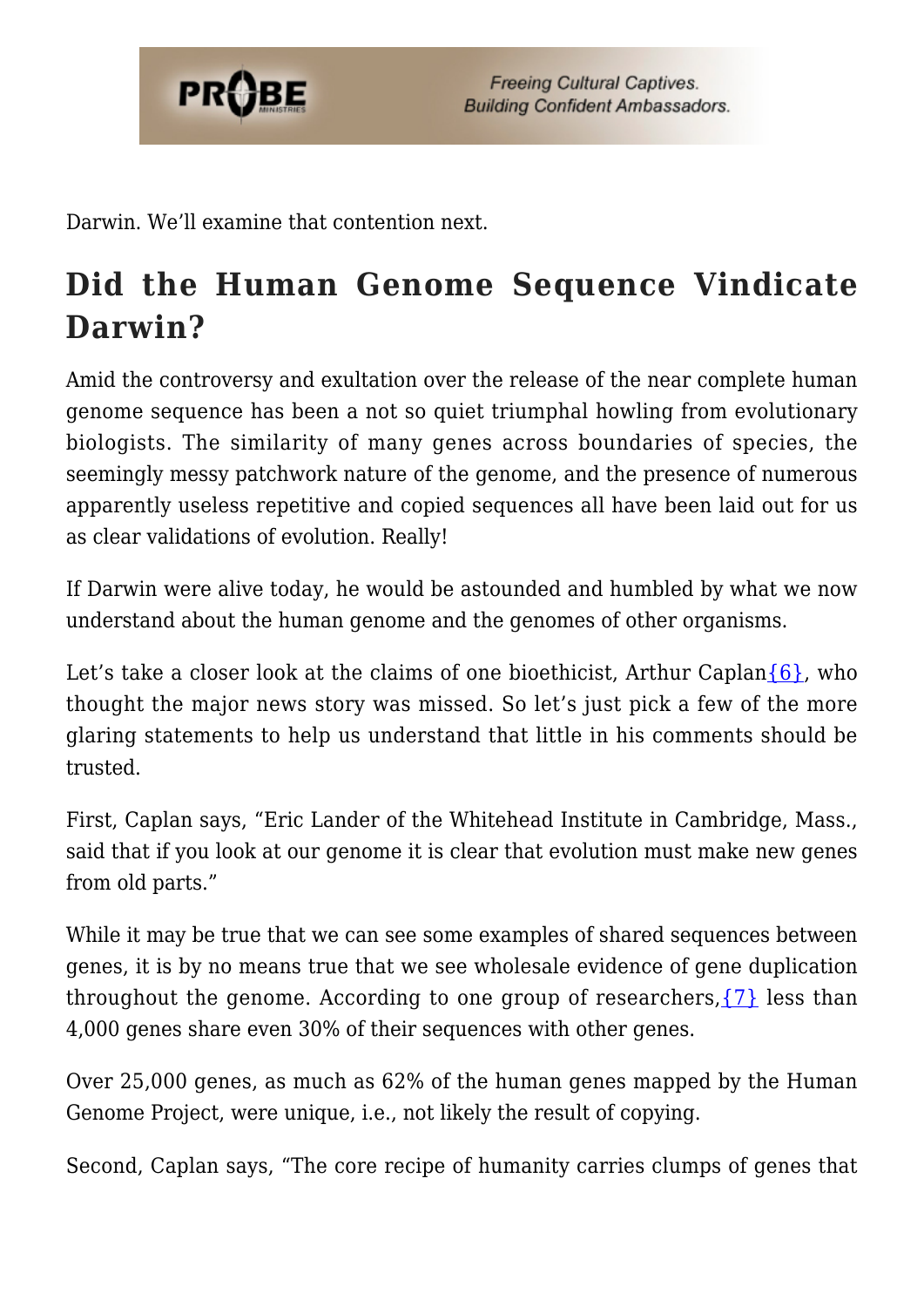

Darwin. We'll examine that contention next.

## **Did the Human Genome Sequence Vindicate Darwin?**

Amid the controversy and exultation over the release of the near complete human genome sequence has been a not so quiet triumphal howling from evolutionary biologists. The similarity of many genes across boundaries of species, the seemingly messy patchwork nature of the genome, and the presence of numerous apparently useless repetitive and copied sequences all have been laid out for us as clear validations of evolution. Really!

If Darwin were alive today, he would be astounded and humbled by what we now understand about the human genome and the genomes of other organisms.

Let's take a closer look at the claims of one bioethicist, Arthur Caplan $\{6\}$ , who thought the major news story was missed. So let's just pick a few of the more glaring statements to help us understand that little in his comments should be trusted.

First, Caplan says, "Eric Lander of the Whitehead Institute in Cambridge, Mass., said that if you look at our genome it is clear that evolution must make new genes from old parts."

While it may be true that we can see some examples of shared sequences between genes, it is by no means true that we see wholesale evidence of gene duplication throughout the genome. According to one group of researchers,  $\{7\}$  less than 4,000 genes share even 30% of their sequences with other genes.

Over 25,000 genes, as much as 62% of the human genes mapped by the Human Genome Project, were unique, i.e., not likely the result of copying.

Second, Caplan says, "The core recipe of humanity carries clumps of genes that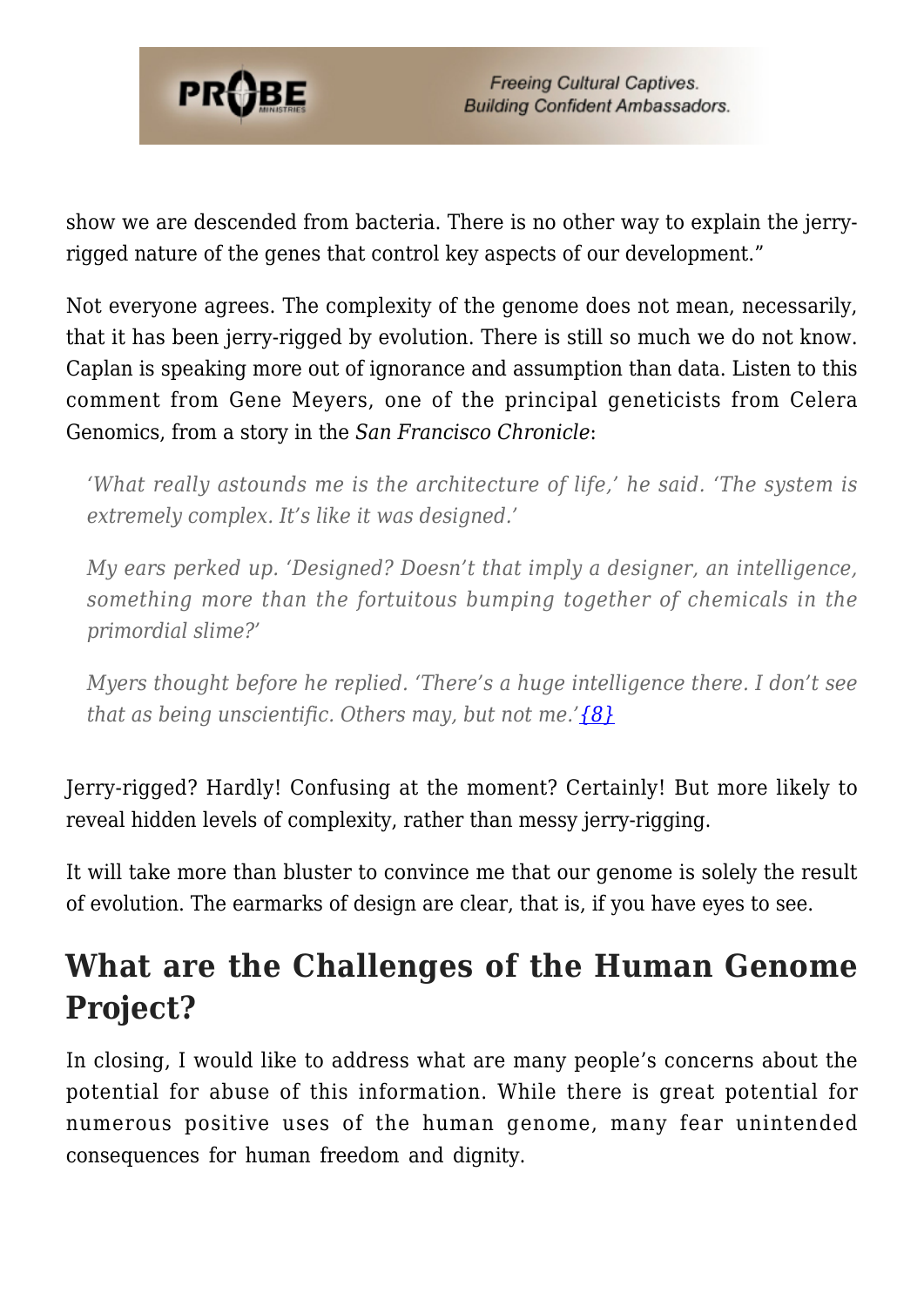

show we are descended from bacteria. There is no other way to explain the jerryrigged nature of the genes that control key aspects of our development."

Not everyone agrees. The complexity of the genome does not mean, necessarily, that it has been jerry-rigged by evolution. There is still so much we do not know. Caplan is speaking more out of ignorance and assumption than data. Listen to this comment from Gene Meyers, one of the principal geneticists from Celera Genomics, from a story in the *San Francisco Chronicle*:

*'What really astounds me is the architecture of life,' he said. 'The system is extremely complex. It's like it was designed.'*

*My ears perked up. 'Designed? Doesn't that imply a designer, an intelligence, something more than the fortuitous bumping together of chemicals in the primordial slime?'*

*Myers thought before he replied. 'There's a huge intelligence there. I don't see that as being unscientific. Others may, but not me.['{8}](#page-55-3)*

Jerry-rigged? Hardly! Confusing at the moment? Certainly! But more likely to reveal hidden levels of complexity, rather than messy jerry-rigging.

It will take more than bluster to convince me that our genome is solely the result of evolution. The earmarks of design are clear, that is, if you have eyes to see.

### **What are the Challenges of the Human Genome Project?**

In closing, I would like to address what are many people's concerns about the potential for abuse of this information. While there is great potential for numerous positive uses of the human genome, many fear unintended consequences for human freedom and dignity.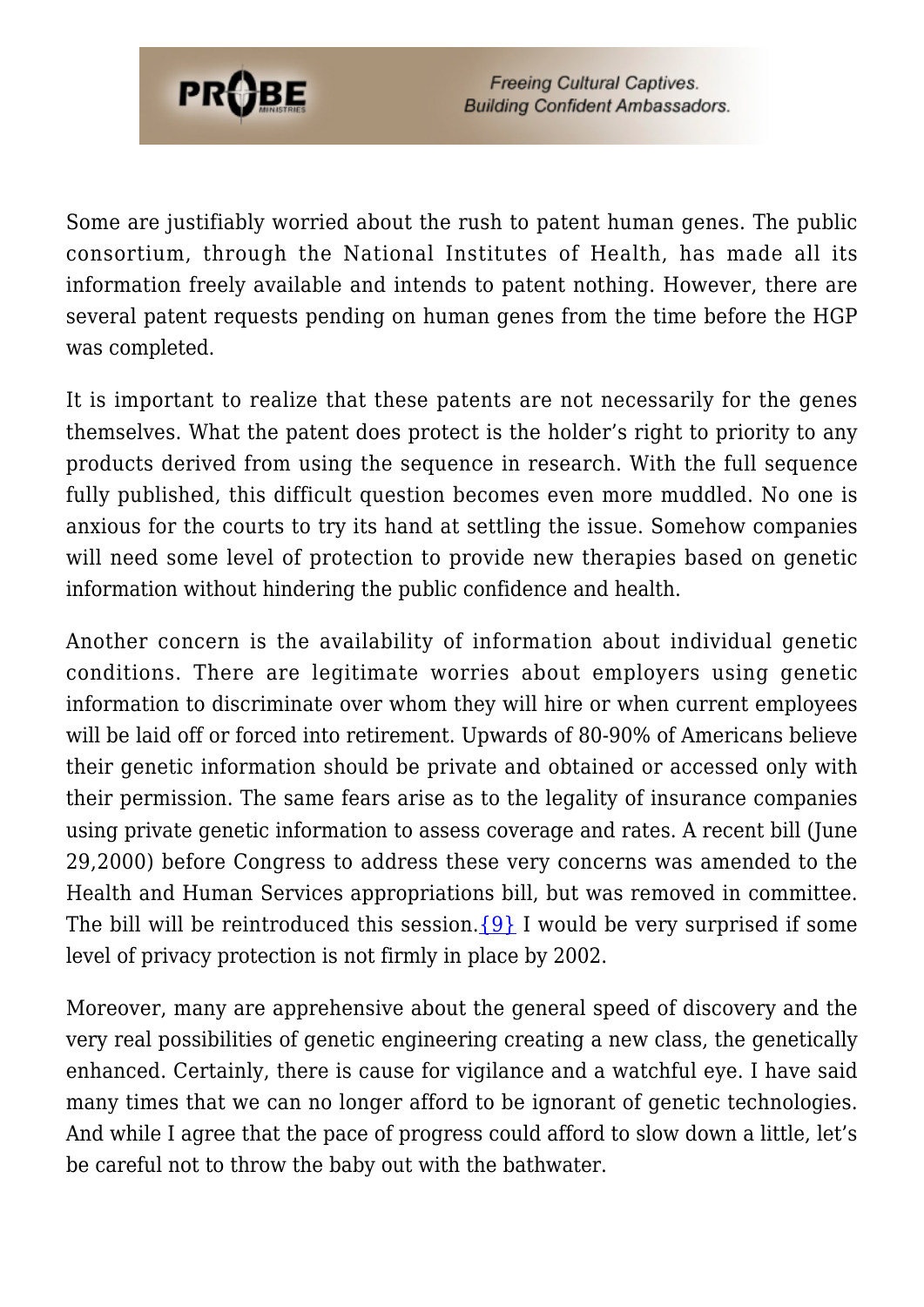

Some are justifiably worried about the rush to patent human genes. The public consortium, through the National Institutes of Health, has made all its information freely available and intends to patent nothing. However, there are several patent requests pending on human genes from the time before the HGP was completed.

It is important to realize that these patents are not necessarily for the genes themselves. What the patent does protect is the holder's right to priority to any products derived from using the sequence in research. With the full sequence fully published, this difficult question becomes even more muddled. No one is anxious for the courts to try its hand at settling the issue. Somehow companies will need some level of protection to provide new therapies based on genetic information without hindering the public confidence and health.

Another concern is the availability of information about individual genetic conditions. There are legitimate worries about employers using genetic information to discriminate over whom they will hire or when current employees will be laid off or forced into retirement. Upwards of 80-90% of Americans believe their genetic information should be private and obtained or accessed only with their permission. The same fears arise as to the legality of insurance companies using private genetic information to assess coverage and rates. A recent bill (June 29,2000) before Congress to address these very concerns was amended to the Health and Human Services appropriations bill, but was removed in committee. The bill will be reintroduced this session.  $\{9\}$  I would be very surprised if some level of privacy protection is not firmly in place by 2002.

Moreover, many are apprehensive about the general speed of discovery and the very real possibilities of genetic engineering creating a new class, the genetically enhanced. Certainly, there is cause for vigilance and a watchful eye. I have said many times that we can no longer afford to be ignorant of genetic technologies. And while I agree that the pace of progress could afford to slow down a little, let's be careful not to throw the baby out with the bathwater.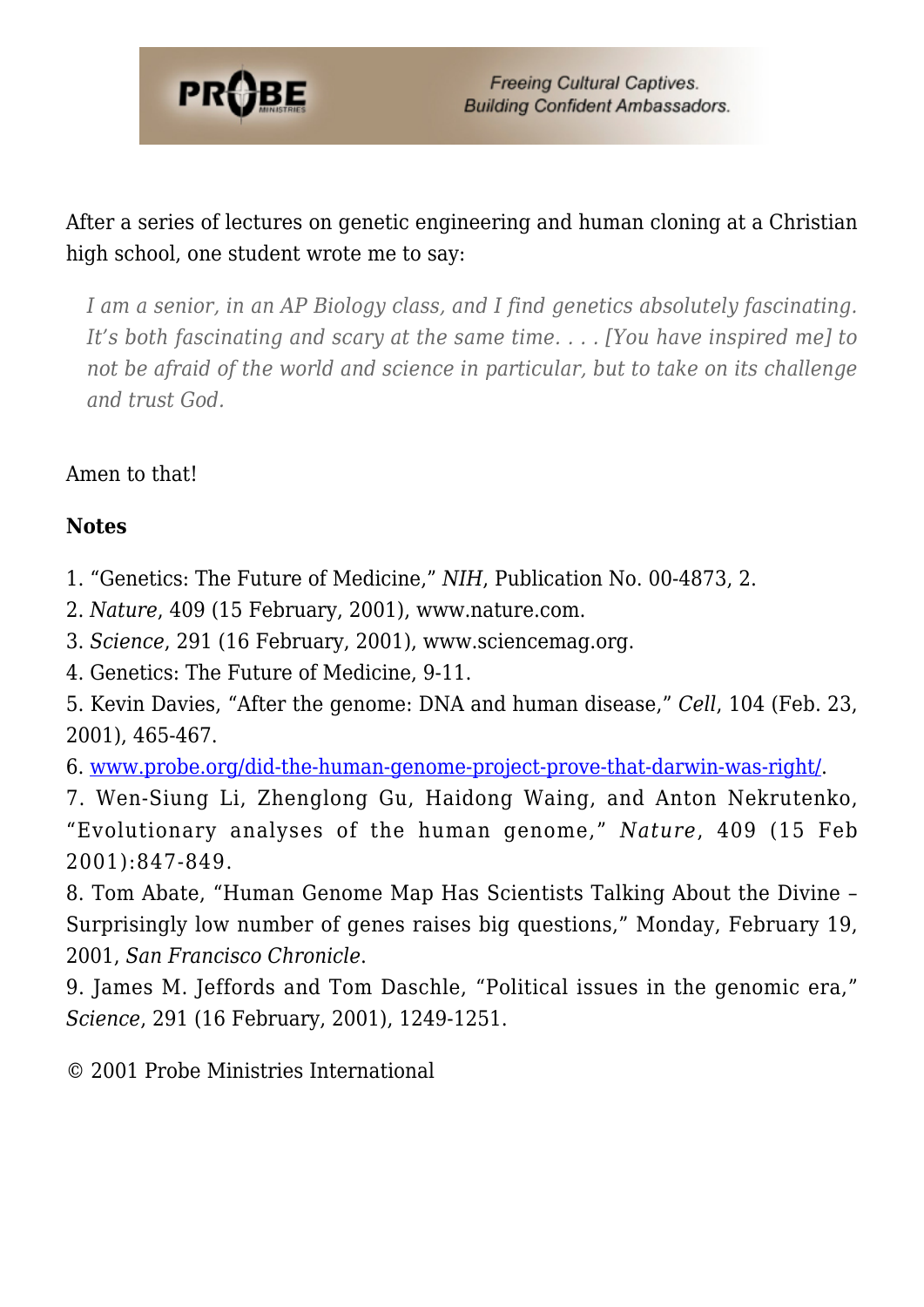

After a series of lectures on genetic engineering and human cloning at a Christian high school, one student wrote me to say:

*I am a senior, in an AP Biology class, and I find genetics absolutely fascinating. It's both fascinating and scary at the same time. . . . [You have inspired me] to not be afraid of the world and science in particular, but to take on its challenge and trust God.*

Amen to that!

#### **Notes**

- 1. "Genetics: The Future of Medicine," *NIH*, Publication No. 00-4873, 2.
- 2. *Nature*, 409 (15 February, 2001), www.nature.com.
- 3. *Science*, 291 (16 February, 2001), www.sciencemag.org.
- 4. Genetics: The Future of Medicine, 9-11.

5. Kevin Davies, "After the genome: DNA and human disease," *Cell*, 104 (Feb. 23, 2001), 465-467.

6. [www.probe.org/did-the-human-genome-project-prove-that-darwin-was-right/](https://www.probe.org/did-the-human-genome-project-prove-that-darwin-was-right/).

7. Wen-Siung Li, Zhenglong Gu, Haidong Waing, and Anton Nekrutenko, "Evolutionary analyses of the human genome," *Nature*, 409 (15 Feb 2001):847-849.

8. Tom Abate, "Human Genome Map Has Scientists Talking About the Divine – Surprisingly low number of genes raises big questions," Monday, February 19, 2001, *San Francisco Chronicle*.

9. James M. Jeffords and Tom Daschle, "Political issues in the genomic era," *Science*, 291 (16 February, 2001), 1249-1251.

© 2001 Probe Ministries International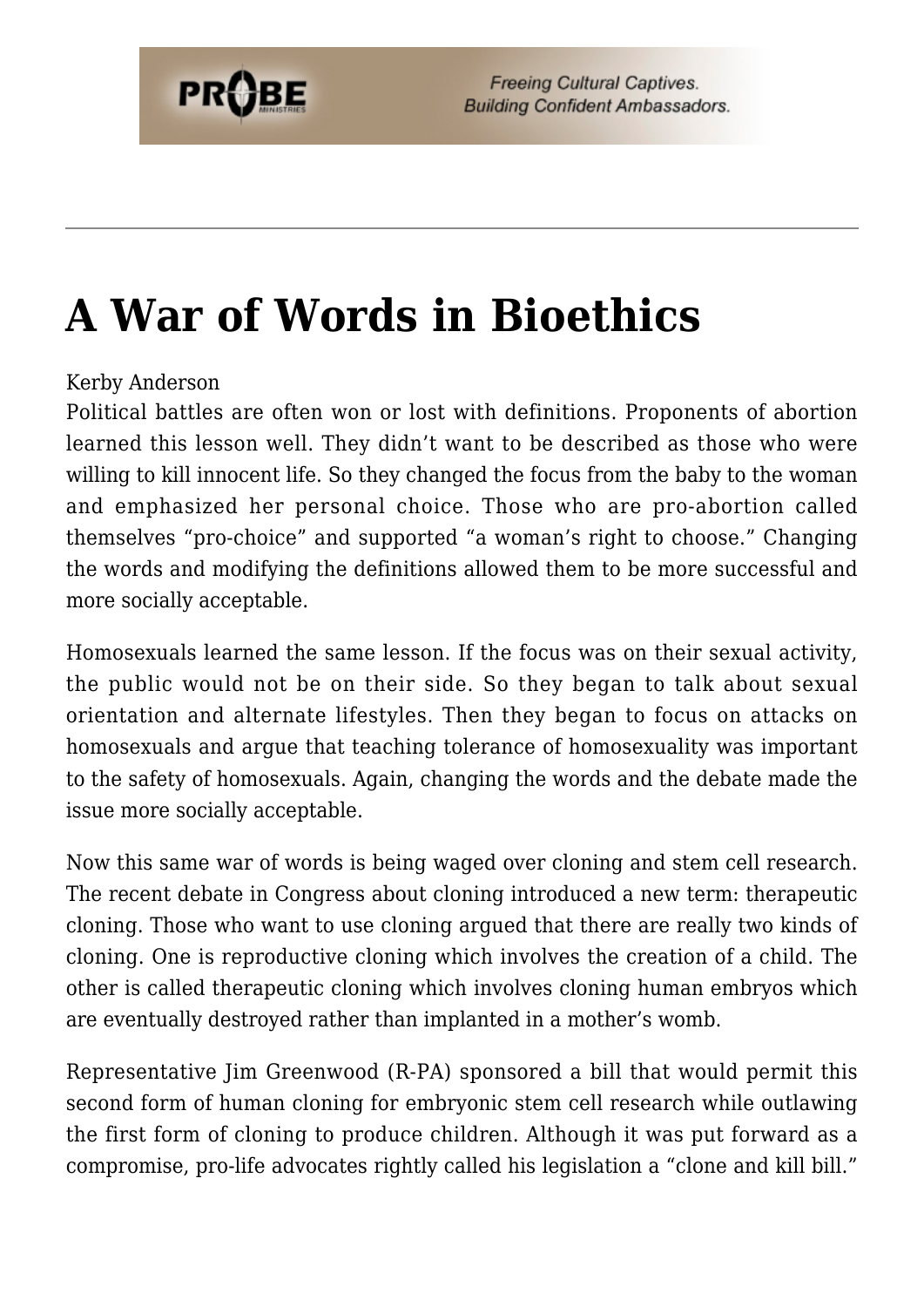# **[A War of Words in Bioethics](https://probe.org/a-war-of-words-in-bioethics/)**

#### Kerby Anderson

Political battles are often won or lost with definitions. Proponents of abortion learned this lesson well. They didn't want to be described as those who were willing to kill innocent life. So they changed the focus from the baby to the woman and emphasized her personal choice. Those who are pro-abortion called themselves "pro-choice" and supported "a woman's right to choose." Changing the words and modifying the definitions allowed them to be more successful and more socially acceptable.

Homosexuals learned the same lesson. If the focus was on their sexual activity, the public would not be on their side. So they began to talk about sexual orientation and alternate lifestyles. Then they began to focus on attacks on homosexuals and argue that teaching tolerance of homosexuality was important to the safety of homosexuals. Again, changing the words and the debate made the issue more socially acceptable.

Now this same war of words is being waged over cloning and stem cell research. The recent debate in Congress about cloning introduced a new term: therapeutic cloning. Those who want to use cloning argued that there are really two kinds of cloning. One is reproductive cloning which involves the creation of a child. The other is called therapeutic cloning which involves cloning human embryos which are eventually destroyed rather than implanted in a mother's womb.

Representative Jim Greenwood (R-PA) sponsored a bill that would permit this second form of human cloning for embryonic stem cell research while outlawing the first form of cloning to produce children. Although it was put forward as a compromise, pro-life advocates rightly called his legislation a "clone and kill bill."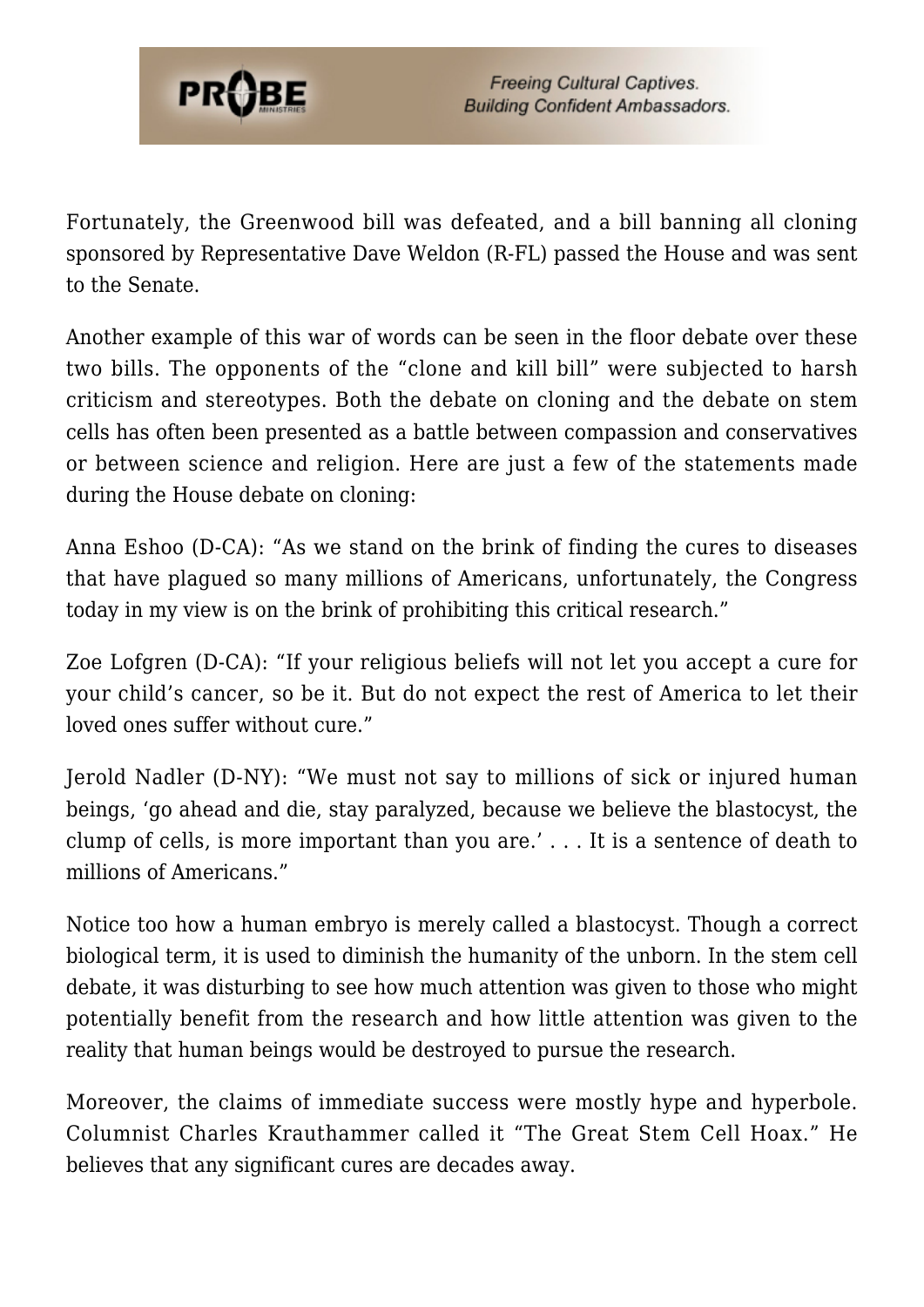

Fortunately, the Greenwood bill was defeated, and a bill banning all cloning sponsored by Representative Dave Weldon (R-FL) passed the House and was sent to the Senate.

Another example of this war of words can be seen in the floor debate over these two bills. The opponents of the "clone and kill bill" were subjected to harsh criticism and stereotypes. Both the debate on cloning and the debate on stem cells has often been presented as a battle between compassion and conservatives or between science and religion. Here are just a few of the statements made during the House debate on cloning:

Anna Eshoo (D-CA): "As we stand on the brink of finding the cures to diseases that have plagued so many millions of Americans, unfortunately, the Congress today in my view is on the brink of prohibiting this critical research."

Zoe Lofgren (D-CA): "If your religious beliefs will not let you accept a cure for your child's cancer, so be it. But do not expect the rest of America to let their loved ones suffer without cure."

Jerold Nadler (D-NY): "We must not say to millions of sick or injured human beings, 'go ahead and die, stay paralyzed, because we believe the blastocyst, the clump of cells, is more important than you are.' . . . It is a sentence of death to millions of Americans."

Notice too how a human embryo is merely called a blastocyst. Though a correct biological term, it is used to diminish the humanity of the unborn. In the stem cell debate, it was disturbing to see how much attention was given to those who might potentially benefit from the research and how little attention was given to the reality that human beings would be destroyed to pursue the research.

Moreover, the claims of immediate success were mostly hype and hyperbole. Columnist Charles Krauthammer called it "The Great Stem Cell Hoax." He believes that any significant cures are decades away.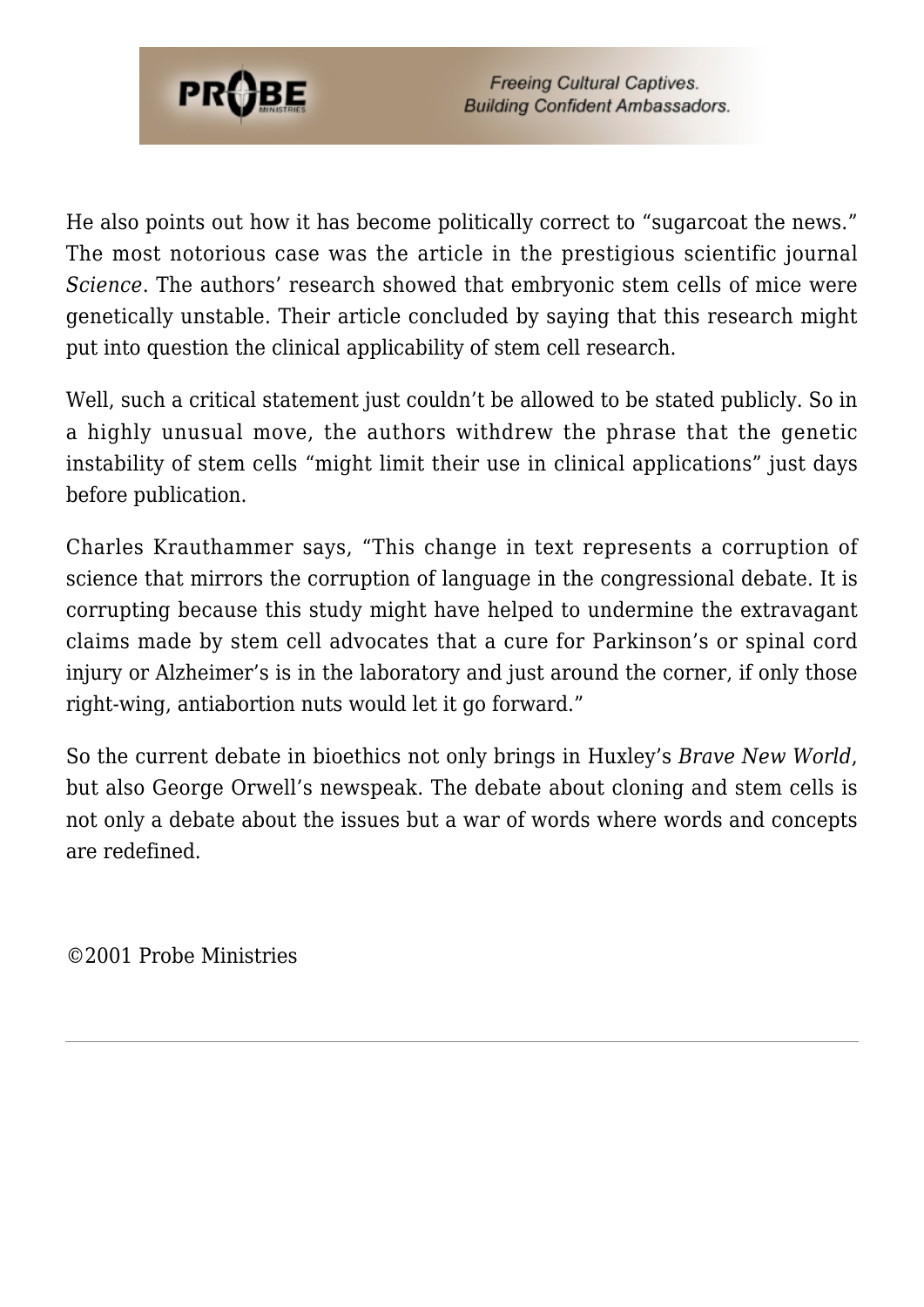

He also points out how it has become politically correct to "sugarcoat the news." The most notorious case was the article in the prestigious scientific journal *Science*. The authors' research showed that embryonic stem cells of mice were genetically unstable. Their article concluded by saying that this research might put into question the clinical applicability of stem cell research.

Well, such a critical statement just couldn't be allowed to be stated publicly. So in a highly unusual move, the authors withdrew the phrase that the genetic instability of stem cells "might limit their use in clinical applications" just days before publication.

Charles Krauthammer says, "This change in text represents a corruption of science that mirrors the corruption of language in the congressional debate. It is corrupting because this study might have helped to undermine the extravagant claims made by stem cell advocates that a cure for Parkinson's or spinal cord injury or Alzheimer's is in the laboratory and just around the corner, if only those right-wing, antiabortion nuts would let it go forward."

So the current debate in bioethics not only brings in Huxley's *Brave New World*, but also George Orwell's newspeak. The debate about cloning and stem cells is not only a debate about the issues but a war of words where words and concepts are redefined.

©2001 Probe Ministries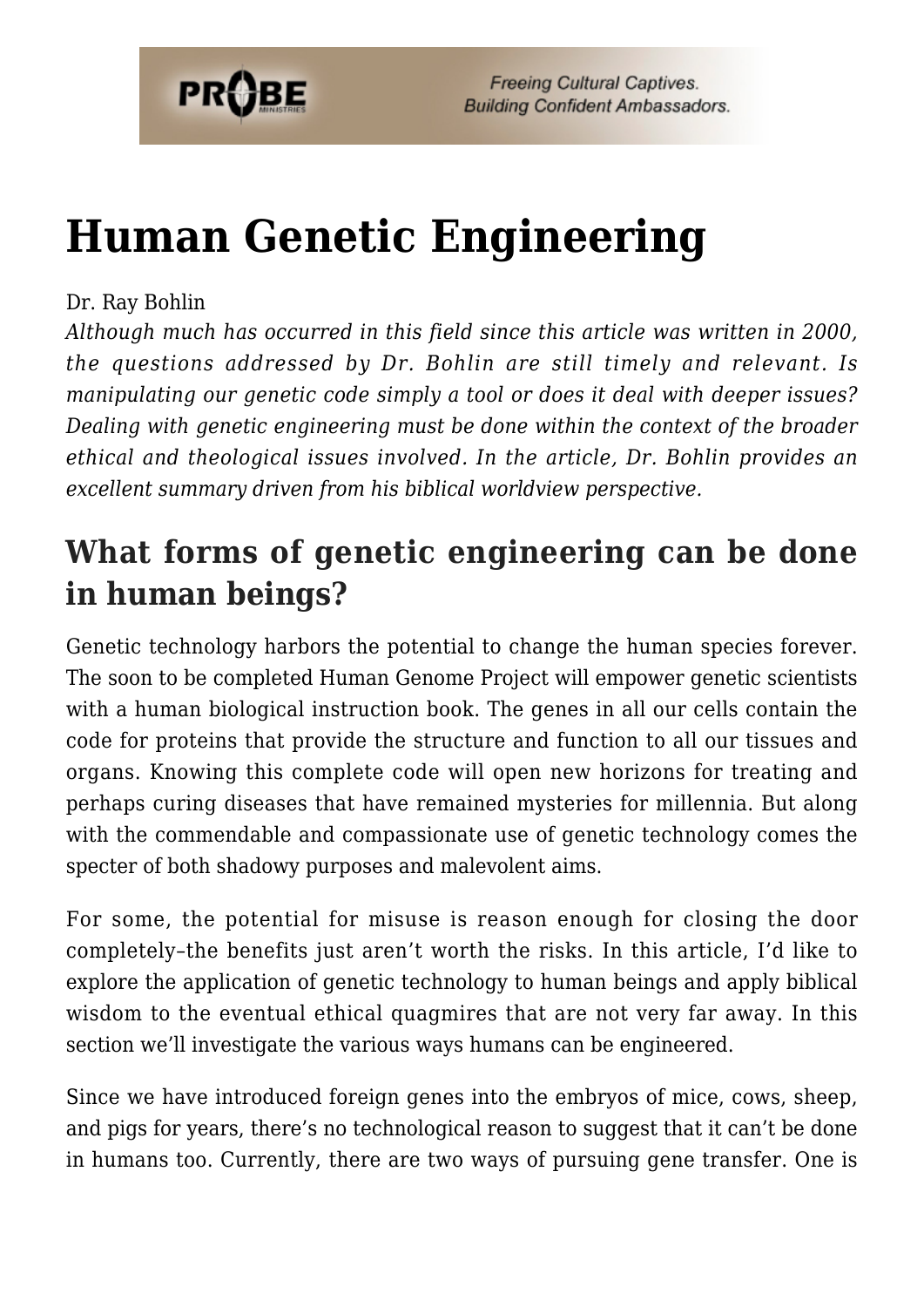

# **[Human Genetic Engineering](https://probe.org/human-genetic-engineering/)**

#### Dr. Ray Bohlin

*Although much has occurred in this field since this article was written in 2000, the questions addressed by Dr. Bohlin are still timely and relevant. Is manipulating our genetic code simply a tool or does it deal with deeper issues? Dealing with genetic engineering must be done within the context of the broader ethical and theological issues involved. In the article, Dr. Bohlin provides an excellent summary driven from his biblical worldview perspective.*

### **What forms of genetic engineering can be done in human beings?**

Genetic technology harbors the potential to change the human species forever. The soon to be completed Human Genome Project will empower genetic scientists with a human biological instruction book. The genes in all our cells contain the code for proteins that provide the structure and function to all our tissues and organs. Knowing this complete code will open new horizons for treating and perhaps curing diseases that have remained mysteries for millennia. But along with the commendable and compassionate use of genetic technology comes the specter of both shadowy purposes and malevolent aims.

For some, the potential for misuse is reason enough for closing the door completely–the benefits just aren't worth the risks. In this article, I'd like to explore the application of genetic technology to human beings and apply biblical wisdom to the eventual ethical quagmires that are not very far away. In this section we'll investigate the various ways humans can be engineered.

Since we have introduced foreign genes into the embryos of mice, cows, sheep, and pigs for years, there's no technological reason to suggest that it can't be done in humans too. Currently, there are two ways of pursuing gene transfer. One is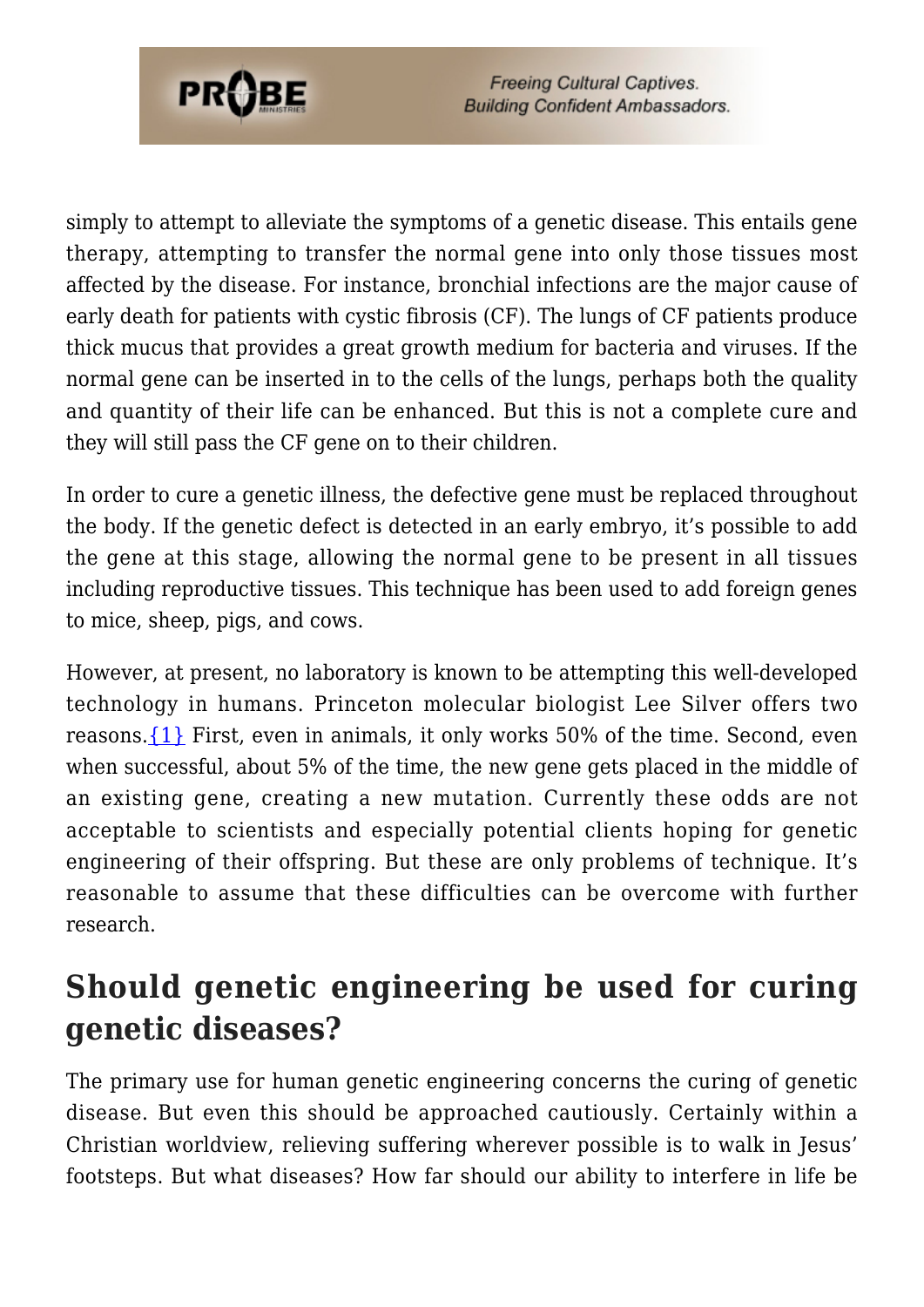

simply to attempt to alleviate the symptoms of a genetic disease. This entails gene therapy, attempting to transfer the normal gene into only those tissues most affected by the disease. For instance, bronchial infections are the major cause of early death for patients with cystic fibrosis (CF). The lungs of CF patients produce thick mucus that provides a great growth medium for bacteria and viruses. If the normal gene can be inserted in to the cells of the lungs, perhaps both the quality and quantity of their life can be enhanced. But this is not a complete cure and they will still pass the CF gene on to their children.

In order to cure a genetic illness, the defective gene must be replaced throughout the body. If the genetic defect is detected in an early embryo, it's possible to add the gene at this stage, allowing the normal gene to be present in all tissues including reproductive tissues. This technique has been used to add foreign genes to mice, sheep, pigs, and cows.

However, at present, no laboratory is known to be attempting this well-developed technology in humans. Princeton molecular biologist Lee Silver offers two reasons.[{1}](#page-64-0) First, even in animals, it only works 50% of the time. Second, even when successful, about 5% of the time, the new gene gets placed in the middle of an existing gene, creating a new mutation. Currently these odds are not acceptable to scientists and especially potential clients hoping for genetic engineering of their offspring. But these are only problems of technique. It's reasonable to assume that these difficulties can be overcome with further research.

### **Should genetic engineering be used for curing genetic diseases?**

The primary use for human genetic engineering concerns the curing of genetic disease. But even this should be approached cautiously. Certainly within a Christian worldview, relieving suffering wherever possible is to walk in Jesus' footsteps. But what diseases? How far should our ability to interfere in life be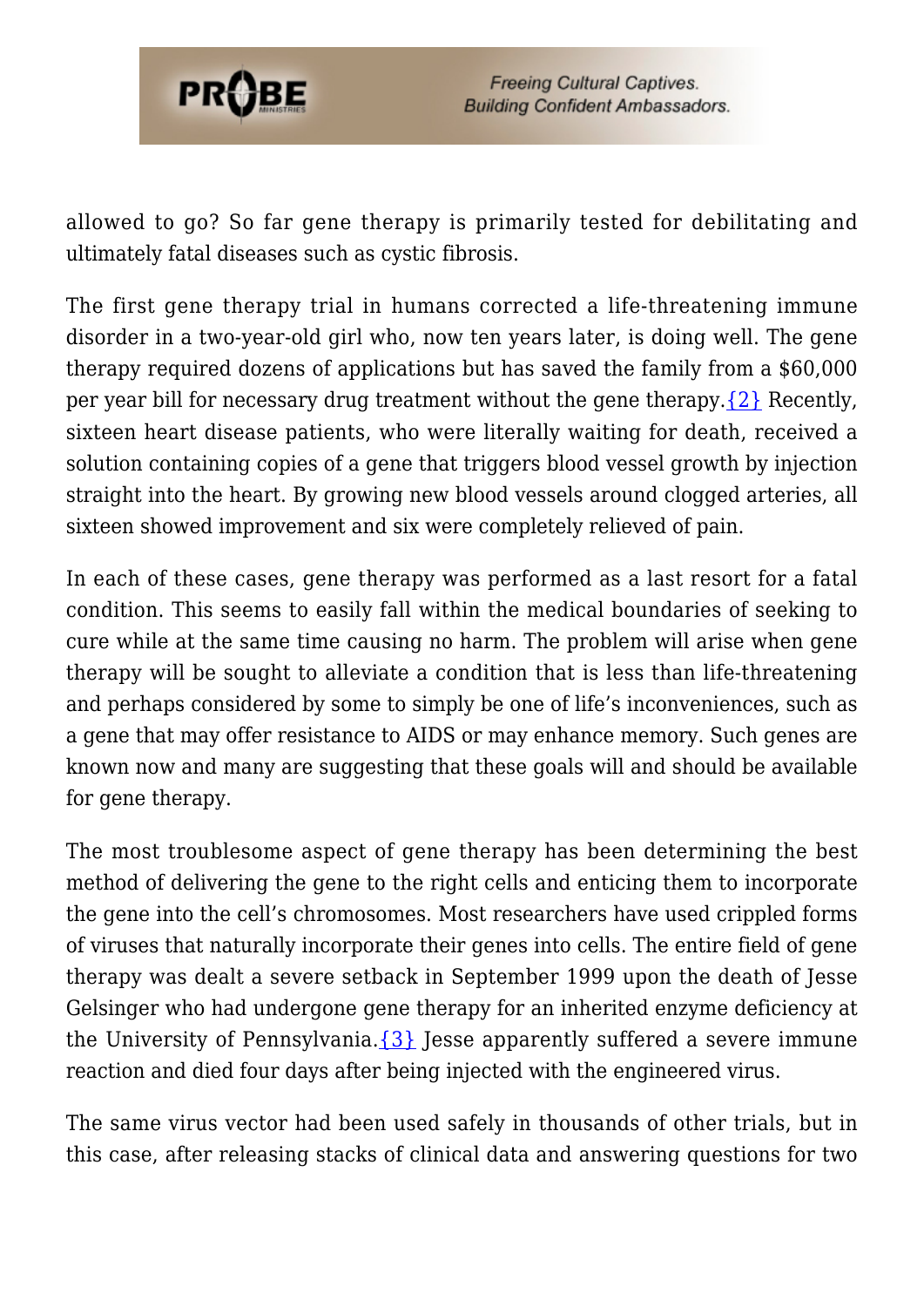

allowed to go? So far gene therapy is primarily tested for debilitating and ultimately fatal diseases such as cystic fibrosis.

The first gene therapy trial in humans corrected a life-threatening immune disorder in a two-year-old girl who, now ten years later, is doing well. The gene therapy required dozens of applications but has saved the family from a \$60,000 per year bill for necessary drug treatment without the gene therapy.  $\{2\}$  Recently, sixteen heart disease patients, who were literally waiting for death, received a solution containing copies of a gene that triggers blood vessel growth by injection straight into the heart. By growing new blood vessels around clogged arteries, all sixteen showed improvement and six were completely relieved of pain.

In each of these cases, gene therapy was performed as a last resort for a fatal condition. This seems to easily fall within the medical boundaries of seeking to cure while at the same time causing no harm. The problem will arise when gene therapy will be sought to alleviate a condition that is less than life-threatening and perhaps considered by some to simply be one of life's inconveniences, such as a gene that may offer resistance to AIDS or may enhance memory. Such genes are known now and many are suggesting that these goals will and should be available for gene therapy.

The most troublesome aspect of gene therapy has been determining the best method of delivering the gene to the right cells and enticing them to incorporate the gene into the cell's chromosomes. Most researchers have used crippled forms of viruses that naturally incorporate their genes into cells. The entire field of gene therapy was dealt a severe setback in September 1999 upon the death of Jesse Gelsinger who had undergone gene therapy for an inherited enzyme deficiency at the University of Pennsylvania. $\{3\}$  Jesse apparently suffered a severe immune reaction and died four days after being injected with the engineered virus.

The same virus vector had been used safely in thousands of other trials, but in this case, after releasing stacks of clinical data and answering questions for two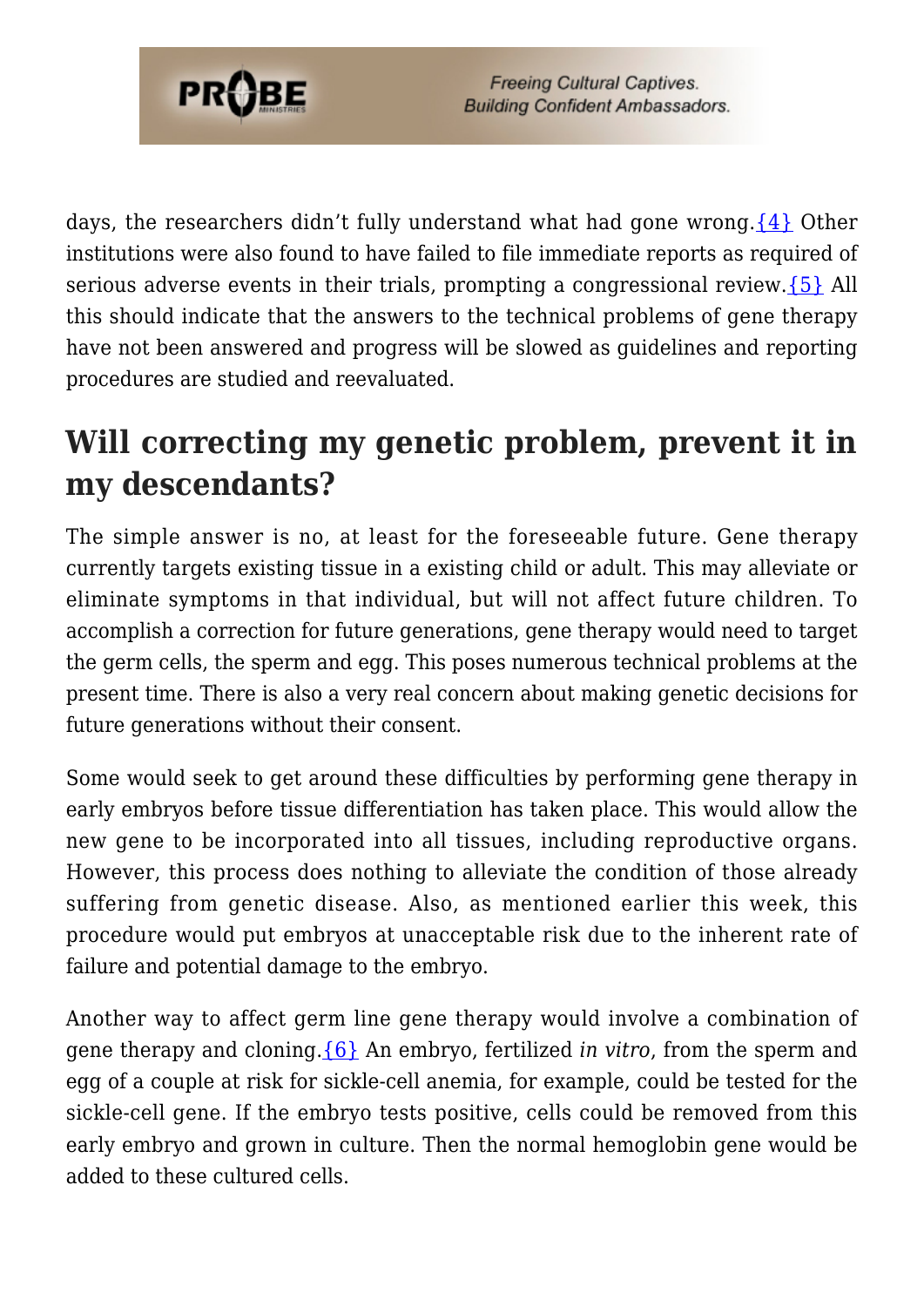

days, the researchers didn't fully understand what had gone wrong.  $\{4\}$  Other institutions were also found to have failed to file immediate reports as required of serious adverse events in their trials, prompting a congressional review.[{5}](#page-55-0) All this should indicate that the answers to the technical problems of gene therapy have not been answered and progress will be slowed as guidelines and reporting procedures are studied and reevaluated.

### **Will correcting my genetic problem, prevent it in my descendants?**

The simple answer is no, at least for the foreseeable future. Gene therapy currently targets existing tissue in a existing child or adult. This may alleviate or eliminate symptoms in that individual, but will not affect future children. To accomplish a correction for future generations, gene therapy would need to target the germ cells, the sperm and egg. This poses numerous technical problems at the present time. There is also a very real concern about making genetic decisions for future generations without their consent.

Some would seek to get around these difficulties by performing gene therapy in early embryos before tissue differentiation has taken place. This would allow the new gene to be incorporated into all tissues, including reproductive organs. However, this process does nothing to alleviate the condition of those already suffering from genetic disease. Also, as mentioned earlier this week, this procedure would put embryos at unacceptable risk due to the inherent rate of failure and potential damage to the embryo.

Another way to affect germ line gene therapy would involve a combination of gene therapy and cloning.[{6}](#page-55-1) An embryo, fertilized *in vitro*, from the sperm and egg of a couple at risk for sickle-cell anemia, for example, could be tested for the sickle-cell gene. If the embryo tests positive, cells could be removed from this early embryo and grown in culture. Then the normal hemoglobin gene would be added to these cultured cells.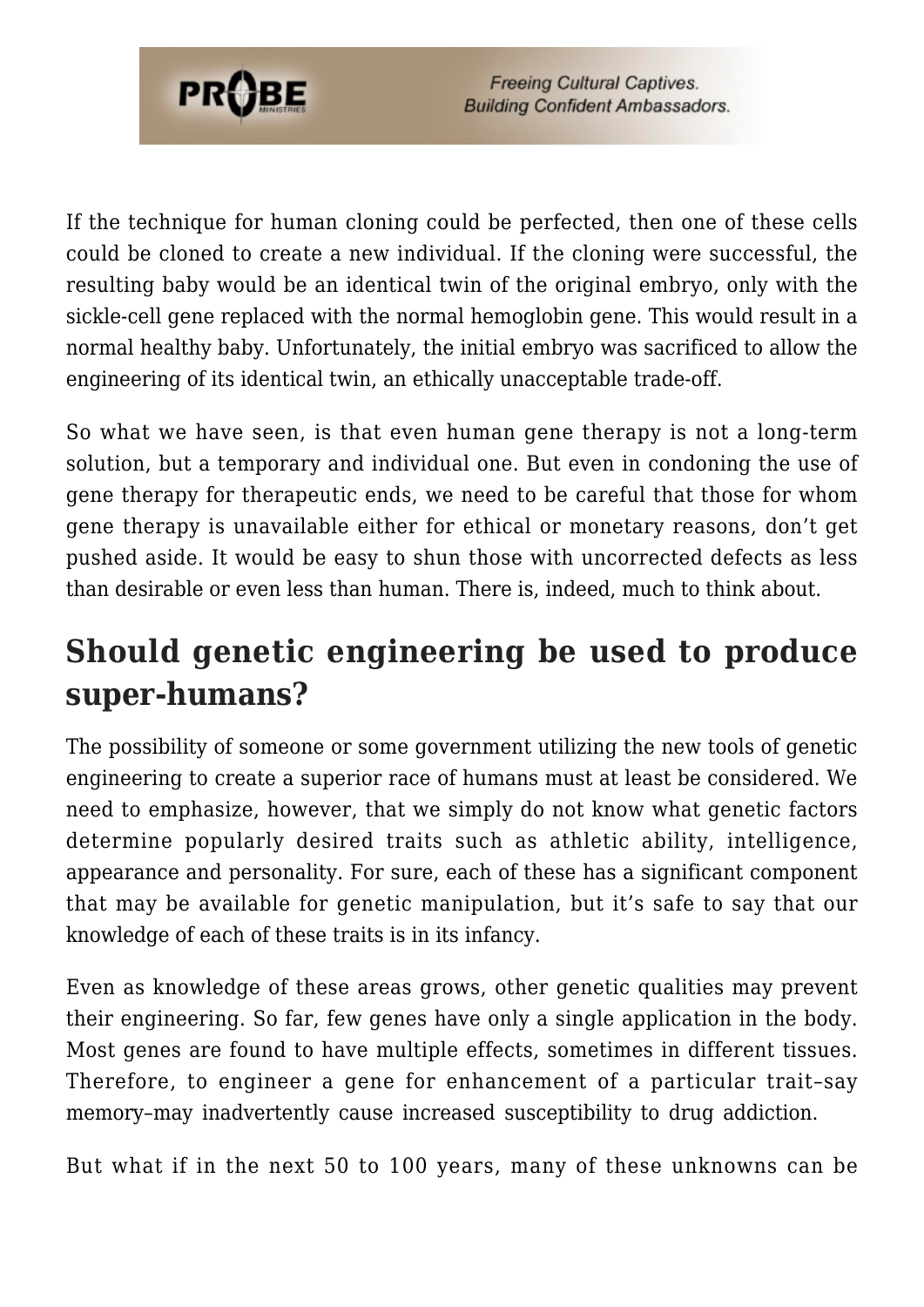

If the technique for human cloning could be perfected, then one of these cells could be cloned to create a new individual. If the cloning were successful, the resulting baby would be an identical twin of the original embryo, only with the sickle-cell gene replaced with the normal hemoglobin gene. This would result in a normal healthy baby. Unfortunately, the initial embryo was sacrificed to allow the engineering of its identical twin, an ethically unacceptable trade-off.

So what we have seen, is that even human gene therapy is not a long-term solution, but a temporary and individual one. But even in condoning the use of gene therapy for therapeutic ends, we need to be careful that those for whom gene therapy is unavailable either for ethical or monetary reasons, don't get pushed aside. It would be easy to shun those with uncorrected defects as less than desirable or even less than human. There is, indeed, much to think about.

### **Should genetic engineering be used to produce super-humans?**

The possibility of someone or some government utilizing the new tools of genetic engineering to create a superior race of humans must at least be considered. We need to emphasize, however, that we simply do not know what genetic factors determine popularly desired traits such as athletic ability, intelligence, appearance and personality. For sure, each of these has a significant component that may be available for genetic manipulation, but it's safe to say that our knowledge of each of these traits is in its infancy.

Even as knowledge of these areas grows, other genetic qualities may prevent their engineering. So far, few genes have only a single application in the body. Most genes are found to have multiple effects, sometimes in different tissues. Therefore, to engineer a gene for enhancement of a particular trait–say memory–may inadvertently cause increased susceptibility to drug addiction.

But what if in the next 50 to 100 years, many of these unknowns can be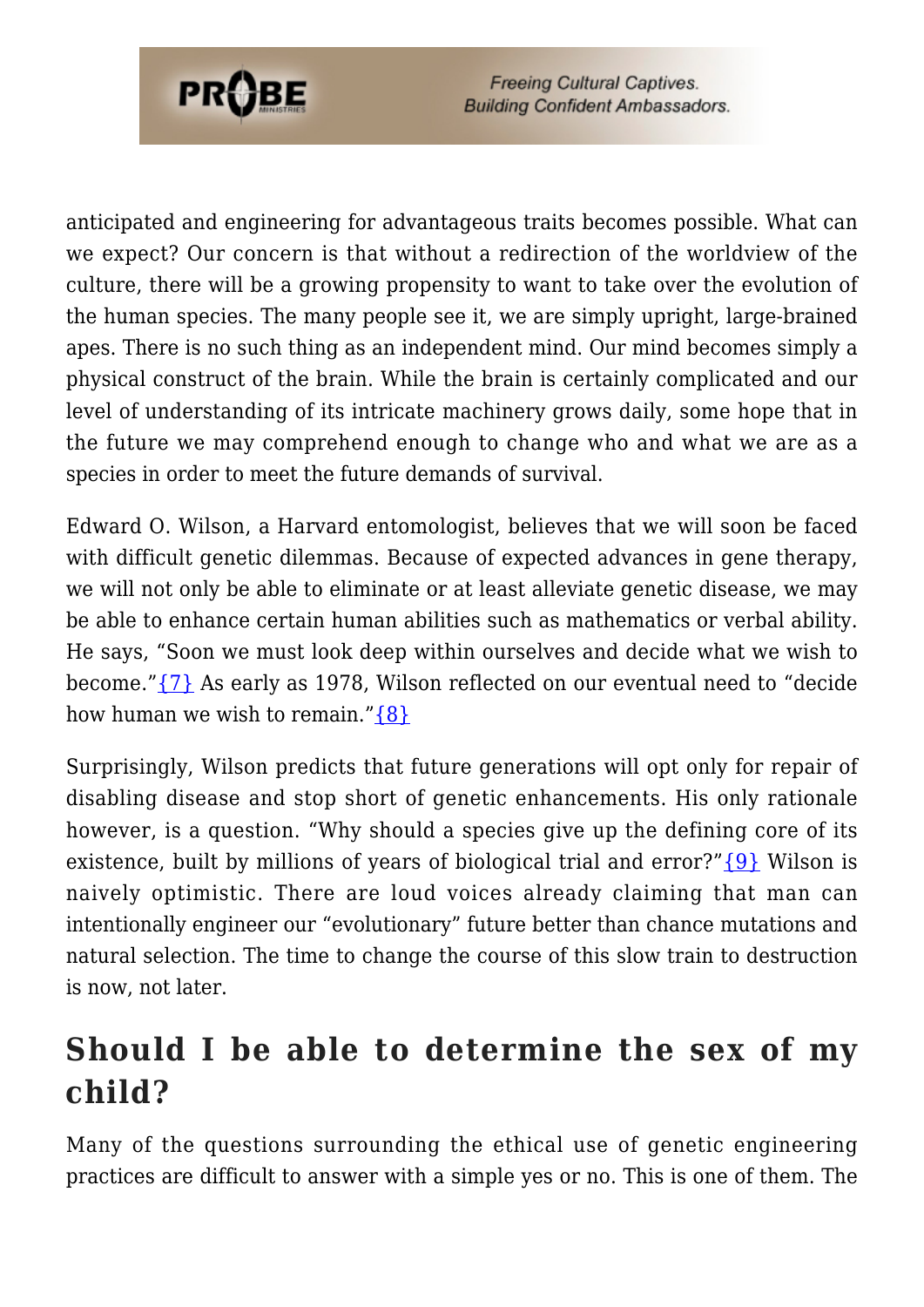

anticipated and engineering for advantageous traits becomes possible. What can we expect? Our concern is that without a redirection of the worldview of the culture, there will be a growing propensity to want to take over the evolution of the human species. The many people see it, we are simply upright, large-brained apes. There is no such thing as an independent mind. Our mind becomes simply a physical construct of the brain. While the brain is certainly complicated and our level of understanding of its intricate machinery grows daily, some hope that in the future we may comprehend enough to change who and what we are as a species in order to meet the future demands of survival.

Edward O. Wilson, a Harvard entomologist, believes that we will soon be faced with difficult genetic dilemmas. Because of expected advances in gene therapy, we will not only be able to eliminate or at least alleviate genetic disease, we may be able to enhance certain human abilities such as mathematics or verbal ability. He says, "Soon we must look deep within ourselves and decide what we wish to become.["{7}](#page-55-2) As early as 1978, Wilson reflected on our eventual need to "decide how human we wish to remain." $\{8\}$ 

Surprisingly, Wilson predicts that future generations will opt only for repair of disabling disease and stop short of genetic enhancements. His only rationale however, is a question. "Why should a species give up the defining core of its existence, built by millions of years of biological trial and error?" $\{9\}$  Wilson is naively optimistic. There are loud voices already claiming that man can intentionally engineer our "evolutionary" future better than chance mutations and natural selection. The time to change the course of this slow train to destruction is now, not later.

### **Should I be able to determine the sex of my child?**

Many of the questions surrounding the ethical use of genetic engineering practices are difficult to answer with a simple yes or no. This is one of them. The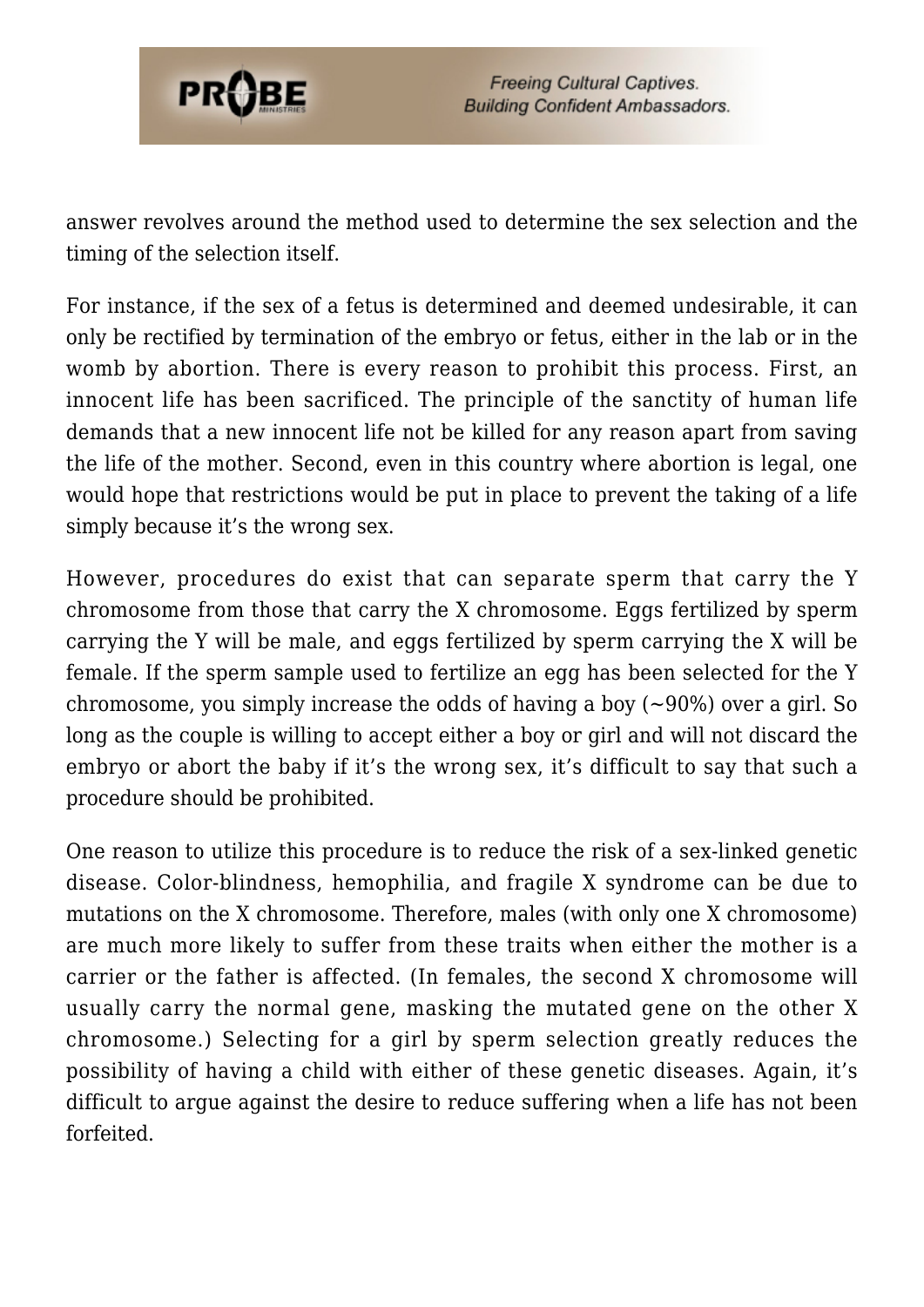

answer revolves around the method used to determine the sex selection and the timing of the selection itself.

For instance, if the sex of a fetus is determined and deemed undesirable, it can only be rectified by termination of the embryo or fetus, either in the lab or in the womb by abortion. There is every reason to prohibit this process. First, an innocent life has been sacrificed. The principle of the sanctity of human life demands that a new innocent life not be killed for any reason apart from saving the life of the mother. Second, even in this country where abortion is legal, one would hope that restrictions would be put in place to prevent the taking of a life simply because it's the wrong sex.

However, procedures do exist that can separate sperm that carry the Y chromosome from those that carry the X chromosome. Eggs fertilized by sperm carrying the Y will be male, and eggs fertilized by sperm carrying the X will be female. If the sperm sample used to fertilize an egg has been selected for the Y chromosome, you simply increase the odds of having a boy  $(-90\%)$  over a girl. So long as the couple is willing to accept either a boy or girl and will not discard the embryo or abort the baby if it's the wrong sex, it's difficult to say that such a procedure should be prohibited.

One reason to utilize this procedure is to reduce the risk of a sex-linked genetic disease. Color-blindness, hemophilia, and fragile X syndrome can be due to mutations on the X chromosome. Therefore, males (with only one X chromosome) are much more likely to suffer from these traits when either the mother is a carrier or the father is affected. (In females, the second X chromosome will usually carry the normal gene, masking the mutated gene on the other X chromosome.) Selecting for a girl by sperm selection greatly reduces the possibility of having a child with either of these genetic diseases. Again, it's difficult to argue against the desire to reduce suffering when a life has not been forfeited.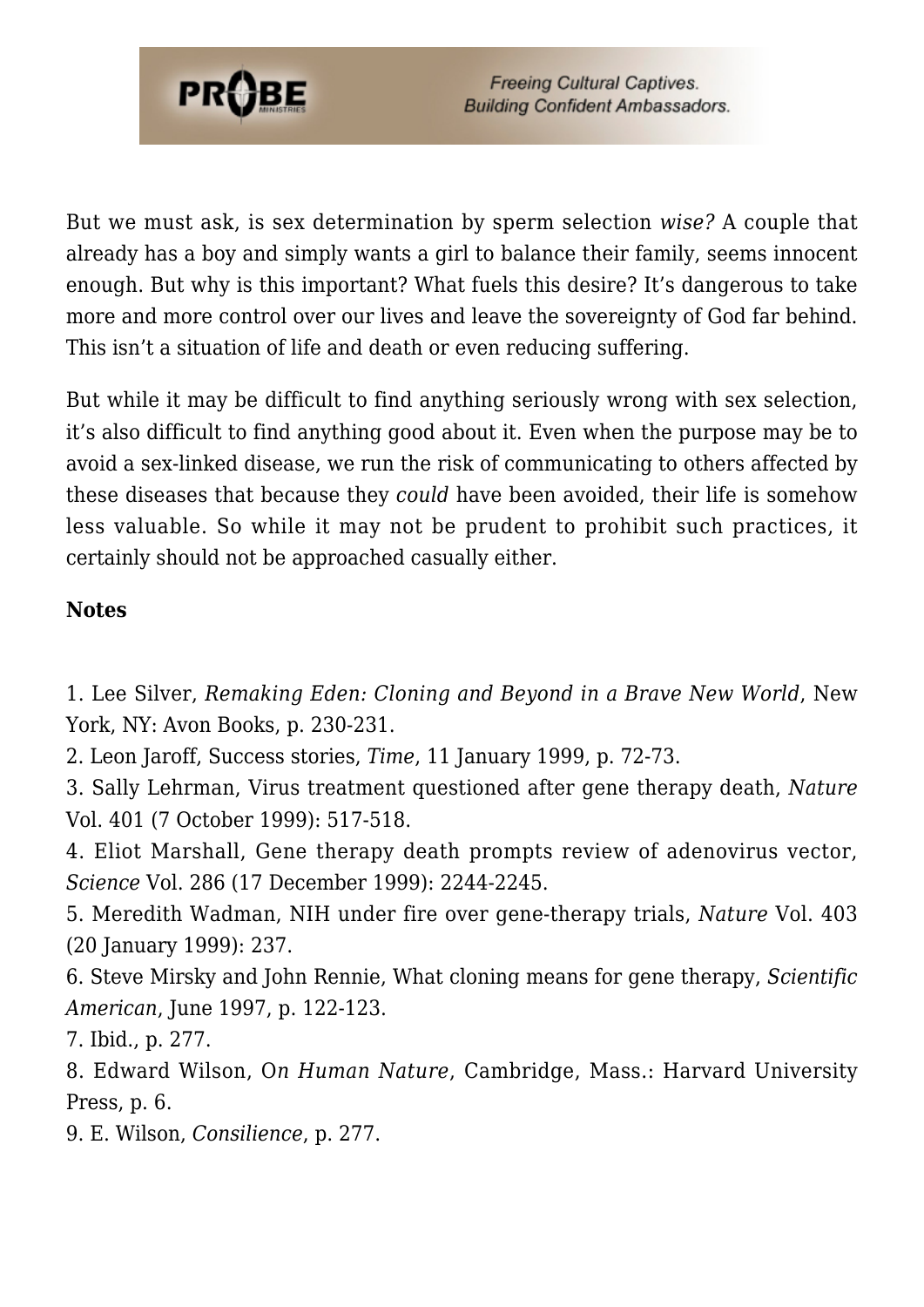

But we must ask, is sex determination by sperm selection *wise?* A couple that already has a boy and simply wants a girl to balance their family, seems innocent enough. But why is this important? What fuels this desire? It's dangerous to take more and more control over our lives and leave the sovereignty of God far behind. This isn't a situation of life and death or even reducing suffering.

But while it may be difficult to find anything seriously wrong with sex selection, it's also difficult to find anything good about it. Even when the purpose may be to avoid a sex-linked disease, we run the risk of communicating to others affected by these diseases that because they *could* have been avoided, their life is somehow less valuable. So while it may not be prudent to prohibit such practices, it certainly should not be approached casually either.

#### **Notes**

1. Lee Silver, *Remaking Eden: Cloning and Beyond in a Brave New World*, New York, NY: Avon Books, p. 230-231.

2. Leon Jaroff, Success stories, *Time*, 11 January 1999, p. 72-73.

3. Sally Lehrman, Virus treatment questioned after gene therapy death, *Nature* Vol. 401 (7 October 1999): 517-518.

4. Eliot Marshall, Gene therapy death prompts review of adenovirus vector, *Science* Vol. 286 (17 December 1999): 2244-2245.

5. Meredith Wadman, NIH under fire over gene-therapy trials, *Nature* Vol. 403 (20 January 1999): 237.

6. Steve Mirsky and John Rennie, What cloning means for gene therapy, *Scientific American*, June 1997, p. 122-123.

7. Ibid., p. 277.

8. Edward Wilson, O*n Human Nature*, Cambridge, Mass.: Harvard University Press, p. 6.

9. E. Wilson, *Consilience*, p. 277.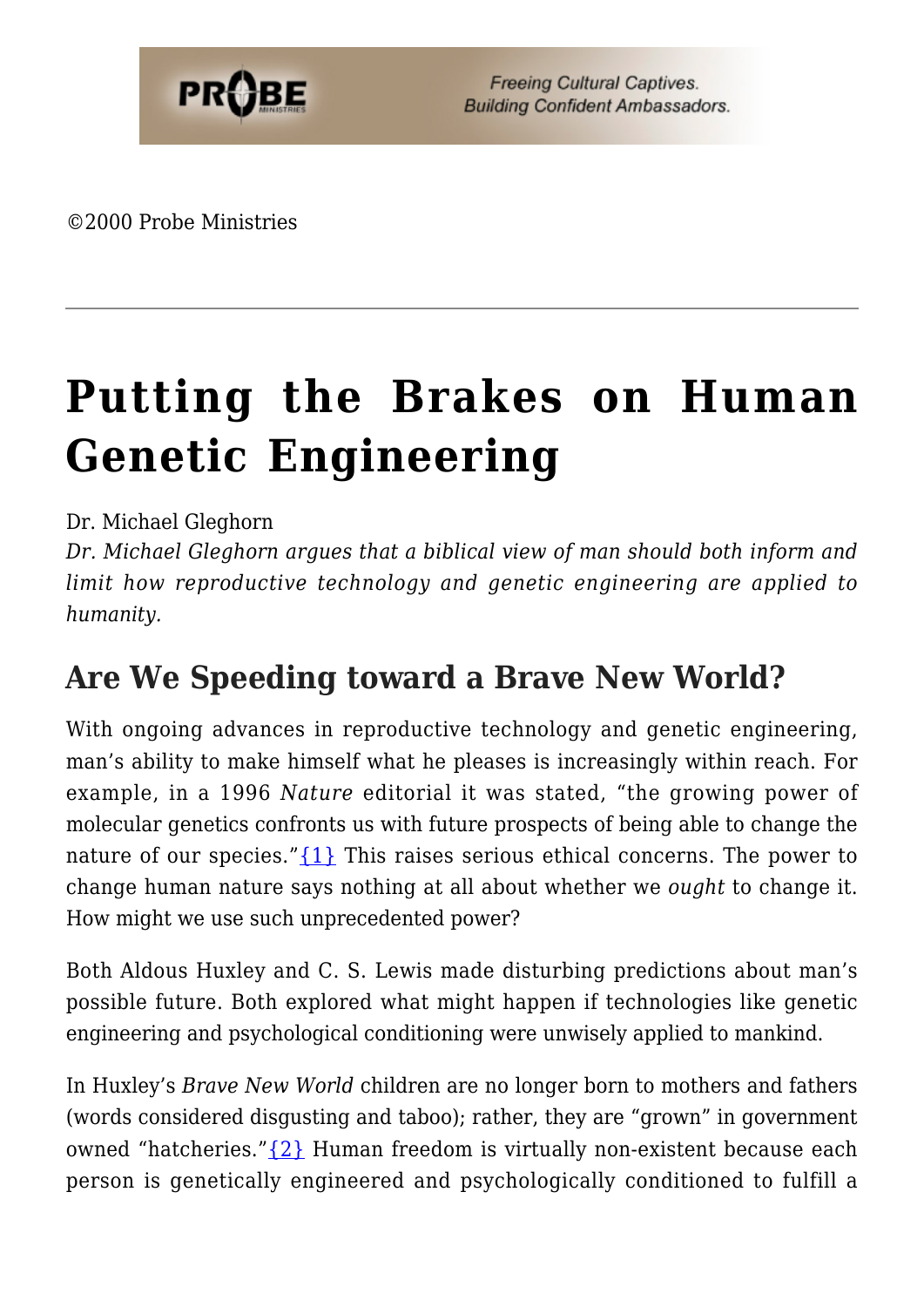©2000 Probe Ministries

# **[Putting the Brakes on Human](https://probe.org/putting-the-brakes-on-human-genetic-engineering/) [Genetic Engineering](https://probe.org/putting-the-brakes-on-human-genetic-engineering/)**

#### Dr. Michael Gleghorn

*Dr. Michael Gleghorn argues that a biblical view of man should both inform and limit how reproductive technology and genetic engineering are applied to humanity.*

### **Are We Speeding toward a Brave New World?**

With ongoing advances in reproductive technology and genetic engineering, man's ability to make himself what he pleases is increasingly within reach. For example, in a 1996 *Nature* editorial it was stated, "the growing power of molecular genetics confronts us with future prospects of being able to change the nature of our species." $\{1\}$  This raises serious ethical concerns. The power to change human nature says nothing at all about whether we *ought* to change it. How might we use such unprecedented power?

Both Aldous Huxley and C. S. Lewis made disturbing predictions about man's possible future. Both explored what might happen if technologies like genetic engineering and psychological conditioning were unwisely applied to mankind.

In Huxley's *Brave New World* children are no longer born to mothers and fathers (words considered disgusting and taboo); rather, they are "grown" in government owned "hatcheries."[{2}](#page-64-1) Human freedom is virtually non-existent because each person is genetically engineered and psychologically conditioned to fulfill a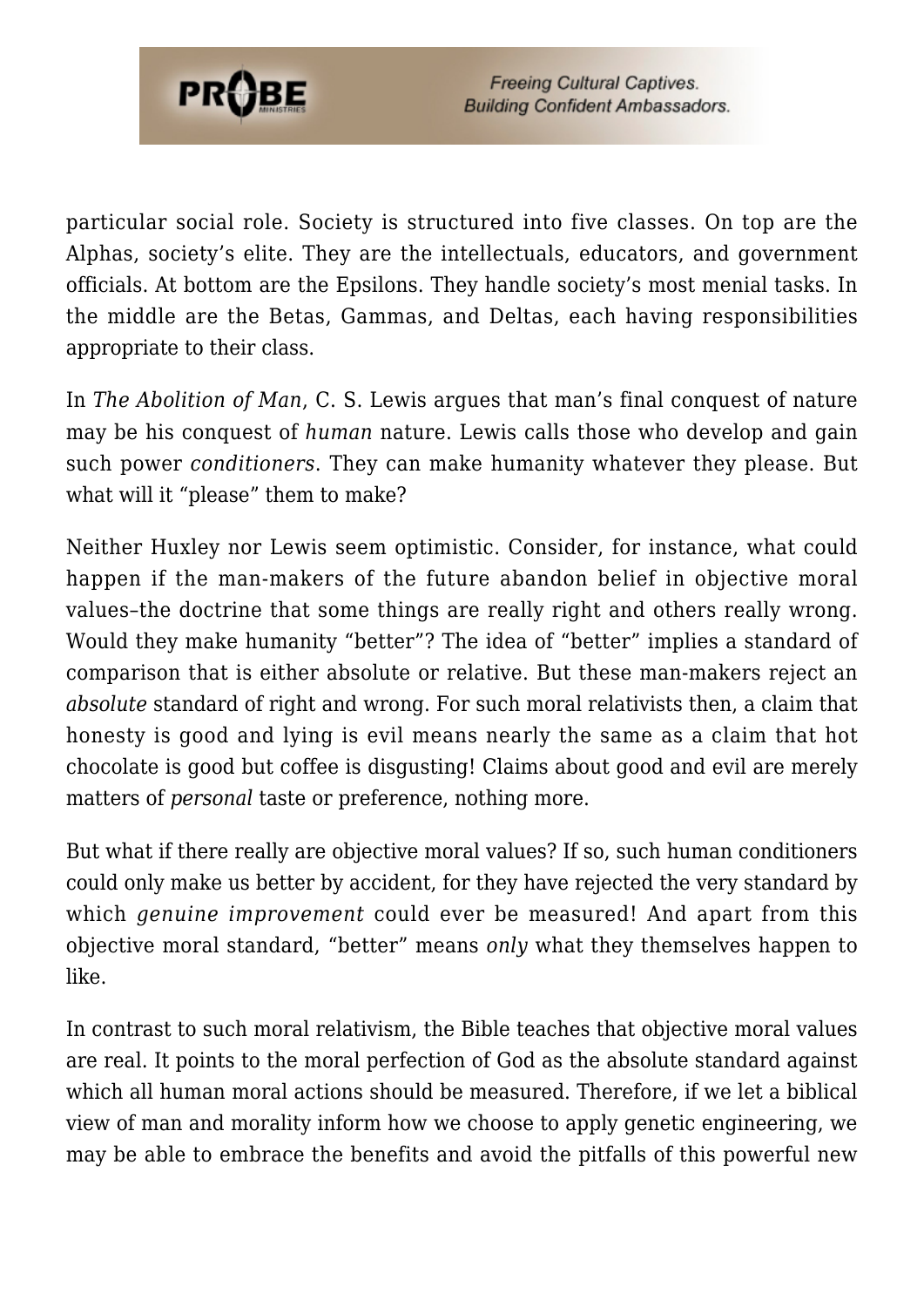

particular social role. Society is structured into five classes. On top are the Alphas, society's elite. They are the intellectuals, educators, and government officials. At bottom are the Epsilons. They handle society's most menial tasks. In the middle are the Betas, Gammas, and Deltas, each having responsibilities appropriate to their class.

In *The Abolition of Man*, C. S. Lewis argues that man's final conquest of nature may be his conquest of *human* nature. Lewis calls those who develop and gain such power *conditioners*. They can make humanity whatever they please. But what will it "please" them to make?

Neither Huxley nor Lewis seem optimistic. Consider, for instance, what could happen if the man-makers of the future abandon belief in objective moral values–the doctrine that some things are really right and others really wrong. Would they make humanity "better"? The idea of "better" implies a standard of comparison that is either absolute or relative. But these man-makers reject an *absolute* standard of right and wrong. For such moral relativists then, a claim that honesty is good and lying is evil means nearly the same as a claim that hot chocolate is good but coffee is disgusting! Claims about good and evil are merely matters of *personal* taste or preference, nothing more.

But what if there really are objective moral values? If so, such human conditioners could only make us better by accident, for they have rejected the very standard by which *genuine improvement* could ever be measured! And apart from this objective moral standard, "better" means *only* what they themselves happen to like.

In contrast to such moral relativism, the Bible teaches that objective moral values are real. It points to the moral perfection of God as the absolute standard against which all human moral actions should be measured. Therefore, if we let a biblical view of man and morality inform how we choose to apply genetic engineering, we may be able to embrace the benefits and avoid the pitfalls of this powerful new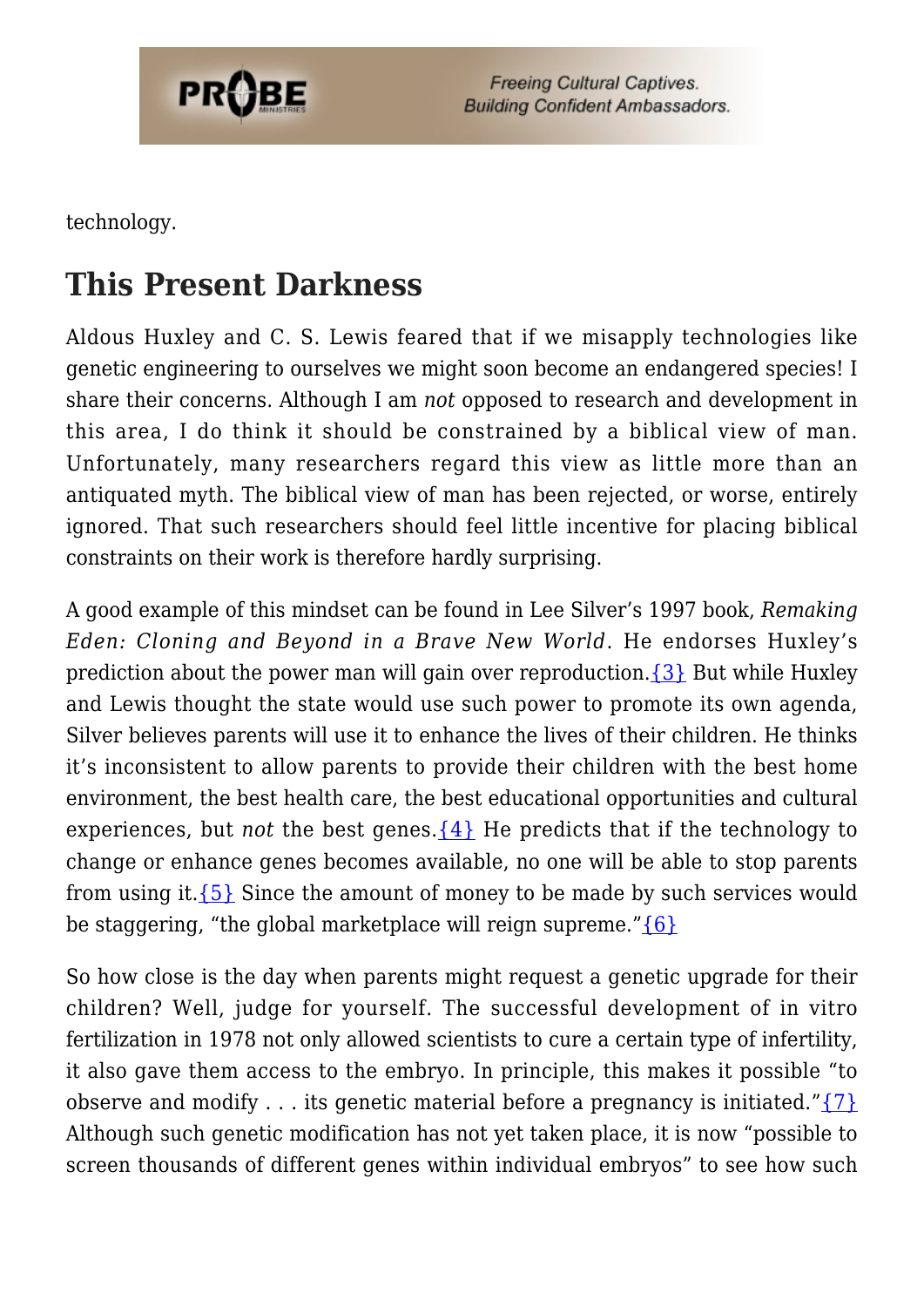

technology.

### **This Present Darkness**

Aldous Huxley and C. S. Lewis feared that if we misapply technologies like genetic engineering to ourselves we might soon become an endangered species! I share their concerns. Although I am *not* opposed to research and development in this area, I do think it should be constrained by a biblical view of man. Unfortunately, many researchers regard this view as little more than an antiquated myth. The biblical view of man has been rejected, or worse, entirely ignored. That such researchers should feel little incentive for placing biblical constraints on their work is therefore hardly surprising.

A good example of this mindset can be found in Lee Silver's 1997 book, *Remaking Eden: Cloning and Beyond in a Brave New World*. He endorses Huxley's prediction about the power man will gain over reproduction.  $\{3\}$  But while Huxley and Lewis thought the state would use such power to promote its own agenda, Silver believes parents will use it to enhance the lives of their children. He thinks it's inconsistent to allow parents to provide their children with the best home environment, the best health care, the best educational opportunities and cultural experiences, but *not* the best genes.  $\{4\}$  He predicts that if the technology to change or enhance genes becomes available, no one will be able to stop parents from using it.[{5}](#page-55-0) Since the amount of money to be made by such services would be staggering, "the global marketplace will reign supreme." $\{6\}$ 

So how close is the day when parents might request a genetic upgrade for their children? Well, judge for yourself. The successful development of in vitro fertilization in 1978 not only allowed scientists to cure a certain type of infertility, it also gave them access to the embryo. In principle, this makes it possible "to observe and modify . . . its genetic material before a pregnancy is initiated." $\{7\}$ Although such genetic modification has not yet taken place, it is now "possible to screen thousands of different genes within individual embryos" to see how such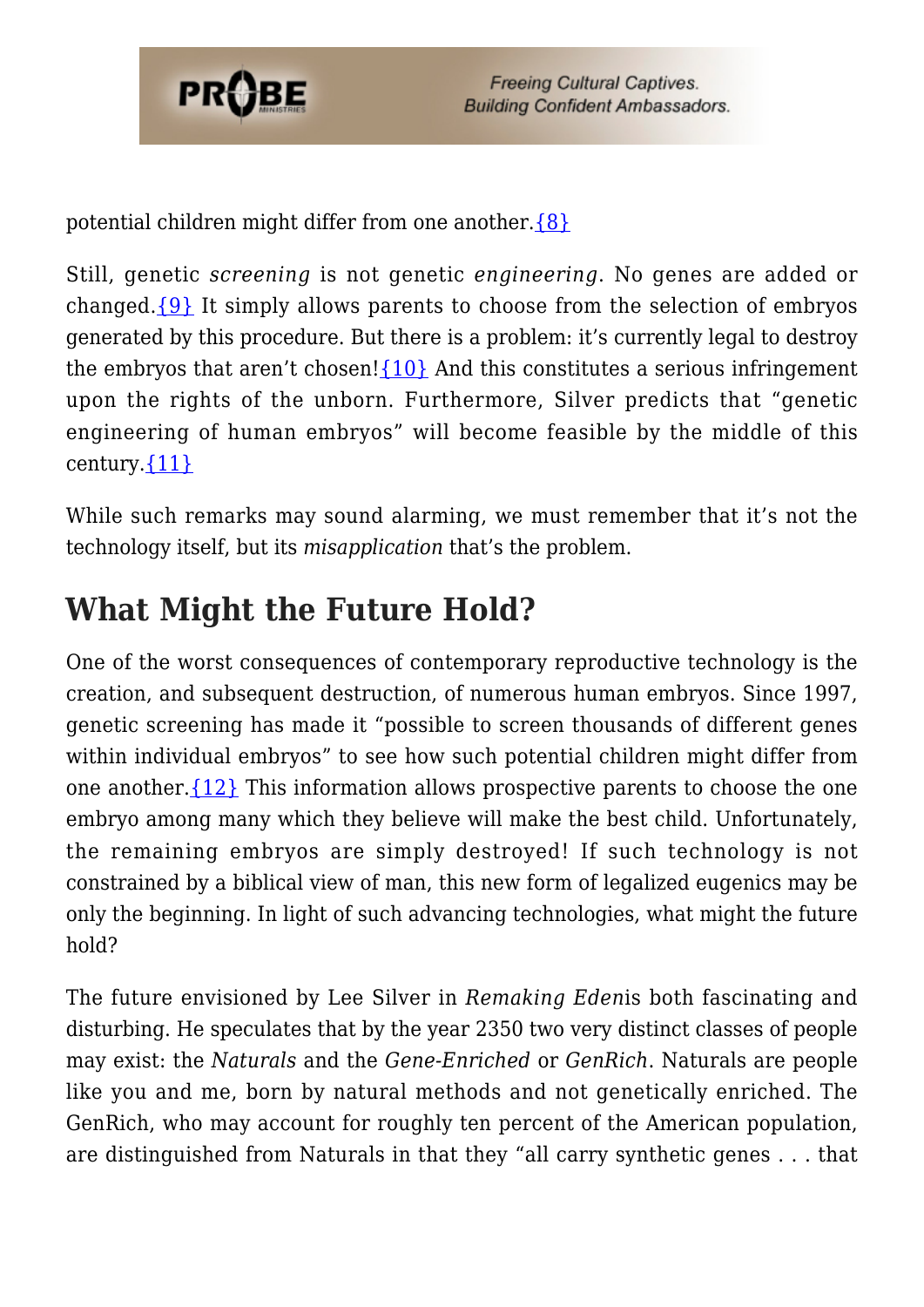

potential children might differ from one another[.{8}](#page-55-3)

Still, genetic *screening* is not genetic *engineering*. No genes are added or changed. $\{9\}$  It simply allows parents to choose from the selection of embryos generated by this procedure. But there is a problem: it's currently legal to destroy the embryos that aren't chosen! $\{10\}$  And this constitutes a serious infringement upon the rights of the unborn. Furthermore, Silver predicts that "genetic engineering of human embryos" will become feasible by the middle of this century. $\{11\}$ 

While such remarks may sound alarming, we must remember that it's not the technology itself, but its *misapplication* that's the problem.

### **What Might the Future Hold?**

One of the worst consequences of contemporary reproductive technology is the creation, and subsequent destruction, of numerous human embryos. Since 1997, genetic screening has made it "possible to screen thousands of different genes within individual embryos" to see how such potential children might differ from one another.[{12}](#page-55-7) This information allows prospective parents to choose the one embryo among many which they believe will make the best child. Unfortunately, the remaining embryos are simply destroyed! If such technology is not constrained by a biblical view of man, this new form of legalized eugenics may be only the beginning. In light of such advancing technologies, what might the future hold?

The future envisioned by Lee Silver in *Remaking Eden*is both fascinating and disturbing. He speculates that by the year 2350 two very distinct classes of people may exist: the *Naturals* and the *Gene-Enriched* or *GenRich*. Naturals are people like you and me, born by natural methods and not genetically enriched. The GenRich, who may account for roughly ten percent of the American population, are distinguished from Naturals in that they "all carry synthetic genes . . . that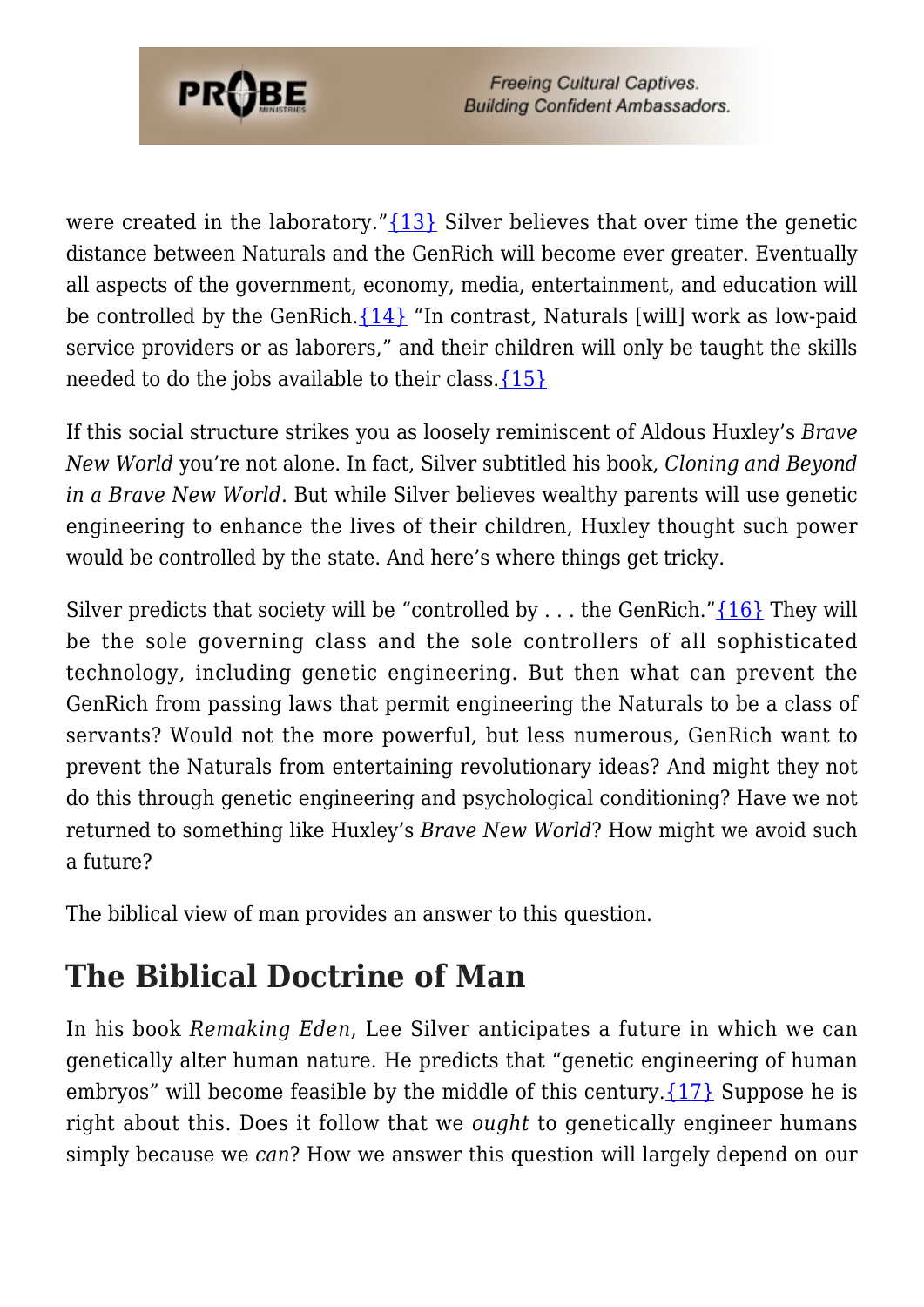

were created in the laboratory."[{13}](#page-55-8) Silver believes that over time the genetic distance between Naturals and the GenRich will become ever greater. Eventually all aspects of the government, economy, media, entertainment, and education will be controlled by the GenRich. $\{14\}$  "In contrast, Naturals [will] work as low-paid service providers or as laborers," and their children will only be taught the skills needed to do the jobs available to their class. $\{15\}$ 

If this social structure strikes you as loosely reminiscent of Aldous Huxley's *Brave New World* you're not alone. In fact, Silver subtitled his book, *Cloning and Beyond in a Brave New World*. But while Silver believes wealthy parents will use genetic engineering to enhance the lives of their children, Huxley thought such power would be controlled by the state. And here's where things get tricky.

Silver predicts that society will be "controlled by ... the GenRich." $\{16\}$  They will be the sole governing class and the sole controllers of all sophisticated technology, including genetic engineering. But then what can prevent the GenRich from passing laws that permit engineering the Naturals to be a class of servants? Would not the more powerful, but less numerous, GenRich want to prevent the Naturals from entertaining revolutionary ideas? And might they not do this through genetic engineering and psychological conditioning? Have we not returned to something like Huxley's *Brave New World*? How might we avoid such a future?

The biblical view of man provides an answer to this question.

### **The Biblical Doctrine of Man**

In his book *Remaking Eden*, Lee Silver anticipates a future in which we can genetically alter human nature. He predicts that "genetic engineering of human embryos" will become feasible by the middle of this century.  $\{17\}$  Suppose he is right about this. Does it follow that we *ought* to genetically engineer humans simply because we *can*? How we answer this question will largely depend on our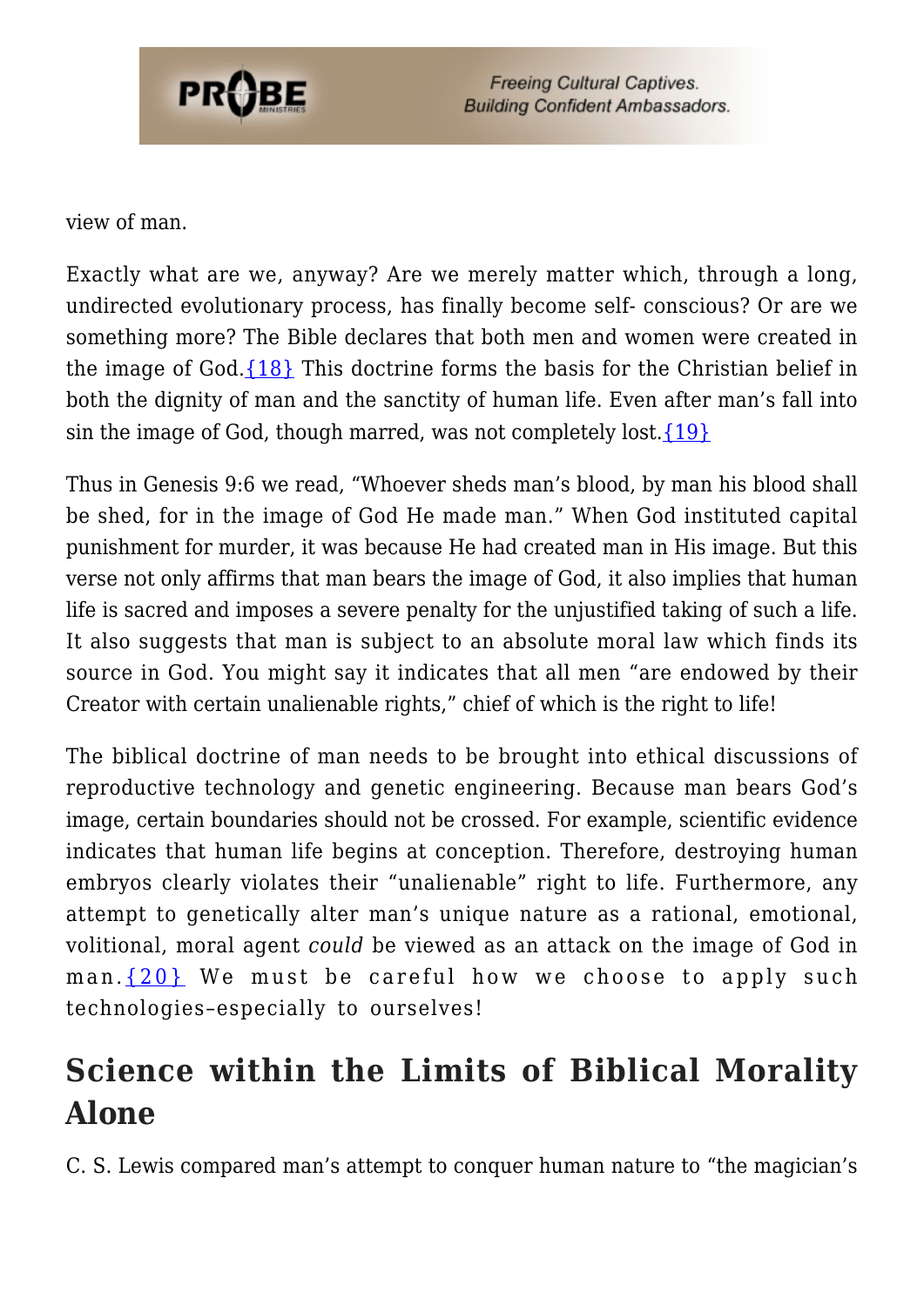

view of man.

Exactly what are we, anyway? Are we merely matter which, through a long, undirected evolutionary process, has finally become self- conscious? Or are we something more? The Bible declares that both men and women were created in the image of God. $\{18\}$  This doctrine forms the basis for the Christian belief in both the dignity of man and the sanctity of human life. Even after man's fall into sin the image of God, though marred, was not completely lost.  $\{19\}$ 

Thus in Genesis 9:6 we read, "Whoever sheds man's blood, by man his blood shall be shed, for in the image of God He made man." When God instituted capital punishment for murder, it was because He had created man in His image. But this verse not only affirms that man bears the image of God, it also implies that human life is sacred and imposes a severe penalty for the unjustified taking of such a life. It also suggests that man is subject to an absolute moral law which finds its source in God. You might say it indicates that all men "are endowed by their Creator with certain unalienable rights," chief of which is the right to life!

The biblical doctrine of man needs to be brought into ethical discussions of reproductive technology and genetic engineering. Because man bears God's image, certain boundaries should not be crossed. For example, scientific evidence indicates that human life begins at conception. Therefore, destroying human embryos clearly violates their "unalienable" right to life. Furthermore, any attempt to genetically alter man's unique nature as a rational, emotional, volitional, moral agent *could* be viewed as an attack on the image of God in man.  $\{20\}$  We must be careful how we choose to apply such technologies–especially to ourselves!

## **Science within the Limits of Biblical Morality Alone**

C. S. Lewis compared man's attempt to conquer human nature to "the magician's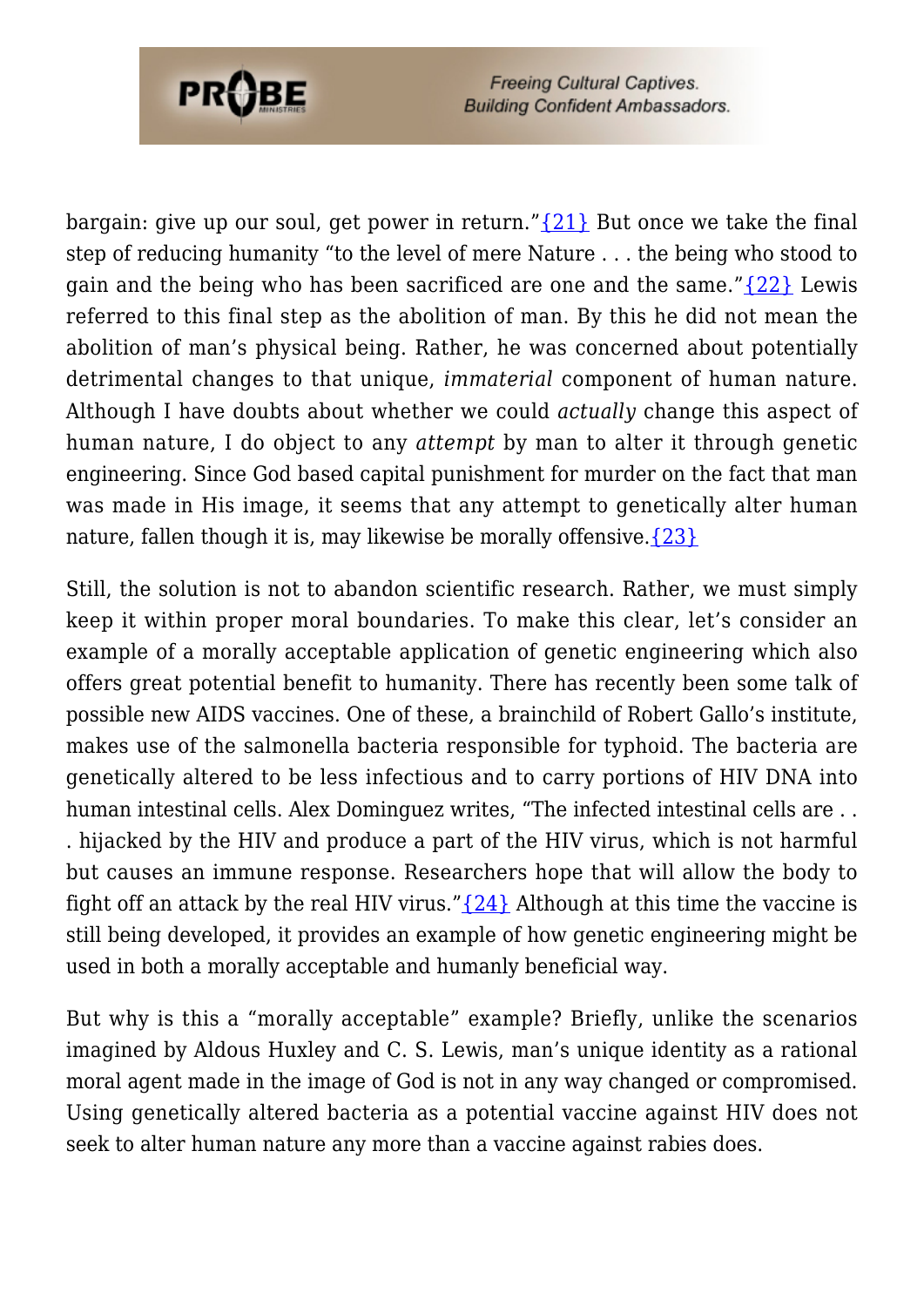

bargain: give up our soul, get power in return." $\{21\}$  But once we take the final step of reducing humanity "to the level of mere Nature . . . the being who stood to gain and the being who has been sacrificed are one and the same." $\{22\}$  Lewis referred to this final step as the abolition of man. By this he did not mean the abolition of man's physical being. Rather, he was concerned about potentially detrimental changes to that unique, *immaterial* component of human nature. Although I have doubts about whether we could *actually* change this aspect of human nature, I do object to any *attempt* by man to alter it through genetic engineering. Since God based capital punishment for murder on the fact that man was made in His image, it seems that any attempt to genetically alter human nature, fallen though it is, may likewise be morally offensive.  $\{23\}$ 

Still, the solution is not to abandon scientific research. Rather, we must simply keep it within proper moral boundaries. To make this clear, let's consider an example of a morally acceptable application of genetic engineering which also offers great potential benefit to humanity. There has recently been some talk of possible new AIDS vaccines. One of these, a brainchild of Robert Gallo's institute, makes use of the salmonella bacteria responsible for typhoid. The bacteria are genetically altered to be less infectious and to carry portions of HIV DNA into human intestinal cells. Alex Dominguez writes, "The infected intestinal cells are . . . hijacked by the HIV and produce a part of the HIV virus, which is not harmful but causes an immune response. Researchers hope that will allow the body to fight off an attack by the real HIV virus." $\{24\}$  Although at this time the vaccine is still being developed, it provides an example of how genetic engineering might be used in both a morally acceptable and humanly beneficial way.

But why is this a "morally acceptable" example? Briefly, unlike the scenarios imagined by Aldous Huxley and C. S. Lewis, man's unique identity as a rational moral agent made in the image of God is not in any way changed or compromised. Using genetically altered bacteria as a potential vaccine against HIV does not seek to alter human nature any more than a vaccine against rabies does.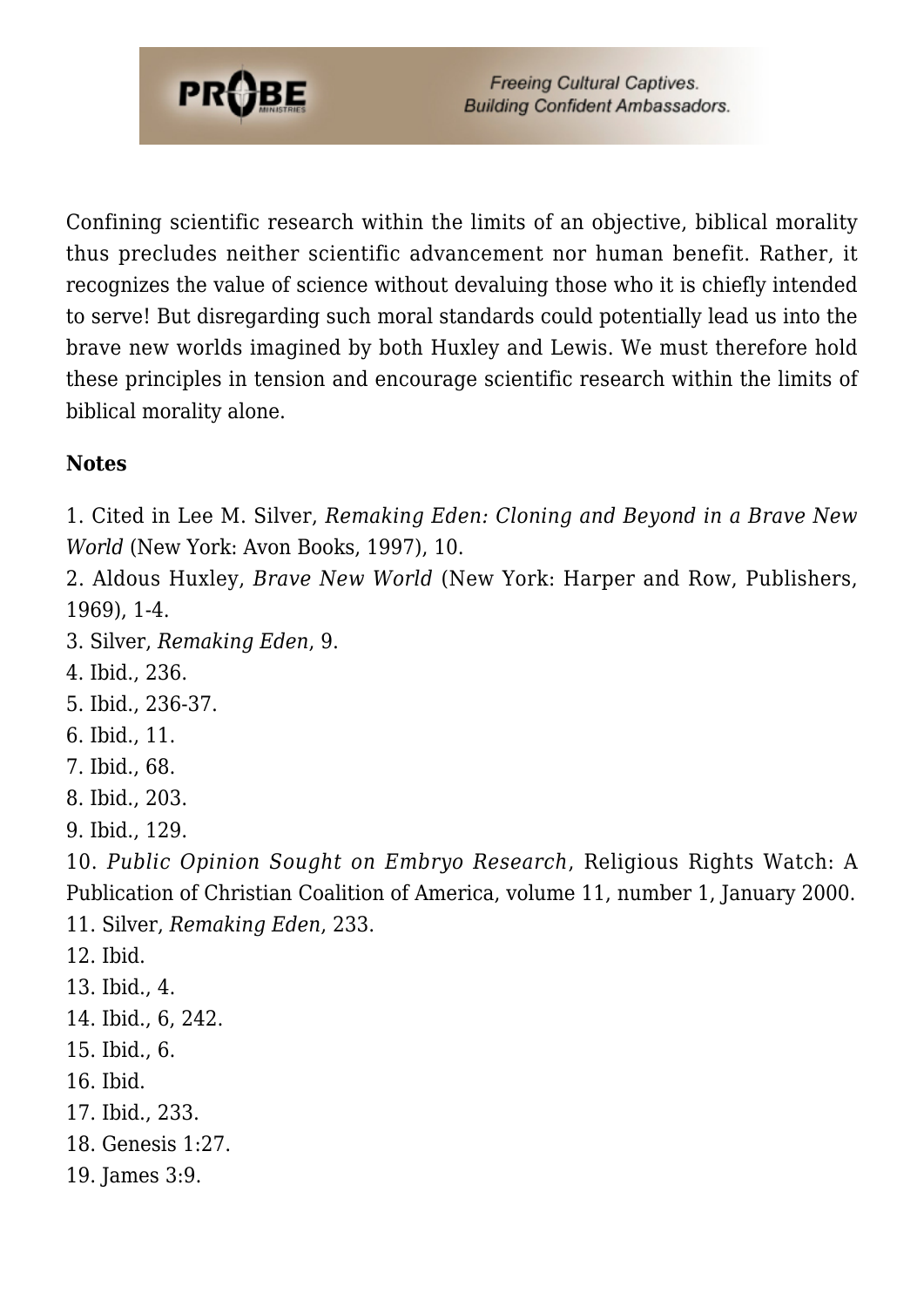

Confining scientific research within the limits of an objective, biblical morality thus precludes neither scientific advancement nor human benefit. Rather, it recognizes the value of science without devaluing those who it is chiefly intended to serve! But disregarding such moral standards could potentially lead us into the brave new worlds imagined by both Huxley and Lewis. We must therefore hold these principles in tension and encourage scientific research within the limits of biblical morality alone.

#### **Notes**

1. Cited in Lee M. Silver, *Remaking Eden: Cloning and Beyond in a Brave New World* (New York: Avon Books, 1997), 10.

2. Aldous Huxley, *Brave New World* (New York: Harper and Row, Publishers, 1969), 1-4.

3. Silver, *Remaking Eden*, 9.

<span id="page-55-0"></span>4. Ibid., 236.

<span id="page-55-1"></span>5. Ibid., 236-37.

<span id="page-55-2"></span>6. Ibid., 11.

- <span id="page-55-3"></span>7. Ibid., 68.
- <span id="page-55-4"></span>8. Ibid., 203.

<span id="page-55-5"></span>9. Ibid., 129.

<span id="page-55-6"></span>10. *Public Opinion Sought on Embryo Research*, Religious Rights Watch: A Publication of Christian Coalition of America, volume 11, number 1, January 2000. 11. Silver, *Remaking Eden*, 233.

- <span id="page-55-8"></span><span id="page-55-7"></span>12. Ibid.
- <span id="page-55-9"></span>13. Ibid., 4.
- <span id="page-55-10"></span>14. Ibid., 6, 242.
- <span id="page-55-11"></span>15. Ibid., 6.
- <span id="page-55-12"></span>16. Ibid.
- <span id="page-55-13"></span>17. Ibid., 233.
- <span id="page-55-14"></span>18. Genesis 1:27.
- <span id="page-55-15"></span>19. James 3:9.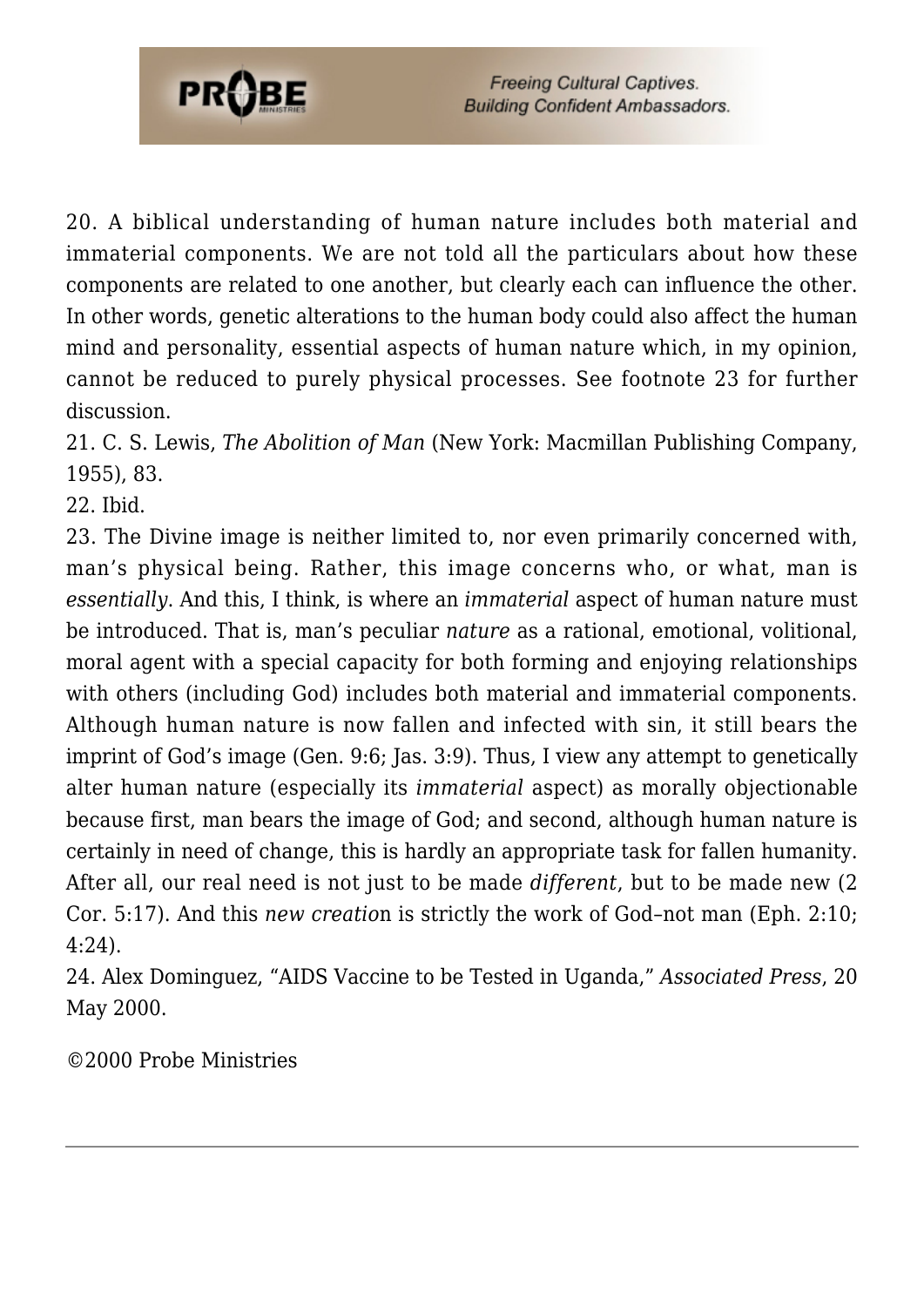

20. A biblical understanding of human nature includes both material and immaterial components. We are not told all the particulars about how these components are related to one another, but clearly each can influence the other. In other words, genetic alterations to the human body could also affect the human mind and personality, essential aspects of human nature which, in my opinion, cannot be reduced to purely physical processes. See footnote 23 for further discussion.

<span id="page-56-1"></span><span id="page-56-0"></span>21. C. S. Lewis, *The Abolition of Man* (New York: Macmillan Publishing Company, 1955), 83.

<span id="page-56-2"></span>22. Ibid.

23. The Divine image is neither limited to, nor even primarily concerned with, man's physical being. Rather, this image concerns who, or what, man is *essentially*. And this, I think, is where an *immaterial* aspect of human nature must be introduced. That is, man's peculiar *nature* as a rational, emotional, volitional, moral agent with a special capacity for both forming and enjoying relationships with others (including God) includes both material and immaterial components. Although human nature is now fallen and infected with sin, it still bears the imprint of God's image (Gen. 9:6; Jas. 3:9). Thus, I view any attempt to genetically alter human nature (especially its *immaterial* aspect) as morally objectionable because first, man bears the image of God; and second, although human nature is certainly in need of change, this is hardly an appropriate task for fallen humanity. After all, our real need is not just to be made *different*, but to be made new (2 Cor. 5:17). And this *new creatio*n is strictly the work of God–not man (Eph. 2:10; 4:24).

<span id="page-56-3"></span>24. Alex Dominguez, "AIDS Vaccine to be Tested in Uganda," *Associated Press*, 20 May 2000.

©2000 Probe Ministries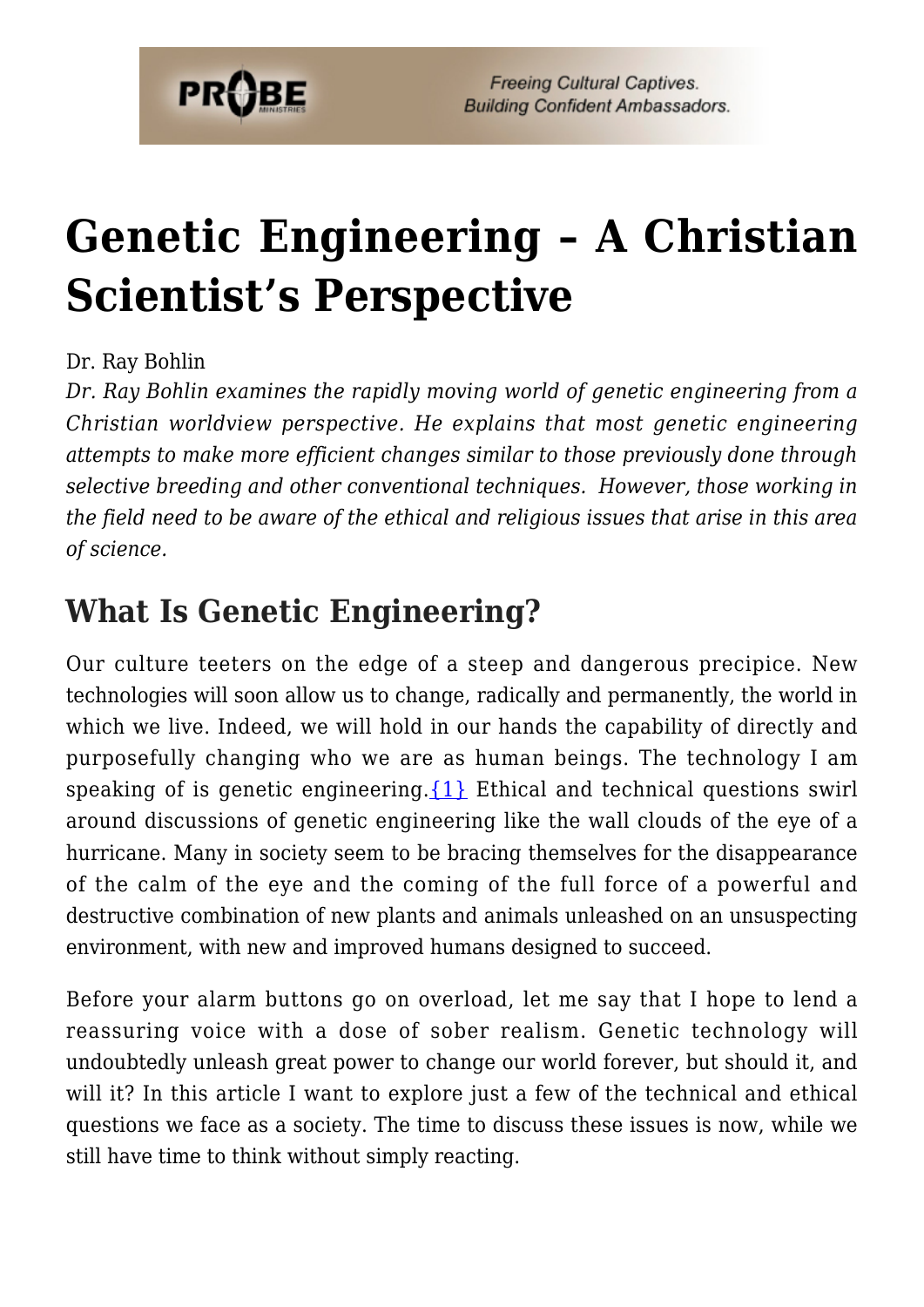

# **[Genetic Engineering – A Christian](https://probe.org/genetic-engineering-2/) [Scientist's Perspective](https://probe.org/genetic-engineering-2/)**

#### Dr. Ray Bohlin

*Dr. Ray Bohlin examines the rapidly moving world of genetic engineering from a Christian worldview perspective. He explains that most genetic engineering attempts to make more efficient changes similar to those previously done through selective breeding and other conventional techniques. However, those working in the field need to be aware of the ethical and religious issues that arise in this area of science.*

### **What Is Genetic Engineering?**

Our culture teeters on the edge of a steep and dangerous precipice. New technologies will soon allow us to change, radically and permanently, the world in which we live. Indeed, we will hold in our hands the capability of directly and purposefully changing who we are as human beings. The technology I am speaking of is genetic engineering.  $\{1\}$  Ethical and technical questions swirl around discussions of genetic engineering like the wall clouds of the eye of a hurricane. Many in society seem to be bracing themselves for the disappearance of the calm of the eye and the coming of the full force of a powerful and destructive combination of new plants and animals unleashed on an unsuspecting environment, with new and improved humans designed to succeed.

Before your alarm buttons go on overload, let me say that I hope to lend a reassuring voice with a dose of sober realism. Genetic technology will undoubtedly unleash great power to change our world forever, but should it, and will it? In this article I want to explore just a few of the technical and ethical questions we face as a society. The time to discuss these issues is now, while we still have time to think without simply reacting.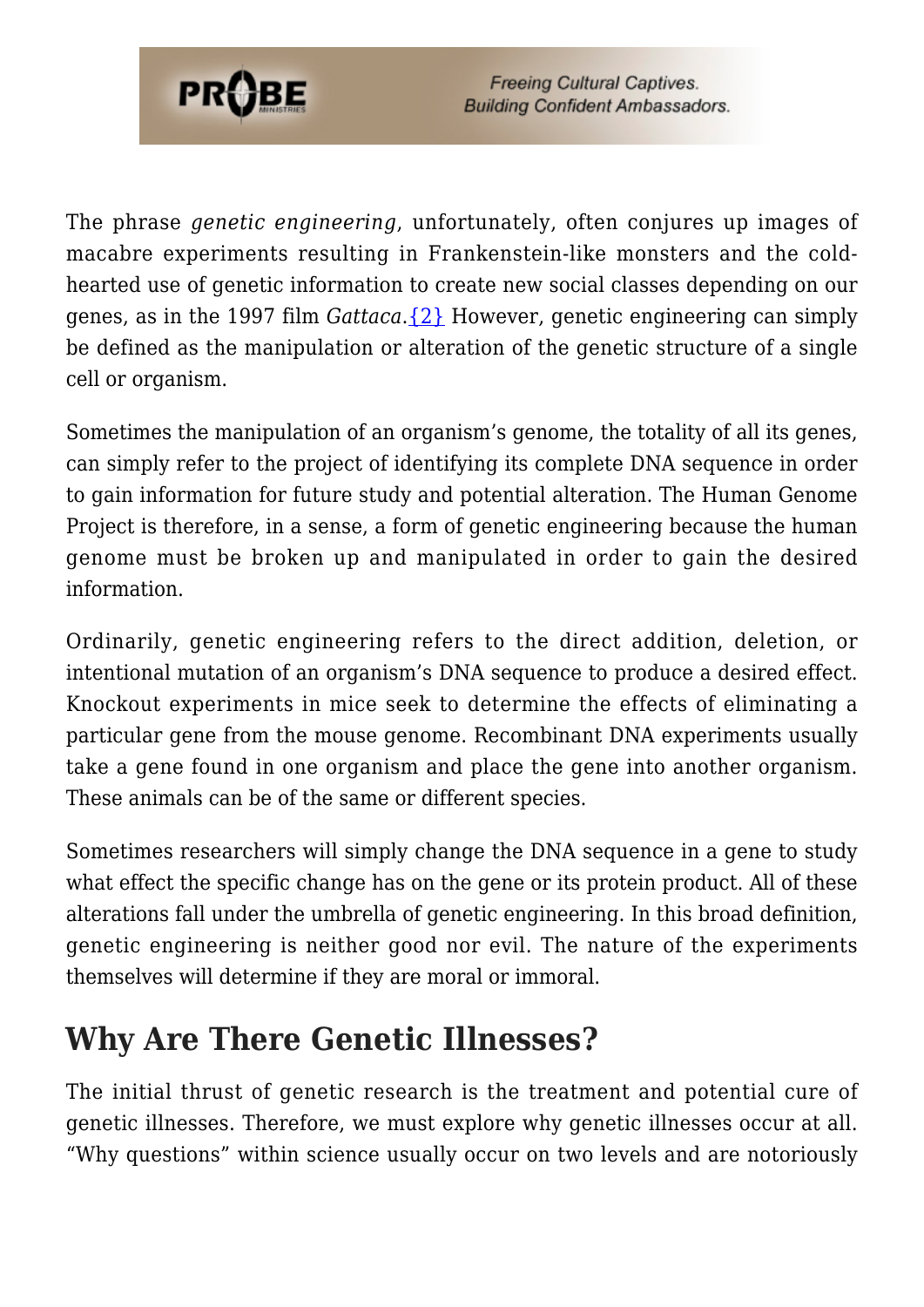

The phrase *genetic engineering*, unfortunately, often conjures up images of macabre experiments resulting in Frankenstein-like monsters and the coldhearted use of genetic information to create new social classes depending on our genes, as in the 1997 film *Gattaca*[.{2}](#page-64-1) However, genetic engineering can simply be defined as the manipulation or alteration of the genetic structure of a single cell or organism.

Sometimes the manipulation of an organism's genome, the totality of all its genes, can simply refer to the project of identifying its complete DNA sequence in order to gain information for future study and potential alteration. The Human Genome Project is therefore, in a sense, a form of genetic engineering because the human genome must be broken up and manipulated in order to gain the desired information.

Ordinarily, genetic engineering refers to the direct addition, deletion, or intentional mutation of an organism's DNA sequence to produce a desired effect. Knockout experiments in mice seek to determine the effects of eliminating a particular gene from the mouse genome. Recombinant DNA experiments usually take a gene found in one organism and place the gene into another organism. These animals can be of the same or different species.

Sometimes researchers will simply change the DNA sequence in a gene to study what effect the specific change has on the gene or its protein product. All of these alterations fall under the umbrella of genetic engineering. In this broad definition, genetic engineering is neither good nor evil. The nature of the experiments themselves will determine if they are moral or immoral.

### **Why Are There Genetic Illnesses?**

The initial thrust of genetic research is the treatment and potential cure of genetic illnesses. Therefore, we must explore why genetic illnesses occur at all. "Why questions" within science usually occur on two levels and are notoriously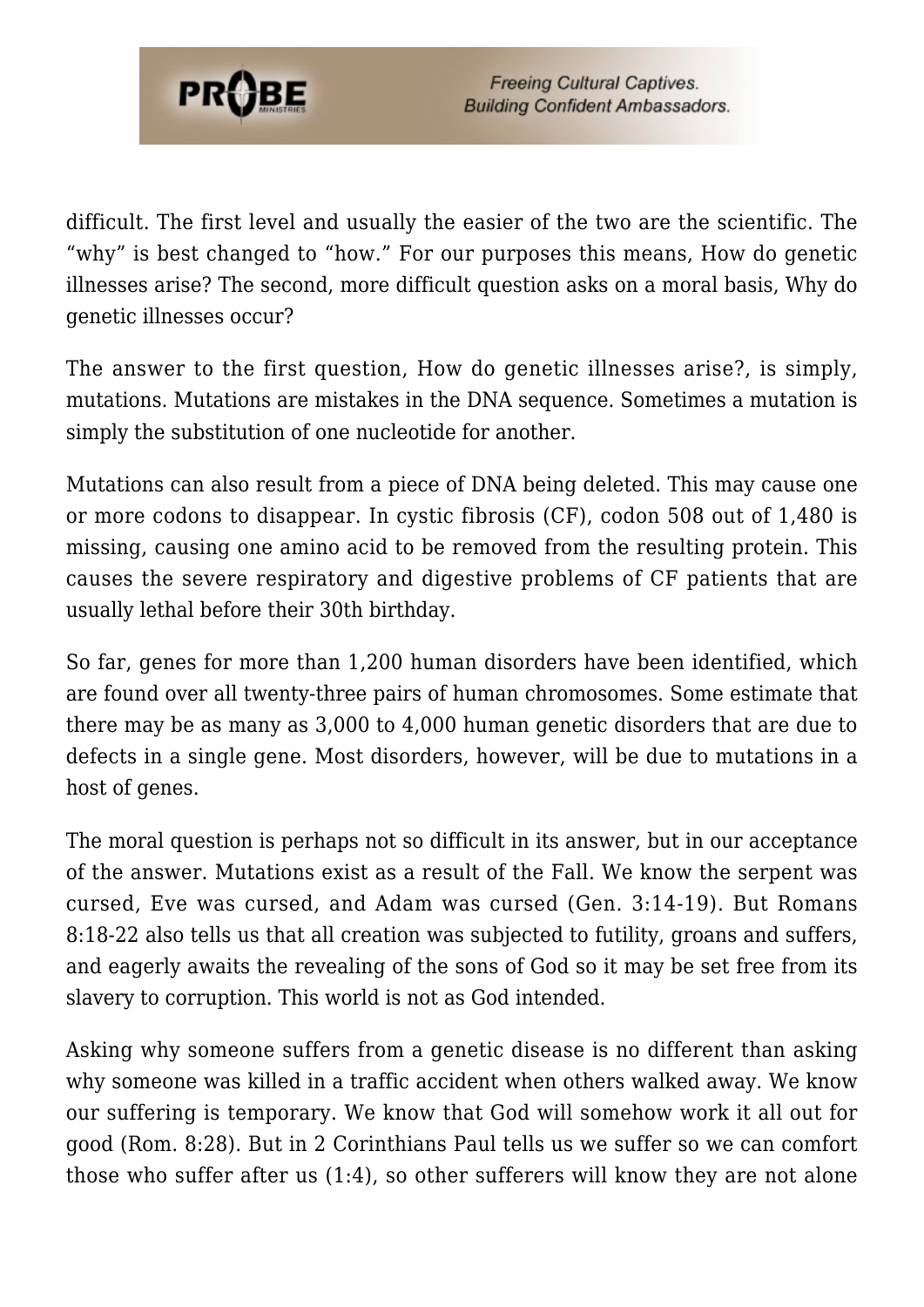

difficult. The first level and usually the easier of the two are the scientific. The "why" is best changed to "how." For our purposes this means, How do genetic illnesses arise? The second, more difficult question asks on a moral basis, Why do genetic illnesses occur?

The answer to the first question, How do genetic illnesses arise?, is simply, mutations. Mutations are mistakes in the DNA sequence. Sometimes a mutation is simply the substitution of one nucleotide for another.

Mutations can also result from a piece of DNA being deleted. This may cause one or more codons to disappear. In cystic fibrosis (CF), codon 508 out of 1,480 is missing, causing one amino acid to be removed from the resulting protein. This causes the severe respiratory and digestive problems of CF patients that are usually lethal before their 30th birthday.

So far, genes for more than 1,200 human disorders have been identified, which are found over all twenty-three pairs of human chromosomes. Some estimate that there may be as many as 3,000 to 4,000 human genetic disorders that are due to defects in a single gene. Most disorders, however, will be due to mutations in a host of genes.

The moral question is perhaps not so difficult in its answer, but in our acceptance of the answer. Mutations exist as a result of the Fall. We know the serpent was cursed, Eve was cursed, and Adam was cursed (Gen. 3:14-19). But Romans 8:18-22 also tells us that all creation was subjected to futility, groans and suffers, and eagerly awaits the revealing of the sons of God so it may be set free from its slavery to corruption. This world is not as God intended.

Asking why someone suffers from a genetic disease is no different than asking why someone was killed in a traffic accident when others walked away. We know our suffering is temporary. We know that God will somehow work it all out for good (Rom. 8:28). But in 2 Corinthians Paul tells us we suffer so we can comfort those who suffer after us (1:4), so other sufferers will know they are not alone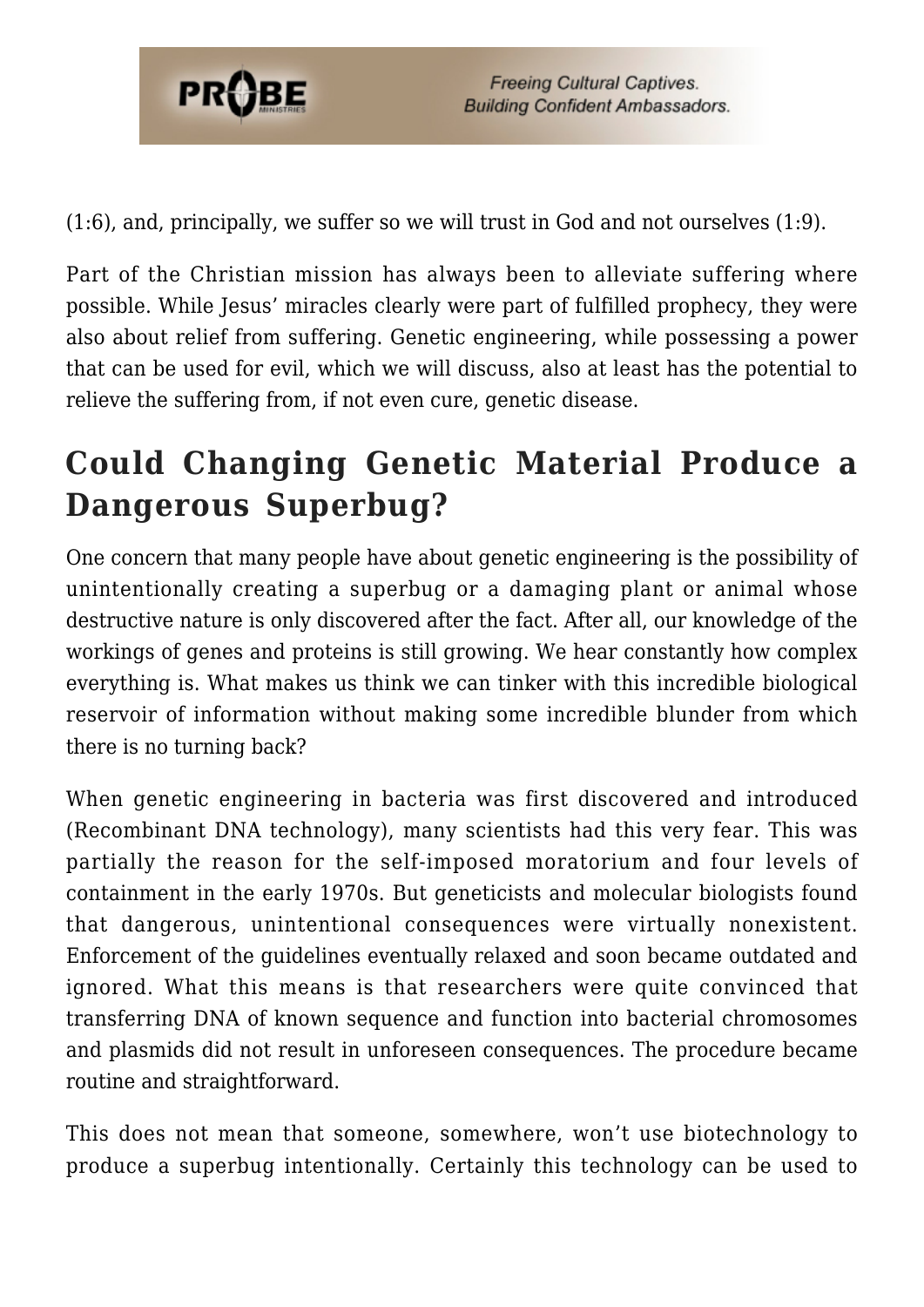

(1:6), and, principally, we suffer so we will trust in God and not ourselves (1:9).

Part of the Christian mission has always been to alleviate suffering where possible. While Jesus' miracles clearly were part of fulfilled prophecy, they were also about relief from suffering. Genetic engineering, while possessing a power that can be used for evil, which we will discuss, also at least has the potential to relieve the suffering from, if not even cure, genetic disease.

## **Could Changing Genetic Material Produce a Dangerous Superbug?**

One concern that many people have about genetic engineering is the possibility of unintentionally creating a superbug or a damaging plant or animal whose destructive nature is only discovered after the fact. After all, our knowledge of the workings of genes and proteins is still growing. We hear constantly how complex everything is. What makes us think we can tinker with this incredible biological reservoir of information without making some incredible blunder from which there is no turning back?

When genetic engineering in bacteria was first discovered and introduced (Recombinant DNA technology), many scientists had this very fear. This was partially the reason for the self-imposed moratorium and four levels of containment in the early 1970s. But geneticists and molecular biologists found that dangerous, unintentional consequences were virtually nonexistent. Enforcement of the guidelines eventually relaxed and soon became outdated and ignored. What this means is that researchers were quite convinced that transferring DNA of known sequence and function into bacterial chromosomes and plasmids did not result in unforeseen consequences. The procedure became routine and straightforward.

This does not mean that someone, somewhere, won't use biotechnology to produce a superbug intentionally. Certainly this technology can be used to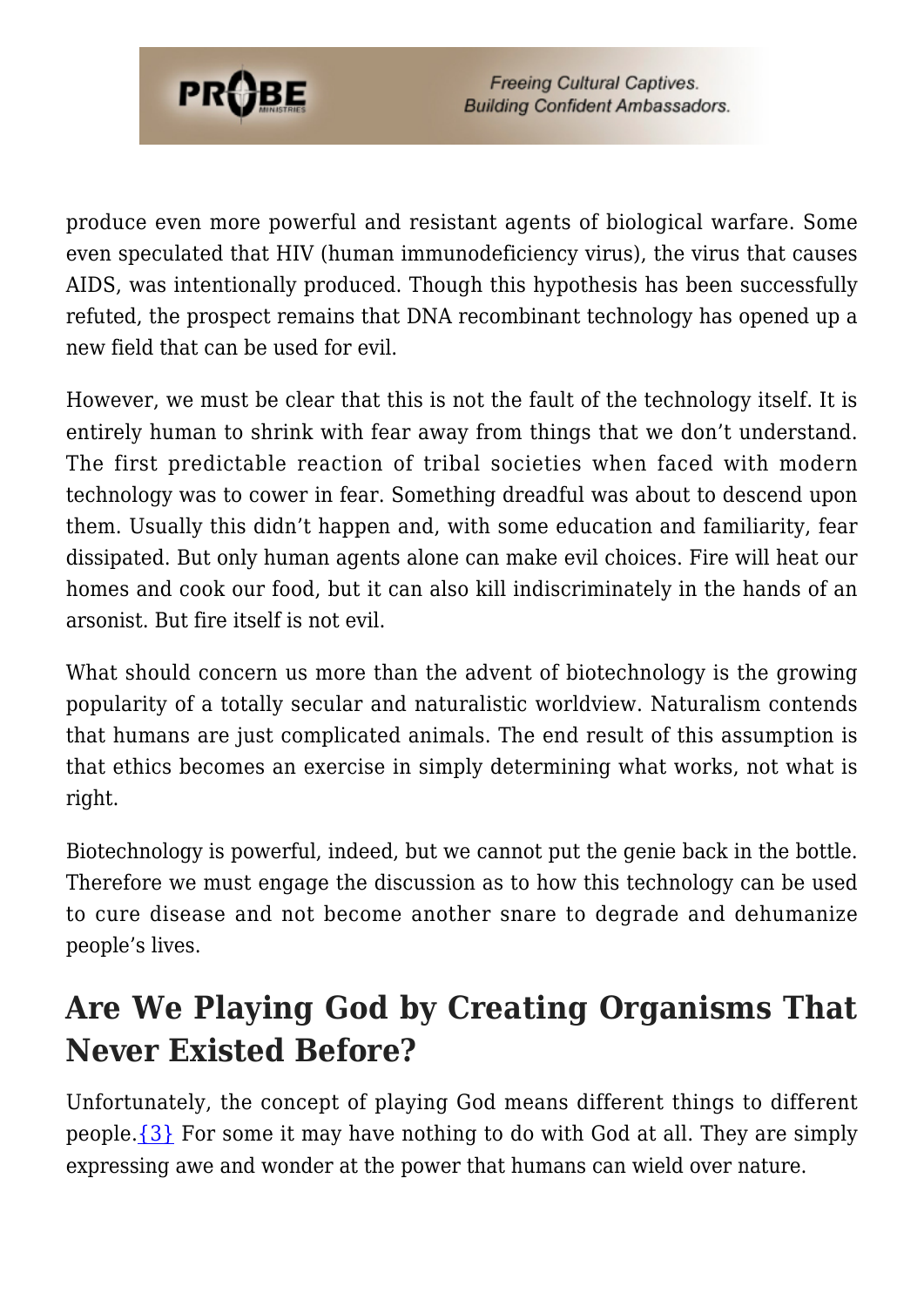

produce even more powerful and resistant agents of biological warfare. Some even speculated that HIV (human immunodeficiency virus), the virus that causes AIDS, was intentionally produced. Though this hypothesis has been successfully refuted, the prospect remains that DNA recombinant technology has opened up a new field that can be used for evil.

However, we must be clear that this is not the fault of the technology itself. It is entirely human to shrink with fear away from things that we don't understand. The first predictable reaction of tribal societies when faced with modern technology was to cower in fear. Something dreadful was about to descend upon them. Usually this didn't happen and, with some education and familiarity, fear dissipated. But only human agents alone can make evil choices. Fire will heat our homes and cook our food, but it can also kill indiscriminately in the hands of an arsonist. But fire itself is not evil.

What should concern us more than the advent of biotechnology is the growing popularity of a totally secular and naturalistic worldview. Naturalism contends that humans are just complicated animals. The end result of this assumption is that ethics becomes an exercise in simply determining what works, not what is right.

Biotechnology is powerful, indeed, but we cannot put the genie back in the bottle. Therefore we must engage the discussion as to how this technology can be used to cure disease and not become another snare to degrade and dehumanize people's lives.

### **Are We Playing God by Creating Organisms That Never Existed Before?**

Unfortunately, the concept of playing God means different things to different people. $\{3\}$  For some it may have nothing to do with God at all. They are simply expressing awe and wonder at the power that humans can wield over nature.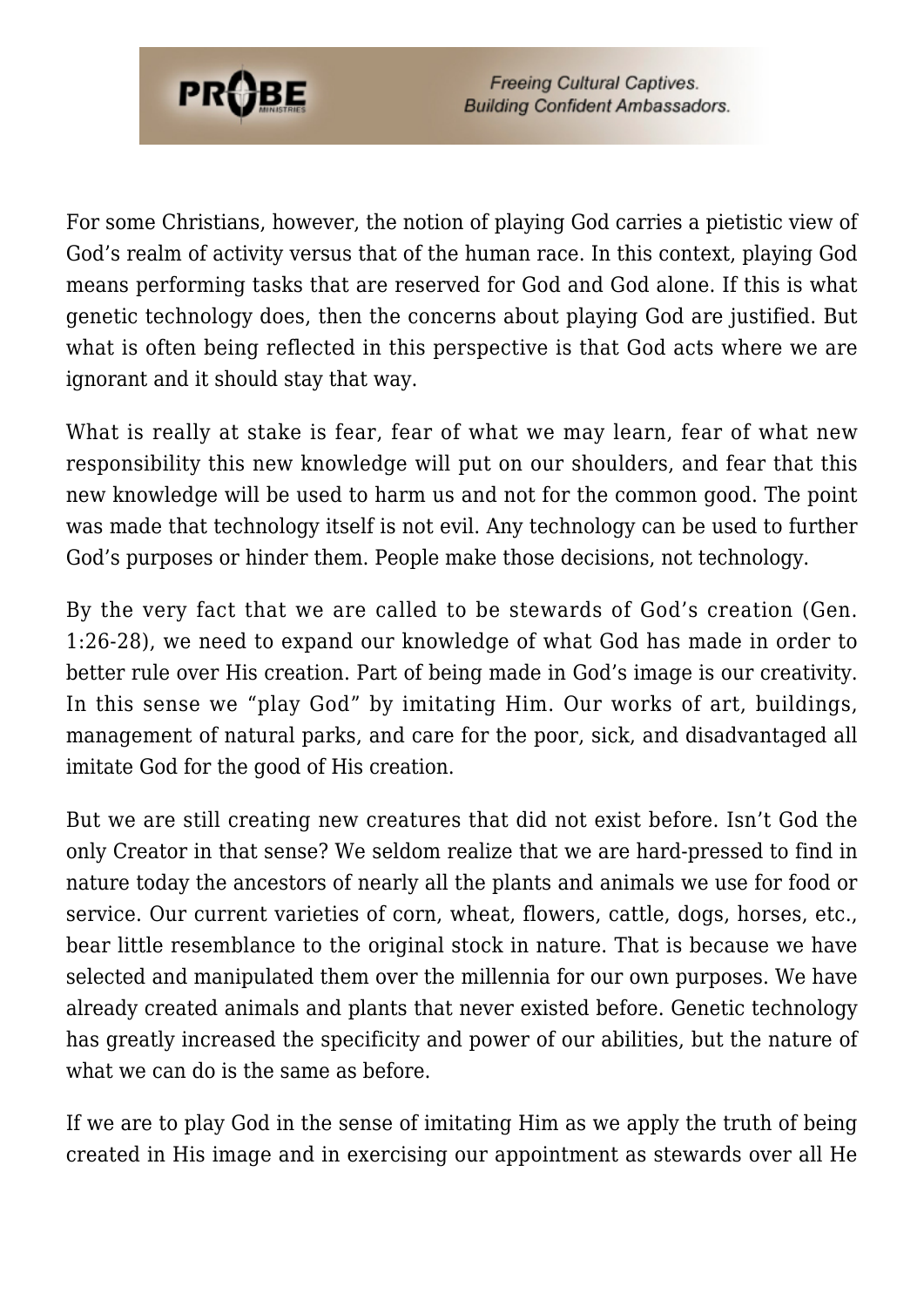

For some Christians, however, the notion of playing God carries a pietistic view of God's realm of activity versus that of the human race. In this context, playing God means performing tasks that are reserved for God and God alone. If this is what genetic technology does, then the concerns about playing God are justified. But what is often being reflected in this perspective is that God acts where we are ignorant and it should stay that way.

What is really at stake is fear, fear of what we may learn, fear of what new responsibility this new knowledge will put on our shoulders, and fear that this new knowledge will be used to harm us and not for the common good. The point was made that technology itself is not evil. Any technology can be used to further God's purposes or hinder them. People make those decisions, not technology.

By the very fact that we are called to be stewards of God's creation (Gen. 1:26-28), we need to expand our knowledge of what God has made in order to better rule over His creation. Part of being made in God's image is our creativity. In this sense we "play God" by imitating Him. Our works of art, buildings, management of natural parks, and care for the poor, sick, and disadvantaged all imitate God for the good of His creation.

But we are still creating new creatures that did not exist before. Isn't God the only Creator in that sense? We seldom realize that we are hard-pressed to find in nature today the ancestors of nearly all the plants and animals we use for food or service. Our current varieties of corn, wheat, flowers, cattle, dogs, horses, etc., bear little resemblance to the original stock in nature. That is because we have selected and manipulated them over the millennia for our own purposes. We have already created animals and plants that never existed before. Genetic technology has greatly increased the specificity and power of our abilities, but the nature of what we can do is the same as before.

If we are to play God in the sense of imitating Him as we apply the truth of being created in His image and in exercising our appointment as stewards over all He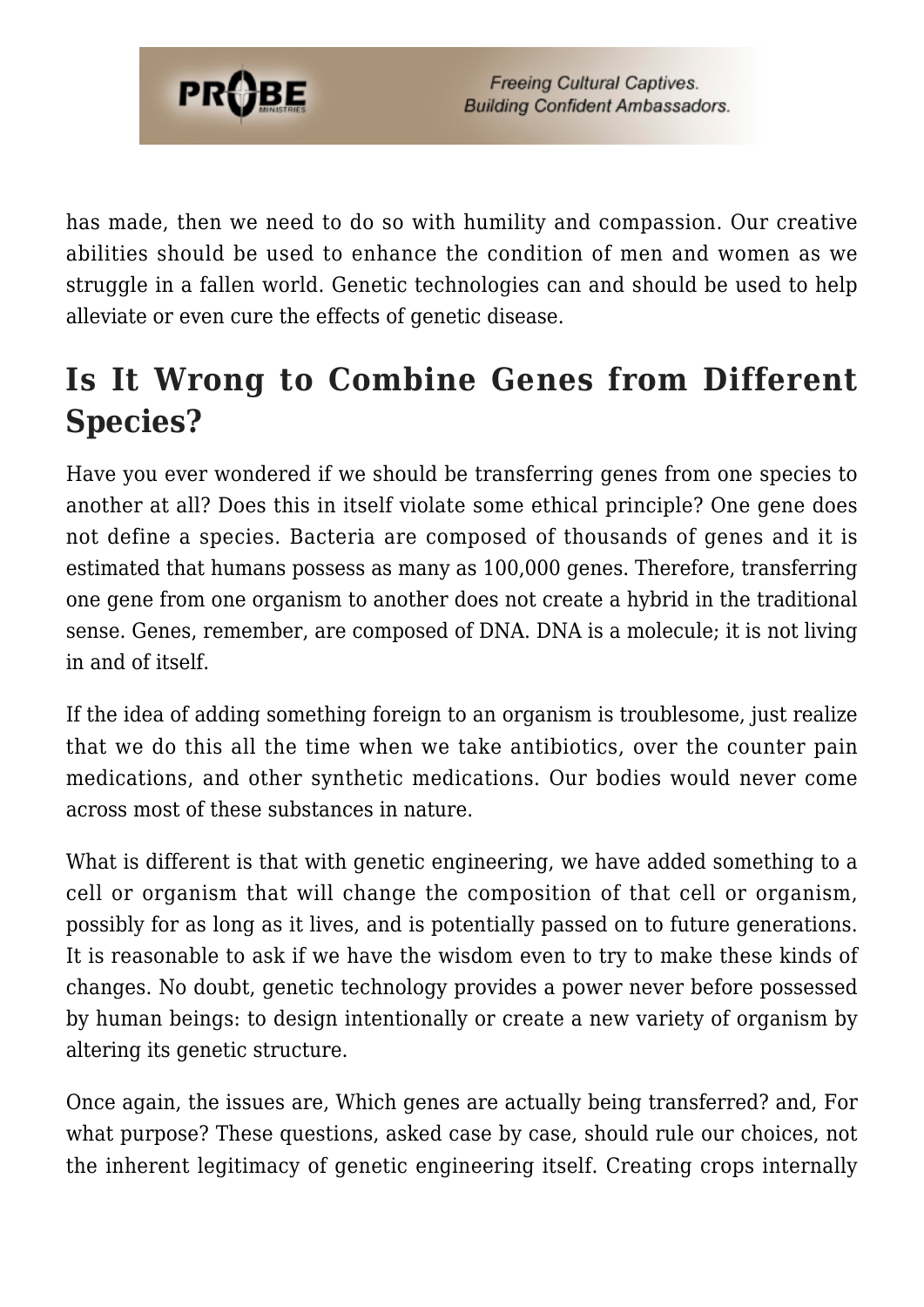

has made, then we need to do so with humility and compassion. Our creative abilities should be used to enhance the condition of men and women as we struggle in a fallen world. Genetic technologies can and should be used to help alleviate or even cure the effects of genetic disease.

## **Is It Wrong to Combine Genes from Different Species?**

Have you ever wondered if we should be transferring genes from one species to another at all? Does this in itself violate some ethical principle? One gene does not define a species. Bacteria are composed of thousands of genes and it is estimated that humans possess as many as 100,000 genes. Therefore, transferring one gene from one organism to another does not create a hybrid in the traditional sense. Genes, remember, are composed of DNA. DNA is a molecule; it is not living in and of itself.

If the idea of adding something foreign to an organism is troublesome, just realize that we do this all the time when we take antibiotics, over the counter pain medications, and other synthetic medications. Our bodies would never come across most of these substances in nature.

What is different is that with genetic engineering, we have added something to a cell or organism that will change the composition of that cell or organism, possibly for as long as it lives, and is potentially passed on to future generations. It is reasonable to ask if we have the wisdom even to try to make these kinds of changes. No doubt, genetic technology provides a power never before possessed by human beings: to design intentionally or create a new variety of organism by altering its genetic structure.

Once again, the issues are, Which genes are actually being transferred? and, For what purpose? These questions, asked case by case, should rule our choices, not the inherent legitimacy of genetic engineering itself. Creating crops internally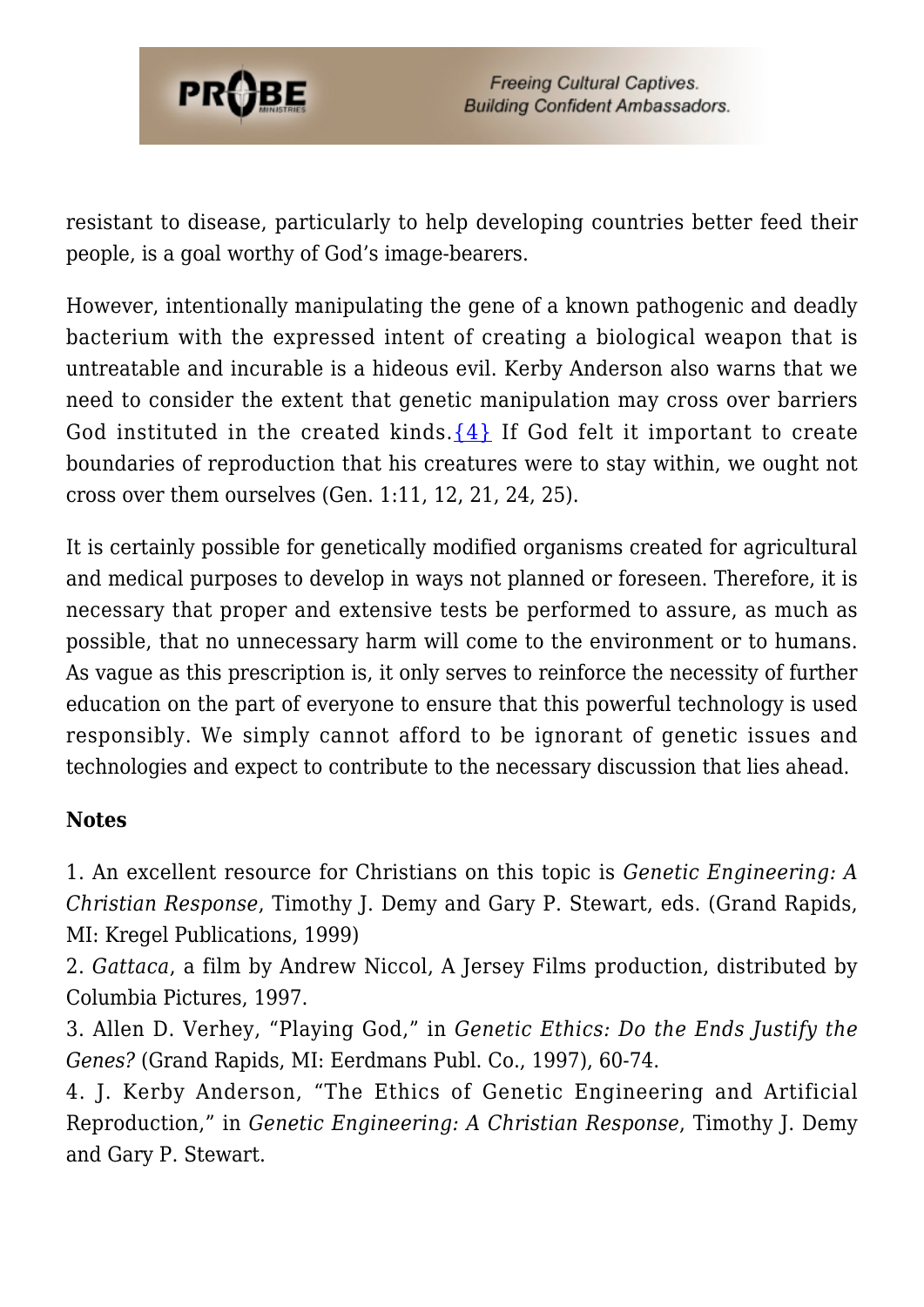

resistant to disease, particularly to help developing countries better feed their people, is a goal worthy of God's image-bearers.

However, intentionally manipulating the gene of a known pathogenic and deadly bacterium with the expressed intent of creating a biological weapon that is untreatable and incurable is a hideous evil. Kerby Anderson also warns that we need to consider the extent that genetic manipulation may cross over barriers God instituted in the created kinds.  $\{4\}$  If God felt it important to create boundaries of reproduction that his creatures were to stay within, we ought not cross over them ourselves (Gen. 1:11, 12, 21, 24, 25).

It is certainly possible for genetically modified organisms created for agricultural and medical purposes to develop in ways not planned or foreseen. Therefore, it is necessary that proper and extensive tests be performed to assure, as much as possible, that no unnecessary harm will come to the environment or to humans. As vague as this prescription is, it only serves to reinforce the necessity of further education on the part of everyone to ensure that this powerful technology is used responsibly. We simply cannot afford to be ignorant of genetic issues and technologies and expect to contribute to the necessary discussion that lies ahead.

#### **Notes**

<span id="page-64-0"></span>1. An excellent resource for Christians on this topic is *Genetic Engineering: A Christian Response*, Timothy J. Demy and Gary P. Stewart, eds. (Grand Rapids, MI: Kregel Publications, 1999)

<span id="page-64-1"></span>2. *Gattaca*, a film by Andrew Niccol, A Jersey Films production, distributed by Columbia Pictures, 1997.

<span id="page-64-2"></span>3. Allen D. Verhey, "Playing God," in *Genetic Ethics: Do the Ends Justify the Genes?* (Grand Rapids, MI: Eerdmans Publ. Co., 1997), 60-74.

<span id="page-64-3"></span>4. J. Kerby Anderson, "The Ethics of Genetic Engineering and Artificial Reproduction," in *Genetic Engineering: A Christian Response*, Timothy J. Demy and Gary P. Stewart.